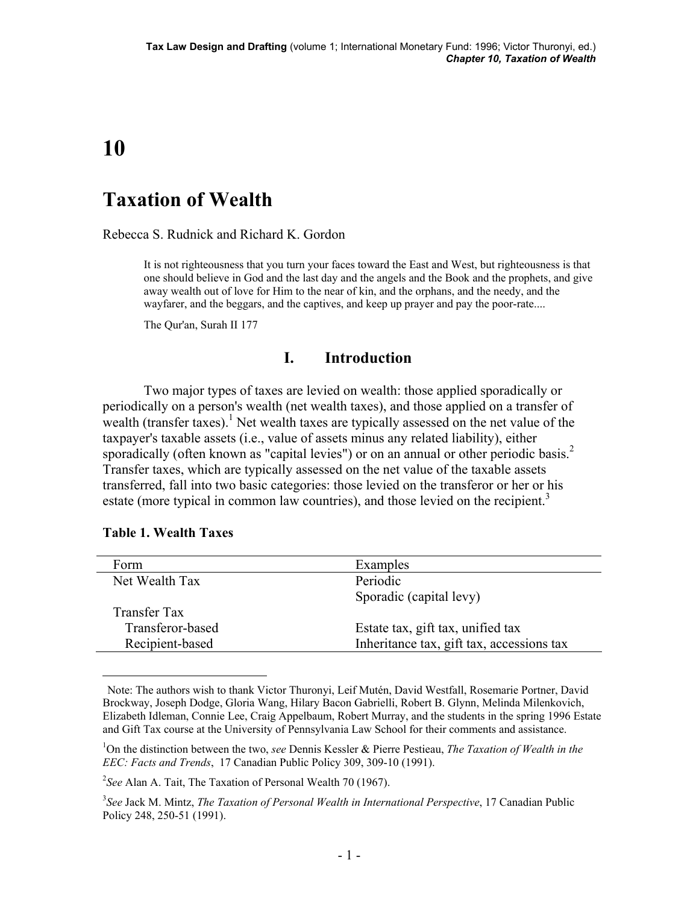# **10**

# **Taxation of Wealth**

Rebecca S. Rudnick and Richard K. Gordon

It is not righteousness that you turn your faces toward the East and West, but righteousness is that one should believe in God and the last day and the angels and the Book and the prophets, and give away wealth out of love for Him to the near of kin, and the orphans, and the needy, and the wayfarer, and the beggars, and the captives, and keep up prayer and pay the poor-rate....

The Qur'an, Surah II 177

# **I. Introduction**

 Two major types of taxes are levied on wealth: those applied sporadically or periodically on a person's wealth (net wealth taxes), and those applied on a transfer of wealth (transfer taxes).<sup>1</sup> Net wealth taxes are typically assessed on the net value of the taxpayer's taxable assets (i.e., value of assets minus any related liability), either sporadically (often known as "capital levies") or on an annual or other periodic basis.<sup>2</sup> Transfer taxes, which are typically assessed on the net value of the taxable assets transferred, fall into two basic categories: those levied on the transferor or her or his estate (more typical in common law countries), and those levied on the recipient.<sup>3</sup>

| Form                | Examples                                  |
|---------------------|-------------------------------------------|
| Net Wealth Tax      | Periodic                                  |
|                     | Sporadic (capital levy)                   |
| <b>Transfer Tax</b> |                                           |
| Transferor-based    | Estate tax, gift tax, unified tax         |
| Recipient-based     | Inheritance tax, gift tax, accessions tax |
|                     |                                           |

#### **Table 1. Wealth Taxes**

Note: The authors wish to thank Victor Thuronyi, Leif Mutén, David Westfall, Rosemarie Portner, David Brockway, Joseph Dodge, Gloria Wang, Hilary Bacon Gabrielli, Robert B. Glynn, Melinda Milenkovich, Elizabeth Idleman, Connie Lee, Craig Appelbaum, Robert Murray, and the students in the spring 1996 Estate and Gift Tax course at the University of Pennsylvania Law School for their comments and assistance.

<sup>1</sup> On the distinction between the two, *see* Dennis Kessler & Pierre Pestieau, *The Taxation of Wealth in the EEC: Facts and Trends*, 17 Canadian Public Policy 309, 309-10 (1991).

<sup>2</sup> *See* Alan A. Tait, The Taxation of Personal Wealth 70 (1967).

<sup>3</sup> *See* Jack M. Mintz, *The Taxation of Personal Wealth in International Perspective*, 17 Canadian Public Policy 248, 250-51 (1991).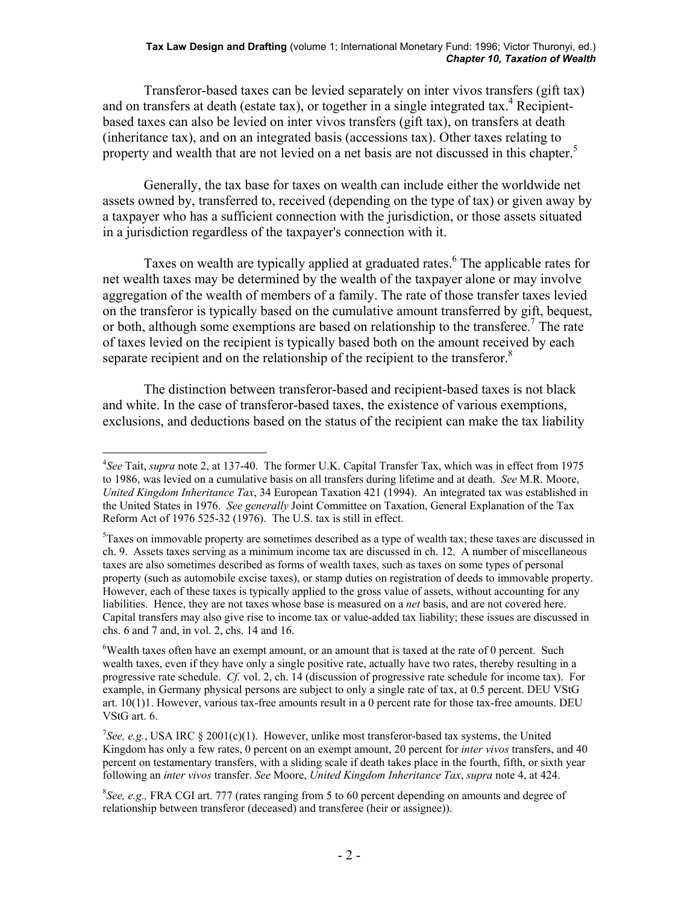#### **Tax Law Design and Drafting** (volume 1; International Monetary Fund: 1996; Victor Thuronyi, ed.) *Chapter 10, Taxation of Wealth*

 Transferor-based taxes can be levied separately on inter vivos transfers (gift tax) and on transfers at death (estate tax), or together in a single integrated tax.<sup>4</sup> Recipientbased taxes can also be levied on inter vivos transfers (gift tax), on transfers at death (inheritance tax), and on an integrated basis (accessions tax). Other taxes relating to property and wealth that are not levied on a net basis are not discussed in this chapter.<sup>5</sup>

 Generally, the tax base for taxes on wealth can include either the worldwide net assets owned by, transferred to, received (depending on the type of tax) or given away by a taxpayer who has a sufficient connection with the jurisdiction, or those assets situated in a jurisdiction regardless of the taxpayer's connection with it.

Taxes on wealth are typically applied at graduated rates.<sup>6</sup> The applicable rates for net wealth taxes may be determined by the wealth of the taxpayer alone or may involve aggregation of the wealth of members of a family. The rate of those transfer taxes levied on the transferor is typically based on the cumulative amount transferred by gift, bequest, or both, although some exemptions are based on relationship to the transferee.<sup>7</sup> The rate of taxes levied on the recipient is typically based both on the amount received by each separate recipient and on the relationship of the recipient to the transferor. $8$ 

 The distinction between transferor-based and recipient-based taxes is not black and white. In the case of transferor-based taxes, the existence of various exemptions, exclusions, and deductions based on the status of the recipient can make the tax liability

<sup>4</sup> *See* Tait, *supra* note 2, at 137-40. The former U.K. Capital Transfer Tax, which was in effect from 1975 to 1986, was levied on a cumulative basis on all transfers during lifetime and at death. *See* M.R. Moore, *United Kingdom Inheritance Tax*, 34 European Taxation 421 (1994). An integrated tax was established in the United States in 1976. *See generally* Joint Committee on Taxation, General Explanation of the Tax Reform Act of 1976 525-32 (1976). The U.S. tax is still in effect.

<sup>&</sup>lt;sup>5</sup>Taxes on immovable property are sometimes described as a type of wealth tax; these taxes are discussed in ch. 9. Assets taxes serving as a minimum income tax are discussed in ch. 12. A number of miscellaneous taxes are also sometimes described as forms of wealth taxes, such as taxes on some types of personal property (such as automobile excise taxes), or stamp duties on registration of deeds to immovable property. However, each of these taxes is typically applied to the gross value of assets, without accounting for any liabilities. Hence, they are not taxes whose base is measured on a *net* basis, and are not covered here. Capital transfers may also give rise to income tax or value-added tax liability; these issues are discussed in chs. 6 and 7 and, in vol. 2, chs. 14 and 16.

 $6$ Wealth taxes often have an exempt amount, or an amount that is taxed at the rate of 0 percent. Such wealth taxes, even if they have only a single positive rate, actually have two rates, thereby resulting in a progressive rate schedule. *Cf.* vol. 2, ch. 14 (discussion of progressive rate schedule for income tax). For example, in Germany physical persons are subject to only a single rate of tax, at 0.5 percent. DEU VStG art. 10(1)1. However, various tax-free amounts result in a 0 percent rate for those tax-free amounts. DEU VStG art. 6.

<sup>&</sup>lt;sup>7</sup>See, e.g., USA IRC § 2001(c)(1). However, unlike most transferor-based tax systems, the United Kingdom has only a few rates, 0 percent on an exempt amount, 20 percent for *inter vivos* transfers, and 40 percent on testamentary transfers, with a sliding scale if death takes place in the fourth, fifth, or sixth year following an *inter vivos* transfer. *See* Moore, *United Kingdom Inheritance Tax*, *supra* note 4, at 424.

<sup>8</sup> *See, e.g.,* FRA CGI art. 777 (rates ranging from 5 to 60 percent depending on amounts and degree of relationship between transferor (deceased) and transferee (heir or assignee)).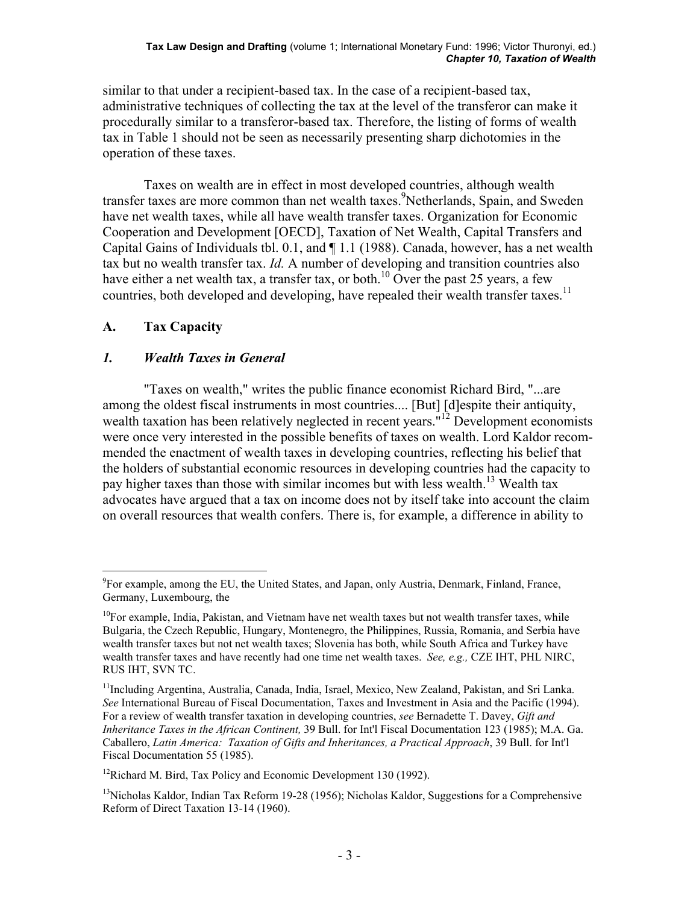similar to that under a recipient-based tax. In the case of a recipient-based tax, administrative techniques of collecting the tax at the level of the transferor can make it procedurally similar to a transferor-based tax. Therefore, the listing of forms of wealth tax in Table 1 should not be seen as necessarily presenting sharp dichotomies in the operation of these taxes.

 Taxes on wealth are in effect in most developed countries, although wealth transfer taxes are more common than net wealth taxes.<sup>9</sup>Netherlands, Spain, and Sweden have net wealth taxes, while all have wealth transfer taxes. Organization for Economic Cooperation and Development [OECD], Taxation of Net Wealth, Capital Transfers and Capital Gains of Individuals tbl. 0.1, and ¶ 1.1 (1988). Canada, however, has a net wealth tax but no wealth transfer tax. *Id.* A number of developing and transition countries also have either a net wealth tax, a transfer tax, or both.<sup>10</sup> Over the past 25 years, a few countries, both developed and developing, have repealed their wealth transfer taxes.<sup>11</sup>

# **A. Tax Capacity**

# *1. Wealth Taxes in General*

 "Taxes on wealth," writes the public finance economist Richard Bird, "...are among the oldest fiscal instruments in most countries.... [But] [d]espite their antiquity, wealth taxation has been relatively neglected in recent years."<sup>12</sup> Development economists were once very interested in the possible benefits of taxes on wealth. Lord Kaldor recommended the enactment of wealth taxes in developing countries, reflecting his belief that the holders of substantial economic resources in developing countries had the capacity to pay higher taxes than those with similar incomes but with less wealth.<sup>13</sup> Wealth tax advocates have argued that a tax on income does not by itself take into account the claim on overall resources that wealth confers. There is, for example, a difference in ability to

 $\overline{a}$ <sup>9</sup>For example, among the EU, the United States, and Japan, only Austria, Denmark, Finland, France, Germany, Luxembourg, the

<sup>&</sup>lt;sup>10</sup>For example, India, Pakistan, and Vietnam have net wealth taxes but not wealth transfer taxes, while Bulgaria, the Czech Republic, Hungary, Montenegro, the Philippines, Russia, Romania, and Serbia have wealth transfer taxes but not net wealth taxes; Slovenia has both, while South Africa and Turkey have wealth transfer taxes and have recently had one time net wealth taxes. *See, e.g.,* CZE IHT, PHL NIRC, RUS IHT, SVN TC.

<sup>&</sup>lt;sup>11</sup>Including Argentina, Australia, Canada, India, Israel, Mexico, New Zealand, Pakistan, and Sri Lanka. *See* International Bureau of Fiscal Documentation, Taxes and Investment in Asia and the Pacific (1994). For a review of wealth transfer taxation in developing countries, *see* Bernadette T. Davey, *Gift and Inheritance Taxes in the African Continent,* 39 Bull. for Int'l Fiscal Documentation 123 (1985); M.A. Ga. Caballero, *Latin America: Taxation of Gifts and Inheritances, a Practical Approach*, 39 Bull. for Int'l Fiscal Documentation 55 (1985).

<sup>&</sup>lt;sup>12</sup>Richard M. Bird, Tax Policy and Economic Development 130 (1992).

<sup>&</sup>lt;sup>13</sup>Nicholas Kaldor, Indian Tax Reform 19-28 (1956); Nicholas Kaldor, Suggestions for a Comprehensive Reform of Direct Taxation 13-14 (1960).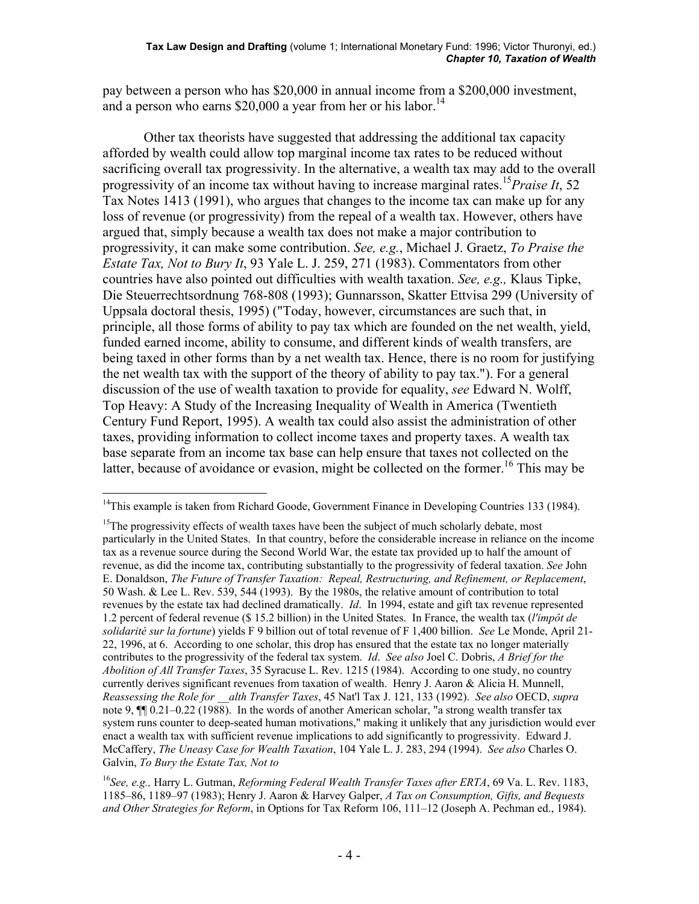pay between a person who has \$20,000 in annual income from a \$200,000 investment, and a person who earns  $$20,000$  a year from her or his labor.<sup>14</sup>

 Other tax theorists have suggested that addressing the additional tax capacity afforded by wealth could allow top marginal income tax rates to be reduced without sacrificing overall tax progressivity. In the alternative, a wealth tax may add to the overall progressivity of an income tax without having to increase marginal rates.<sup>15</sup>*Praise It*, 52 Tax Notes 1413 (1991), who argues that changes to the income tax can make up for any loss of revenue (or progressivity) from the repeal of a wealth tax. However, others have argued that, simply because a wealth tax does not make a major contribution to progressivity, it can make some contribution. *See, e.g.*, Michael J. Graetz, *To Praise the Estate Tax, Not to Bury It*, 93 Yale L. J. 259, 271 (1983). Commentators from other countries have also pointed out difficulties with wealth taxation. *See, e.g.,* Klaus Tipke, Die Steuerrechtsordnung 768-808 (1993); Gunnarsson, Skatter Ettvisa 299 (University of Uppsala doctoral thesis, 1995) ("Today, however, circumstances are such that, in principle, all those forms of ability to pay tax which are founded on the net wealth, yield, funded earned income, ability to consume, and different kinds of wealth transfers, are being taxed in other forms than by a net wealth tax. Hence, there is no room for justifying the net wealth tax with the support of the theory of ability to pay tax."). For a general discussion of the use of wealth taxation to provide for equality, *see* Edward N. Wolff, Top Heavy: A Study of the Increasing Inequality of Wealth in America (Twentieth Century Fund Report, 1995). A wealth tax could also assist the administration of other taxes, providing information to collect income taxes and property taxes. A wealth tax base separate from an income tax base can help ensure that taxes not collected on the latter, because of avoidance or evasion, might be collected on the former.<sup>16</sup> This may be

 $14$ This example is taken from Richard Goode, Government Finance in Developing Countries 133 (1984).

 $<sup>15</sup>$ The progressivity effects of wealth taxes have been the subject of much scholarly debate, most</sup> particularly in the United States. In that country, before the considerable increase in reliance on the income tax as a revenue source during the Second World War, the estate tax provided up to half the amount of revenue, as did the income tax, contributing substantially to the progressivity of federal taxation. *See* John E. Donaldson, *The Future of Transfer Taxation: Repeal, Restructuring, and Refinement, or Replacement*, 50 Wash. & Lee L. Rev. 539, 544 (1993). By the 1980s, the relative amount of contribution to total revenues by the estate tax had declined dramatically. *Id*. In 1994, estate and gift tax revenue represented 1.2 percent of federal revenue (\$ 15.2 billion) in the United States. In France, the wealth tax (*l'impôt de solidarité sur la fortune*) yields F 9 billion out of total revenue of F 1,400 billion. *See* Le Monde, April 21- 22, 1996, at 6. According to one scholar, this drop has ensured that the estate tax no longer materially contributes to the progressivity of the federal tax system. *Id*. *See also* Joel C. Dobris, *A Brief for the Abolition of All Transfer Taxes*, 35 Syracuse L. Rev. 1215 (1984). According to one study, no country currently derives significant revenues from taxation of wealth. Henry J. Aaron & Alicia H. Munnell, *Reassessing the Role for \_\_alth Transfer Taxes*, 45 Nat'l Tax J. 121, 133 (1992). *See also* OECD, *supra* note 9,  $\P$ [0.21–0.22 (1988). In the words of another American scholar, "a strong wealth transfer tax system runs counter to deep-seated human motivations," making it unlikely that any jurisdiction would ever enact a wealth tax with sufficient revenue implications to add significantly to progressivity. Edward J. McCaffery, *The Uneasy Case for Wealth Taxation*, 104 Yale L. J. 283, 294 (1994). *See also* Charles O. Galvin, *To Bury the Estate Tax, Not to* 

<sup>16</sup>*See, e.g.,* Harry L. Gutman, *Reforming Federal Wealth Transfer Taxes after ERTA*, 69 Va. L. Rev. 1183, 1185–86, 1189–97 (1983); Henry J. Aaron & Harvey Galper, *A Tax on Consumption, Gifts, and Bequests and Other Strategies for Reform*, in Options for Tax Reform 106, 111–12 (Joseph A. Pechman ed., 1984).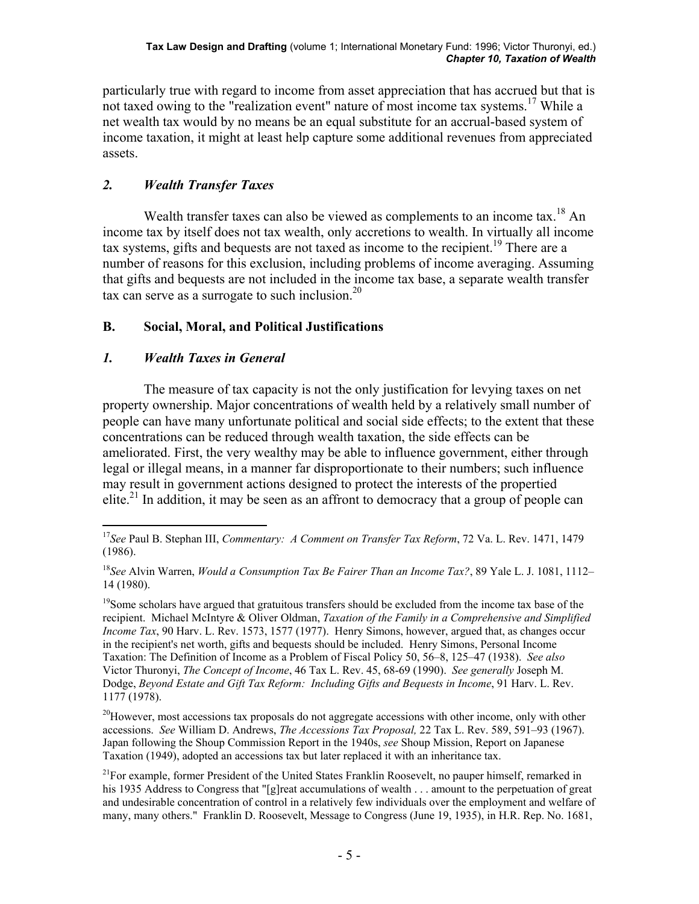particularly true with regard to income from asset appreciation that has accrued but that is not taxed owing to the "realization event" nature of most income tax systems.<sup>17</sup> While a net wealth tax would by no means be an equal substitute for an accrual-based system of income taxation, it might at least help capture some additional revenues from appreciated assets.

# *2. Wealth Transfer Taxes*

Wealth transfer taxes can also be viewed as complements to an income tax.<sup>18</sup> An income tax by itself does not tax wealth, only accretions to wealth. In virtually all income tax systems, gifts and bequests are not taxed as income to the recipient.<sup>19</sup> There are a number of reasons for this exclusion, including problems of income averaging. Assuming that gifts and bequests are not included in the income tax base, a separate wealth transfer tax can serve as a surrogate to such inclusion. $20$ 

# **B. Social, Moral, and Political Justifications**

# *1. Wealth Taxes in General*

 The measure of tax capacity is not the only justification for levying taxes on net property ownership. Major concentrations of wealth held by a relatively small number of people can have many unfortunate political and social side effects; to the extent that these concentrations can be reduced through wealth taxation, the side effects can be ameliorated. First, the very wealthy may be able to influence government, either through legal or illegal means, in a manner far disproportionate to their numbers; such influence may result in government actions designed to protect the interests of the propertied elite.<sup>21</sup> In addition, it may be seen as an affront to democracy that a group of people can

<sup>20</sup>However, most accessions tax proposals do not aggregate accessions with other income, only with other accessions. *See* William D. Andrews, *The Accessions Tax Proposal,* 22 Tax L. Rev. 589, 591–93 (1967). Japan following the Shoup Commission Report in the 1940s, *see* Shoup Mission, Report on Japanese Taxation (1949), adopted an accessions tax but later replaced it with an inheritance tax.

 $\overline{a}$ <sup>17</sup>*See* Paul B. Stephan III, *Commentary: A Comment on Transfer Tax Reform*, 72 Va. L. Rev. 1471, 1479 (1986).

<sup>18</sup>*See* Alvin Warren, *Would a Consumption Tax Be Fairer Than an Income Tax?*, 89 Yale L. J. 1081, 1112– 14 (1980).

<sup>&</sup>lt;sup>19</sup>Some scholars have argued that gratuitous transfers should be excluded from the income tax base of the recipient. Michael McIntyre & Oliver Oldman, *Taxation of the Family in a Comprehensive and Simplified Income Tax*, 90 Harv. L. Rev. 1573, 1577 (1977). Henry Simons, however, argued that, as changes occur in the recipient's net worth, gifts and bequests should be included. Henry Simons, Personal Income Taxation: The Definition of Income as a Problem of Fiscal Policy 50, 56–8, 125–47 (1938). *See also* Victor Thuronyi, *The Concept of Income*, 46 Tax L. Rev. 45, 68-69 (1990). *See generally* Joseph M. Dodge, *Beyond Estate and Gift Tax Reform: Including Gifts and Bequests in Income*, 91 Harv. L. Rev. 1177 (1978).

 $^{21}$ For example, former President of the United States Franklin Roosevelt, no pauper himself, remarked in his 1935 Address to Congress that "[g]reat accumulations of wealth . . . amount to the perpetuation of great and undesirable concentration of control in a relatively few individuals over the employment and welfare of many, many others." Franklin D. Roosevelt, Message to Congress (June 19, 1935), in H.R. Rep. No. 1681,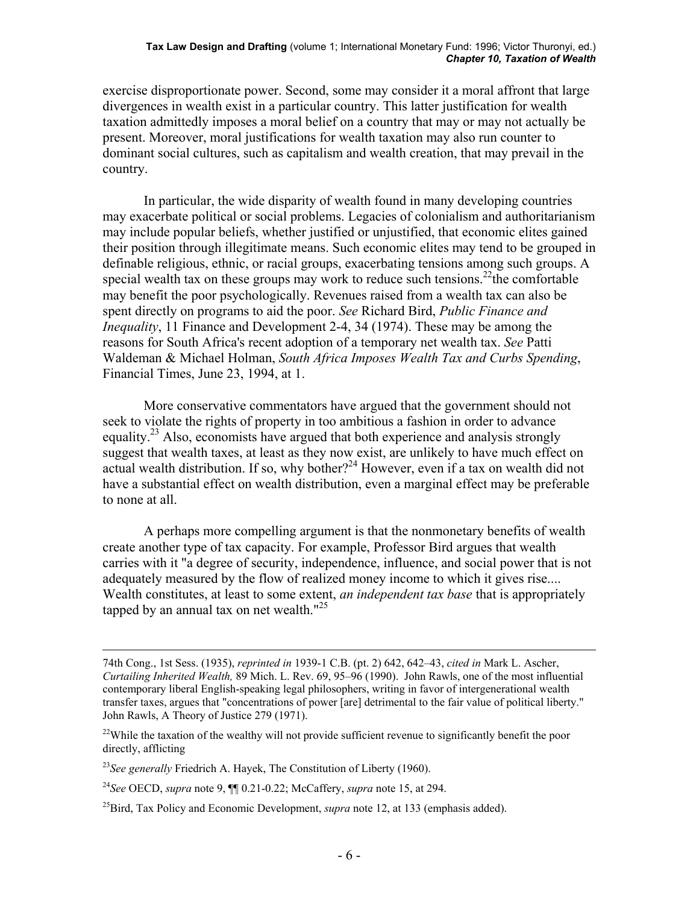exercise disproportionate power. Second, some may consider it a moral affront that large divergences in wealth exist in a particular country. This latter justification for wealth taxation admittedly imposes a moral belief on a country that may or may not actually be present. Moreover, moral justifications for wealth taxation may also run counter to dominant social cultures, such as capitalism and wealth creation, that may prevail in the country.

 In particular, the wide disparity of wealth found in many developing countries may exacerbate political or social problems. Legacies of colonialism and authoritarianism may include popular beliefs, whether justified or unjustified, that economic elites gained their position through illegitimate means. Such economic elites may tend to be grouped in definable religious, ethnic, or racial groups, exacerbating tensions among such groups. A special wealth tax on these groups may work to reduce such tensions.<sup>22</sup>the comfortable may benefit the poor psychologically. Revenues raised from a wealth tax can also be spent directly on programs to aid the poor. *See* Richard Bird, *Public Finance and Inequality*, 11 Finance and Development 2-4, 34 (1974). These may be among the reasons for South Africa's recent adoption of a temporary net wealth tax. *See* Patti Waldeman & Michael Holman, *South Africa Imposes Wealth Tax and Curbs Spending*, Financial Times, June 23, 1994, at 1.

 More conservative commentators have argued that the government should not seek to violate the rights of property in too ambitious a fashion in order to advance equality.<sup>23</sup> Also, economists have argued that both experience and analysis strongly suggest that wealth taxes, at least as they now exist, are unlikely to have much effect on actual wealth distribution. If so, why bother?<sup>24</sup> However, even if a tax on wealth did not have a substantial effect on wealth distribution, even a marginal effect may be preferable to none at all.

 A perhaps more compelling argument is that the nonmonetary benefits of wealth create another type of tax capacity. For example, Professor Bird argues that wealth carries with it "a degree of security, independence, influence, and social power that is not adequately measured by the flow of realized money income to which it gives rise.... Wealth constitutes, at least to some extent, *an independent tax base* that is appropriately tapped by an annual tax on net wealth. $125$ 

 <sup>74</sup>th Cong., 1st Sess. (1935), *reprinted in* 1939-1 C.B. (pt. 2) 642, 642–43, *cited in* Mark L. Ascher, *Curtailing Inherited Wealth,* 89 Mich. L. Rev. 69, 95–96 (1990). John Rawls, one of the most influential contemporary liberal English-speaking legal philosophers, writing in favor of intergenerational wealth transfer taxes, argues that "concentrations of power [are] detrimental to the fair value of political liberty." John Rawls, A Theory of Justice 279 (1971).

<sup>&</sup>lt;sup>22</sup>While the taxation of the wealthy will not provide sufficient revenue to significantly benefit the poor directly, afflicting

<sup>23</sup>*See generally* Friedrich A. Hayek, The Constitution of Liberty (1960).

<sup>24</sup>*See* OECD, *supra* note 9, ¶¶ 0.21-0.22; McCaffery, *supra* note 15, at 294.

<sup>&</sup>lt;sup>25</sup>Bird, Tax Policy and Economic Development, *supra* note 12, at 133 (emphasis added).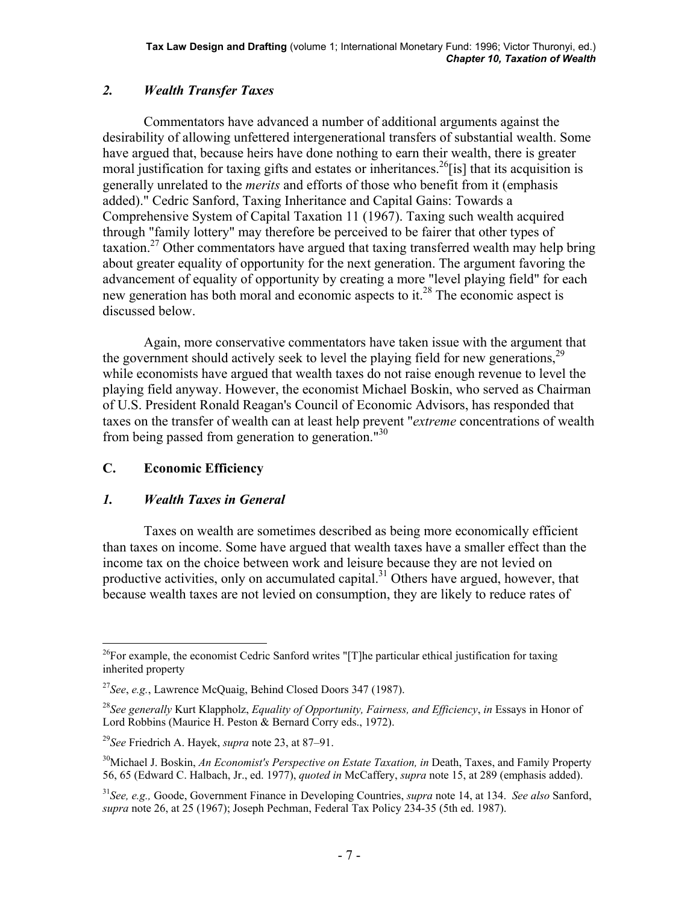# *2. Wealth Transfer Taxes*

 Commentators have advanced a number of additional arguments against the desirability of allowing unfettered intergenerational transfers of substantial wealth. Some have argued that, because heirs have done nothing to earn their wealth, there is greater moral justification for taxing gifts and estates or inheritances.<sup>26</sup>[is] that its acquisition is generally unrelated to the *merits* and efforts of those who benefit from it (emphasis added)." Cedric Sanford, Taxing Inheritance and Capital Gains: Towards a Comprehensive System of Capital Taxation 11 (1967). Taxing such wealth acquired through "family lottery" may therefore be perceived to be fairer that other types of taxation.<sup>27</sup> Other commentators have argued that taxing transferred wealth may help bring about greater equality of opportunity for the next generation. The argument favoring the advancement of equality of opportunity by creating a more "level playing field" for each new generation has both moral and economic aspects to it.<sup>28</sup> The economic aspect is discussed below.

 Again, more conservative commentators have taken issue with the argument that the government should actively seek to level the playing field for new generations,  $2^9$ while economists have argued that wealth taxes do not raise enough revenue to level the playing field anyway. However, the economist Michael Boskin, who served as Chairman of U.S. President Ronald Reagan's Council of Economic Advisors, has responded that taxes on the transfer of wealth can at least help prevent "*extreme* concentrations of wealth from being passed from generation to generation."<sup>30</sup>

# **C. Economic Efficiency**

### *1. Wealth Taxes in General*

 Taxes on wealth are sometimes described as being more economically efficient than taxes on income. Some have argued that wealth taxes have a smaller effect than the income tax on the choice between work and leisure because they are not levied on productive activities, only on accumulated capital.<sup>31</sup> Others have argued, however, that because wealth taxes are not levied on consumption, they are likely to reduce rates of

 $\overline{a}$  $^{26}$ For example, the economist Cedric Sanford writes "[T]he particular ethical justification for taxing inherited property

<sup>27</sup>*See*, *e.g.*, Lawrence McQuaig, Behind Closed Doors 347 (1987).

<sup>28</sup>*See generally* Kurt Klappholz, *Equality of Opportunity, Fairness, and Efficiency*, *in* Essays in Honor of Lord Robbins (Maurice H. Peston & Bernard Corry eds., 1972).

<sup>29</sup>*See* Friedrich A. Hayek, *supra* note 23, at 87–91.

<sup>30</sup>Michael J. Boskin, *An Economist's Perspective on Estate Taxation, in* Death, Taxes, and Family Property 56, 65 (Edward C. Halbach, Jr., ed. 1977), *quoted in* McCaffery, *supra* note 15, at 289 (emphasis added).

<sup>31</sup>*See, e.g.,* Goode, Government Finance in Developing Countries, *supra* note 14, at 134. *See also* Sanford, *supra* note 26, at 25 (1967); Joseph Pechman, Federal Tax Policy 234-35 (5th ed. 1987).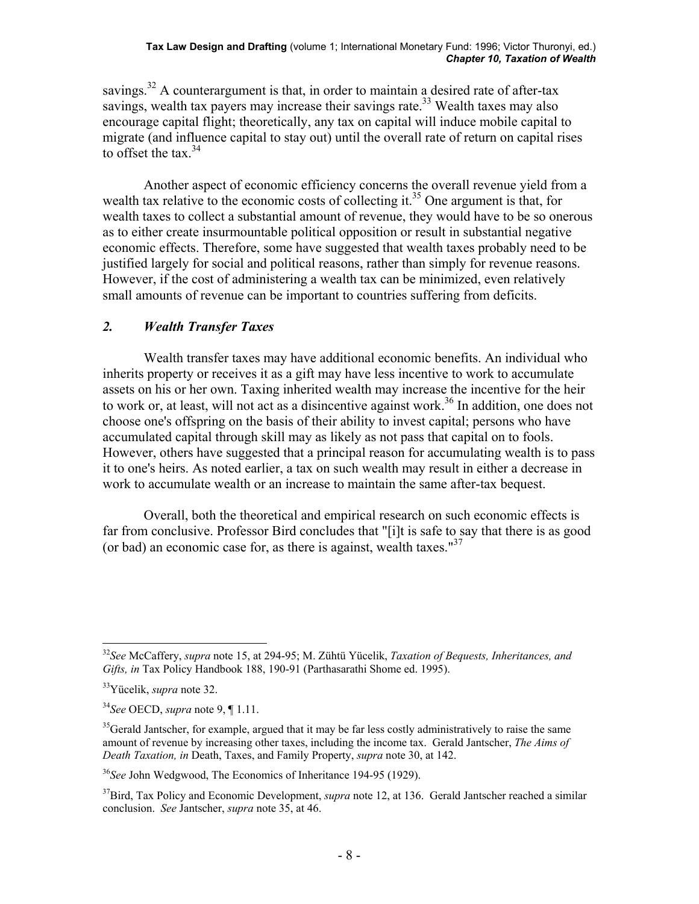savings.<sup>32</sup> A counterargument is that, in order to maintain a desired rate of after-tax savings, wealth tax payers may increase their savings rate.<sup>33</sup> Wealth taxes may also encourage capital flight; theoretically, any tax on capital will induce mobile capital to migrate (and influence capital to stay out) until the overall rate of return on capital rises to offset the tax.  $34$ 

 Another aspect of economic efficiency concerns the overall revenue yield from a wealth tax relative to the economic costs of collecting it.<sup>35</sup> One argument is that, for wealth taxes to collect a substantial amount of revenue, they would have to be so onerous as to either create insurmountable political opposition or result in substantial negative economic effects. Therefore, some have suggested that wealth taxes probably need to be justified largely for social and political reasons, rather than simply for revenue reasons. However, if the cost of administering a wealth tax can be minimized, even relatively small amounts of revenue can be important to countries suffering from deficits.

# *2. Wealth Transfer Taxes*

 Wealth transfer taxes may have additional economic benefits. An individual who inherits property or receives it as a gift may have less incentive to work to accumulate assets on his or her own. Taxing inherited wealth may increase the incentive for the heir to work or, at least, will not act as a disincentive against work.<sup>36</sup> In addition, one does not choose one's offspring on the basis of their ability to invest capital; persons who have accumulated capital through skill may as likely as not pass that capital on to fools. However, others have suggested that a principal reason for accumulating wealth is to pass it to one's heirs. As noted earlier, a tax on such wealth may result in either a decrease in work to accumulate wealth or an increase to maintain the same after-tax bequest.

 Overall, both the theoretical and empirical research on such economic effects is far from conclusive. Professor Bird concludes that "[i]t is safe to say that there is as good (or bad) an economic case for, as there is against, wealth taxes." $37$ 

<sup>1</sup> <sup>32</sup>*See* McCaffery, *supra* note 15, at 294-95; M. Zühtü Yücelik, *Taxation of Bequests, Inheritances, and Gifts, in* Tax Policy Handbook 188, 190-91 (Parthasarathi Shome ed. 1995).

<sup>33</sup>Yücelik, *supra* note 32.

<sup>34</sup>*See* OECD, *supra* note 9, ¶ 1.11.

 $35$ Gerald Jantscher, for example, argued that it may be far less costly administratively to raise the same amount of revenue by increasing other taxes, including the income tax. Gerald Jantscher, *The Aims of Death Taxation, in* Death, Taxes, and Family Property, *supra* note 30, at 142.

<sup>36</sup>*See* John Wedgwood, The Economics of Inheritance 194-95 (1929).

<sup>&</sup>lt;sup>37</sup>Bird, Tax Policy and Economic Development, *supra* note 12, at 136. Gerald Jantscher reached a similar conclusion. *See* Jantscher, *supra* note 35, at 46.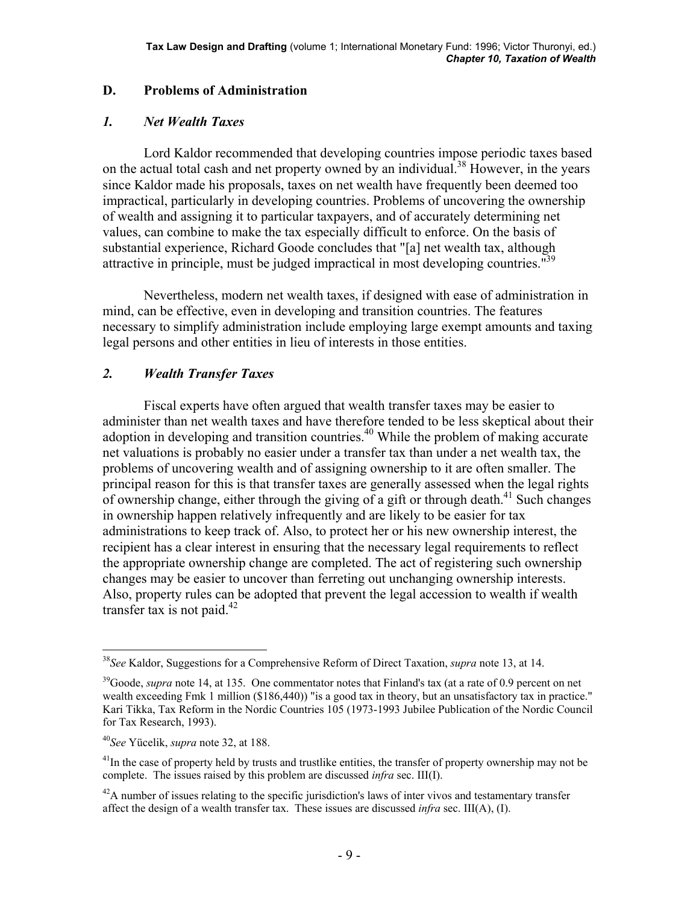#### **D. Problems of Administration**

### *1. Net Wealth Taxes*

 Lord Kaldor recommended that developing countries impose periodic taxes based on the actual total cash and net property owned by an individual.<sup>38</sup> However, in the years since Kaldor made his proposals, taxes on net wealth have frequently been deemed too impractical, particularly in developing countries. Problems of uncovering the ownership of wealth and assigning it to particular taxpayers, and of accurately determining net values, can combine to make the tax especially difficult to enforce. On the basis of substantial experience, Richard Goode concludes that "[a] net wealth tax, although attractive in principle, must be judged impractical in most developing countries."<sup>39</sup>

 Nevertheless, modern net wealth taxes, if designed with ease of administration in mind, can be effective, even in developing and transition countries. The features necessary to simplify administration include employing large exempt amounts and taxing legal persons and other entities in lieu of interests in those entities.

### *2. Wealth Transfer Taxes*

 Fiscal experts have often argued that wealth transfer taxes may be easier to administer than net wealth taxes and have therefore tended to be less skeptical about their adoption in developing and transition countries.<sup>40</sup> While the problem of making accurate net valuations is probably no easier under a transfer tax than under a net wealth tax, the problems of uncovering wealth and of assigning ownership to it are often smaller. The principal reason for this is that transfer taxes are generally assessed when the legal rights of ownership change, either through the giving of a gift or through death.<sup>41</sup> Such changes in ownership happen relatively infrequently and are likely to be easier for tax administrations to keep track of. Also, to protect her or his new ownership interest, the recipient has a clear interest in ensuring that the necessary legal requirements to reflect the appropriate ownership change are completed. The act of registering such ownership changes may be easier to uncover than ferreting out unchanging ownership interests. Also, property rules can be adopted that prevent the legal accession to wealth if wealth transfer tax is not paid.<sup>42</sup>

<sup>38</sup>*See* Kaldor, Suggestions for a Comprehensive Reform of Direct Taxation, *supra* note 13, at 14.

<sup>&</sup>lt;sup>39</sup>Goode, *supra* note 14, at 135. One commentator notes that Finland's tax (at a rate of 0.9 percent on net wealth exceeding Fmk 1 million (\$186,440)) "is a good tax in theory, but an unsatisfactory tax in practice." Kari Tikka, Tax Reform in the Nordic Countries 105 (1973-1993 Jubilee Publication of the Nordic Council for Tax Research, 1993).

<sup>40</sup>*See* Yücelik, *supra* note 32, at 188.

 $41$ In the case of property held by trusts and trustlike entities, the transfer of property ownership may not be complete. The issues raised by this problem are discussed *infra* sec. III(I).

 $^{42}$ A number of issues relating to the specific jurisdiction's laws of inter vivos and testamentary transfer affect the design of a wealth transfer tax. These issues are discussed *infra* sec. III(A), (I).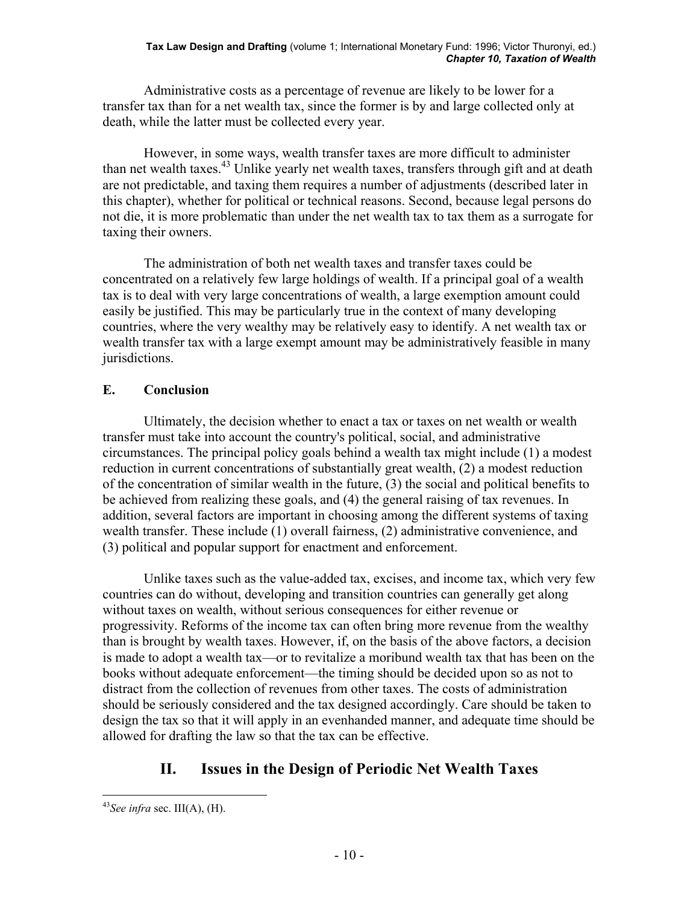Administrative costs as a percentage of revenue are likely to be lower for a transfer tax than for a net wealth tax, since the former is by and large collected only at death, while the latter must be collected every year.

 However, in some ways, wealth transfer taxes are more difficult to administer than net wealth taxes.<sup>43</sup> Unlike yearly net wealth taxes, transfers through gift and at death are not predictable, and taxing them requires a number of adjustments (described later in this chapter), whether for political or technical reasons. Second, because legal persons do not die, it is more problematic than under the net wealth tax to tax them as a surrogate for taxing their owners.

 The administration of both net wealth taxes and transfer taxes could be concentrated on a relatively few large holdings of wealth. If a principal goal of a wealth tax is to deal with very large concentrations of wealth, a large exemption amount could easily be justified. This may be particularly true in the context of many developing countries, where the very wealthy may be relatively easy to identify. A net wealth tax or wealth transfer tax with a large exempt amount may be administratively feasible in many jurisdictions.

# **E. Conclusion**

 Ultimately, the decision whether to enact a tax or taxes on net wealth or wealth transfer must take into account the country's political, social, and administrative circumstances. The principal policy goals behind a wealth tax might include (1) a modest reduction in current concentrations of substantially great wealth, (2) a modest reduction of the concentration of similar wealth in the future, (3) the social and political benefits to be achieved from realizing these goals, and (4) the general raising of tax revenues. In addition, several factors are important in choosing among the different systems of taxing wealth transfer. These include (1) overall fairness, (2) administrative convenience, and (3) political and popular support for enactment and enforcement.

 Unlike taxes such as the value-added tax, excises, and income tax, which very few countries can do without, developing and transition countries can generally get along without taxes on wealth, without serious consequences for either revenue or progressivity. Reforms of the income tax can often bring more revenue from the wealthy than is brought by wealth taxes. However, if, on the basis of the above factors, a decision is made to adopt a wealth tax—or to revitalize a moribund wealth tax that has been on the books without adequate enforcement—the timing should be decided upon so as not to distract from the collection of revenues from other taxes. The costs of administration should be seriously considered and the tax designed accordingly. Care should be taken to design the tax so that it will apply in an evenhanded manner, and adequate time should be allowed for drafting the law so that the tax can be effective.

# **II. Issues in the Design of Periodic Net Wealth Taxes**

 $43$ *See infra* sec. III(A), (H).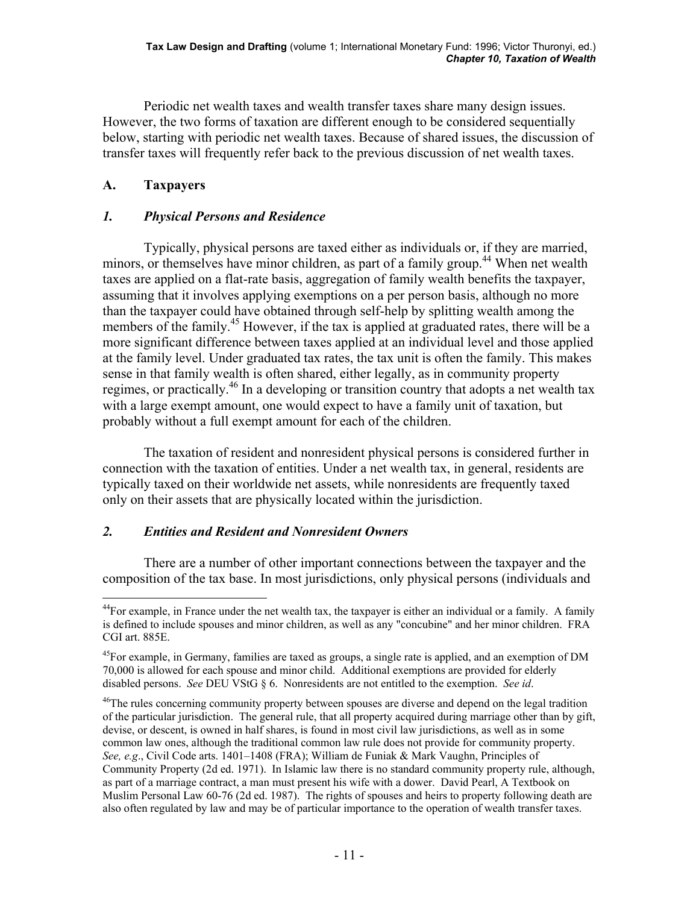Periodic net wealth taxes and wealth transfer taxes share many design issues. However, the two forms of taxation are different enough to be considered sequentially below, starting with periodic net wealth taxes. Because of shared issues, the discussion of transfer taxes will frequently refer back to the previous discussion of net wealth taxes.

# **A. Taxpayers**

### *1. Physical Persons and Residence*

 Typically, physical persons are taxed either as individuals or, if they are married, minors, or themselves have minor children, as part of a family group.<sup>44</sup> When net wealth taxes are applied on a flat-rate basis, aggregation of family wealth benefits the taxpayer, assuming that it involves applying exemptions on a per person basis, although no more than the taxpayer could have obtained through self-help by splitting wealth among the members of the family.<sup>45</sup> However, if the tax is applied at graduated rates, there will be a more significant difference between taxes applied at an individual level and those applied at the family level. Under graduated tax rates, the tax unit is often the family. This makes sense in that family wealth is often shared, either legally, as in community property regimes, or practically.<sup>46</sup> In a developing or transition country that adopts a net wealth tax with a large exempt amount, one would expect to have a family unit of taxation, but probably without a full exempt amount for each of the children.

 The taxation of resident and nonresident physical persons is considered further in connection with the taxation of entities. Under a net wealth tax, in general, residents are typically taxed on their worldwide net assets, while nonresidents are frequently taxed only on their assets that are physically located within the jurisdiction.

### *2. Entities and Resident and Nonresident Owners*

 There are a number of other important connections between the taxpayer and the composition of the tax base. In most jurisdictions, only physical persons (individuals and

 $\overline{a}$  $44$ For example, in France under the net wealth tax, the taxpayer is either an individual or a family. A family is defined to include spouses and minor children, as well as any "concubine" and her minor children. FRA CGI art. 885E.

<sup>&</sup>lt;sup>45</sup>For example, in Germany, families are taxed as groups, a single rate is applied, and an exemption of DM 70,000 is allowed for each spouse and minor child. Additional exemptions are provided for elderly disabled persons. *See* DEU VStG § 6. Nonresidents are not entitled to the exemption. *See id*.

<sup>&</sup>lt;sup>46</sup>The rules concerning community property between spouses are diverse and depend on the legal tradition of the particular jurisdiction. The general rule, that all property acquired during marriage other than by gift, devise, or descent, is owned in half shares, is found in most civil law jurisdictions, as well as in some common law ones, although the traditional common law rule does not provide for community property. *See, e.g*., Civil Code arts. 1401–1408 (FRA); William de Funiak & Mark Vaughn, Principles of Community Property (2d ed. 1971). In Islamic law there is no standard community property rule, although, as part of a marriage contract, a man must present his wife with a dower. David Pearl, A Textbook on Muslim Personal Law 60-76 (2d ed. 1987). The rights of spouses and heirs to property following death are also often regulated by law and may be of particular importance to the operation of wealth transfer taxes.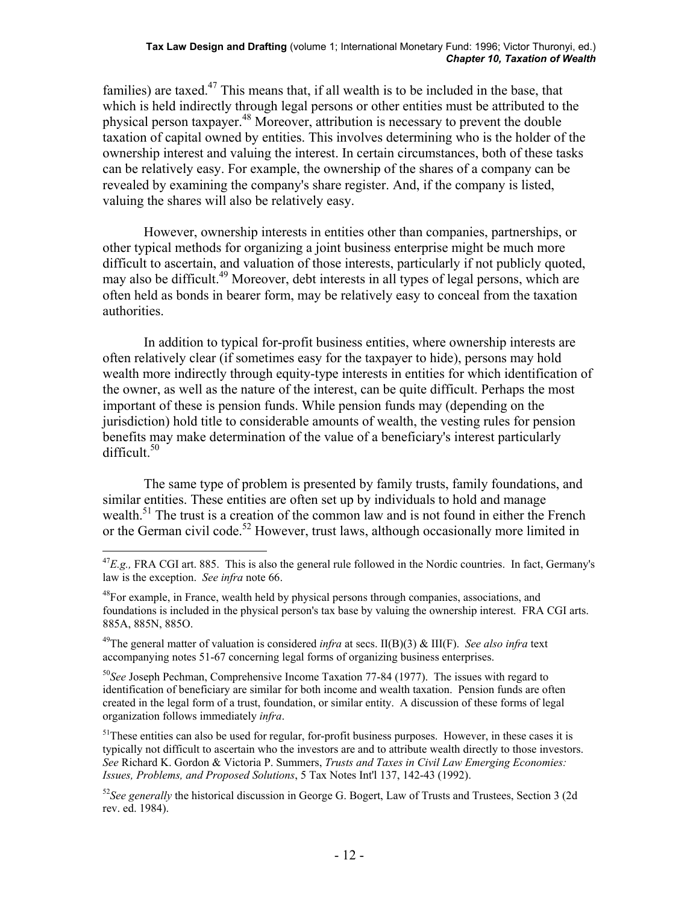families) are taxed. $47$  This means that, if all wealth is to be included in the base, that which is held indirectly through legal persons or other entities must be attributed to the physical person taxpayer.48 Moreover, attribution is necessary to prevent the double taxation of capital owned by entities. This involves determining who is the holder of the ownership interest and valuing the interest. In certain circumstances, both of these tasks can be relatively easy. For example, the ownership of the shares of a company can be revealed by examining the company's share register. And, if the company is listed, valuing the shares will also be relatively easy.

 However, ownership interests in entities other than companies, partnerships, or other typical methods for organizing a joint business enterprise might be much more difficult to ascertain, and valuation of those interests, particularly if not publicly quoted, may also be difficult.<sup>49</sup> Moreover, debt interests in all types of legal persons, which are often held as bonds in bearer form, may be relatively easy to conceal from the taxation authorities.

 In addition to typical for-profit business entities, where ownership interests are often relatively clear (if sometimes easy for the taxpayer to hide), persons may hold wealth more indirectly through equity-type interests in entities for which identification of the owner, as well as the nature of the interest, can be quite difficult. Perhaps the most important of these is pension funds. While pension funds may (depending on the jurisdiction) hold title to considerable amounts of wealth, the vesting rules for pension benefits may make determination of the value of a beneficiary's interest particularly difficult. $50$ 

 The same type of problem is presented by family trusts, family foundations, and similar entities. These entities are often set up by individuals to hold and manage wealth.<sup>51</sup> The trust is a creation of the common law and is not found in either the French or the German civil code.<sup>52</sup> However, trust laws, although occasionally more limited in

 $\overline{a}$ 

<sup>50</sup>*See* Joseph Pechman, Comprehensive Income Taxation 77-84 (1977). The issues with regard to identification of beneficiary are similar for both income and wealth taxation. Pension funds are often created in the legal form of a trust, foundation, or similar entity. A discussion of these forms of legal organization follows immediately *infra*.

<sup>51</sup>These entities can also be used for regular, for-profit business purposes. However, in these cases it is typically not difficult to ascertain who the investors are and to attribute wealth directly to those investors. *See* Richard K. Gordon & Victoria P. Summers, *Trusts and Taxes in Civil Law Emerging Economies: Issues, Problems, and Proposed Solutions*, 5 Tax Notes Int'l 137, 142-43 (1992).

 $^{47}E.g.,$  FRA CGI art. 885. This is also the general rule followed in the Nordic countries. In fact, Germany's law is the exception. *See infra* note 66.

<sup>&</sup>lt;sup>48</sup>For example, in France, wealth held by physical persons through companies, associations, and foundations is included in the physical person's tax base by valuing the ownership interest. FRA CGI arts. 885A, 885N, 885O.

<sup>49</sup>The general matter of valuation is considered *infra* at secs. II(B)(3) & III(F). *See also infra* text accompanying notes 51-67 concerning legal forms of organizing business enterprises.

<sup>&</sup>lt;sup>52</sup>See generally the historical discussion in George G. Bogert, Law of Trusts and Trustees, Section 3 (2d rev. ed. 1984).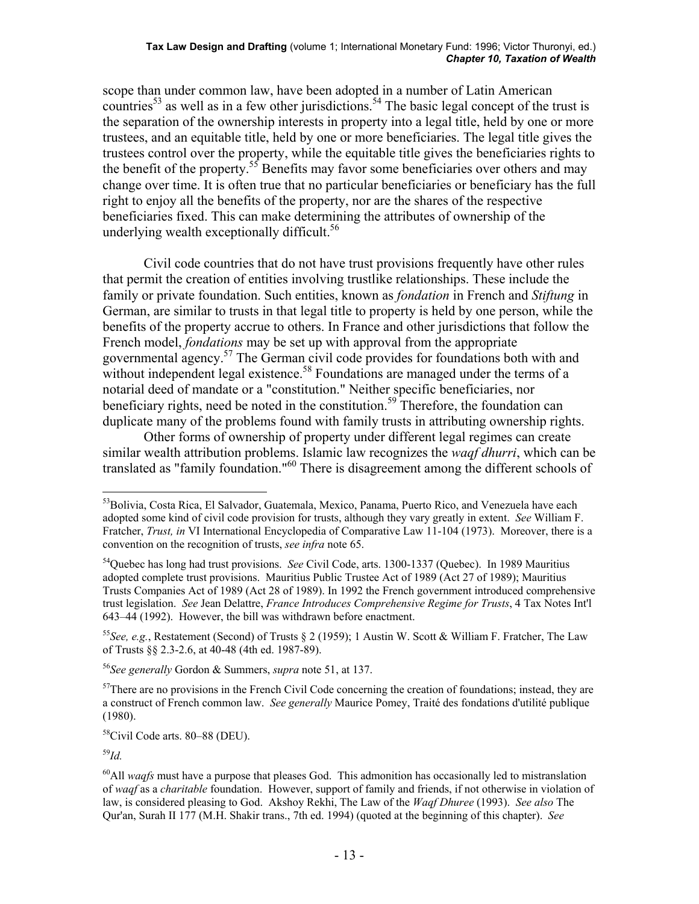#### **Tax Law Design and Drafting** (volume 1; International Monetary Fund: 1996; Victor Thuronyi, ed.) *Chapter 10, Taxation of Wealth*

scope than under common law, have been adopted in a number of Latin American countries<sup>53</sup> as well as in a few other jurisdictions.<sup>54</sup> The basic legal concept of the trust is the separation of the ownership interests in property into a legal title, held by one or more trustees, and an equitable title, held by one or more beneficiaries. The legal title gives the trustees control over the property, while the equitable title gives the beneficiaries rights to the benefit of the property.<sup>55</sup> Benefits may favor some beneficiaries over others and may change over time. It is often true that no particular beneficiaries or beneficiary has the full right to enjoy all the benefits of the property, nor are the shares of the respective beneficiaries fixed. This can make determining the attributes of ownership of the underlying wealth exceptionally difficult.<sup>56</sup>

 Civil code countries that do not have trust provisions frequently have other rules that permit the creation of entities involving trustlike relationships. These include the family or private foundation. Such entities, known as *fondation* in French and *Stiftung* in German, are similar to trusts in that legal title to property is held by one person, while the benefits of the property accrue to others. In France and other jurisdictions that follow the French model, *fondations* may be set up with approval from the appropriate governmental agency.<sup>57</sup> The German civil code provides for foundations both with and without independent legal existence.<sup>58</sup> Foundations are managed under the terms of a notarial deed of mandate or a "constitution." Neither specific beneficiaries, nor beneficiary rights, need be noted in the constitution.<sup>59</sup> Therefore, the foundation can duplicate many of the problems found with family trusts in attributing ownership rights.

 Other forms of ownership of property under different legal regimes can create similar wealth attribution problems. Islamic law recognizes the *waqf dhurri*, which can be translated as "family foundation."60 There is disagreement among the different schools of

<sup>55</sup>*See, e.g.*, Restatement (Second) of Trusts § 2 (1959); 1 Austin W. Scott & William F. Fratcher, The Law of Trusts §§ 2.3-2.6, at 40-48 (4th ed. 1987-89).

<sup>56</sup>*See generally* Gordon & Summers, *supra* note 51, at 137.

58Civil Code arts. 80–88 (DEU).

<sup>59</sup>*Id.*

1

<sup>&</sup>lt;sup>53</sup>Bolivia, Costa Rica, El Salvador, Guatemala, Mexico, Panama, Puerto Rico, and Venezuela have each adopted some kind of civil code provision for trusts, although they vary greatly in extent. *See* William F. Fratcher, *Trust, in* VI International Encyclopedia of Comparative Law 11-104 (1973). Moreover, there is a convention on the recognition of trusts, *see infra* note 65.

<sup>54</sup>Quebec has long had trust provisions. *See* Civil Code, arts. 1300-1337 (Quebec). In 1989 Mauritius adopted complete trust provisions. Mauritius Public Trustee Act of 1989 (Act 27 of 1989); Mauritius Trusts Companies Act of 1989 (Act 28 of 1989). In 1992 the French government introduced comprehensive trust legislation. *See* Jean Delattre, *France Introduces Comprehensive Regime for Trusts*, 4 Tax Notes Int'l 643–44 (1992). However, the bill was withdrawn before enactment.

 $57$ There are no provisions in the French Civil Code concerning the creation of foundations; instead, they are a construct of French common law. *See generally* Maurice Pomey, Traité des fondations d'utilité publique (1980).

<sup>&</sup>lt;sup>60</sup>All *waqfs* must have a purpose that pleases God. This admonition has occasionally led to mistranslation of *waqf* as a *charitable* foundation. However, support of family and friends, if not otherwise in violation of law, is considered pleasing to God. Akshoy Rekhi, The Law of the *Waqf Dhuree* (1993). *See also* The Qur'an, Surah II 177 (M.H. Shakir trans., 7th ed. 1994) (quoted at the beginning of this chapter). *See*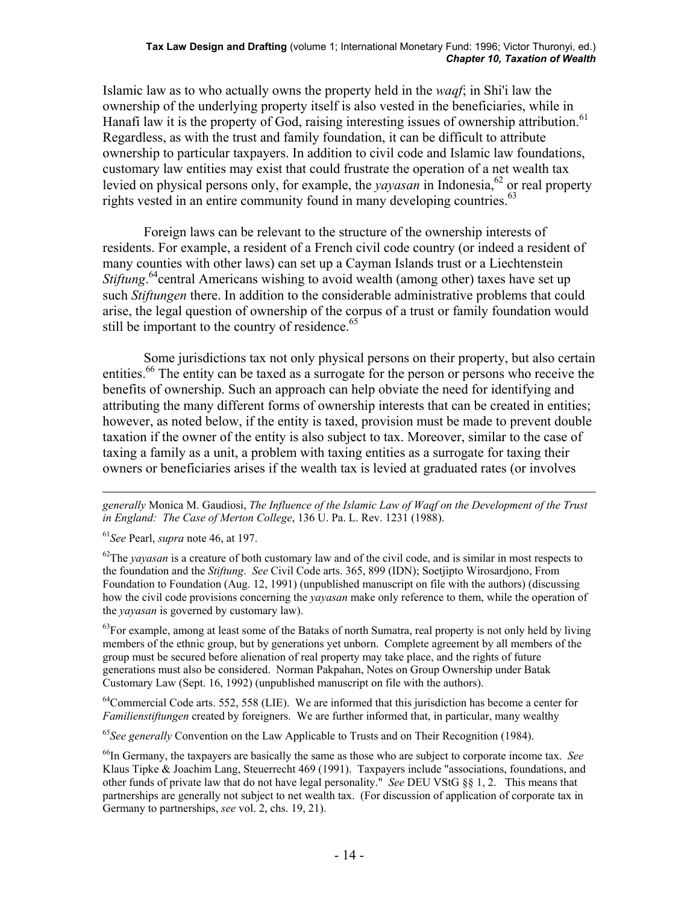Islamic law as to who actually owns the property held in the *waqf*; in Shi'i law the ownership of the underlying property itself is also vested in the beneficiaries, while in Hanafi law it is the property of God, raising interesting issues of ownership attribution.<sup>61</sup> Regardless, as with the trust and family foundation, it can be difficult to attribute ownership to particular taxpayers. In addition to civil code and Islamic law foundations, customary law entities may exist that could frustrate the operation of a net wealth tax levied on physical persons only, for example, the *yayasan* in Indonesia,<sup>62</sup> or real property rights vested in an entire community found in many developing countries.<sup>63</sup>

 Foreign laws can be relevant to the structure of the ownership interests of residents. For example, a resident of a French civil code country (or indeed a resident of many counties with other laws) can set up a Cayman Islands trust or a Liechtenstein *Stiftung*.<sup>64</sup>central Americans wishing to avoid wealth (among other) taxes have set up such *Stiftungen* there. In addition to the considerable administrative problems that could arise, the legal question of ownership of the corpus of a trust or family foundation would still be important to the country of residence.<sup>65</sup>

 Some jurisdictions tax not only physical persons on their property, but also certain entities.<sup>66</sup> The entity can be taxed as a surrogate for the person or persons who receive the benefits of ownership. Such an approach can help obviate the need for identifying and attributing the many different forms of ownership interests that can be created in entities; however, as noted below, if the entity is taxed, provision must be made to prevent double taxation if the owner of the entity is also subject to tax. Moreover, similar to the case of taxing a family as a unit, a problem with taxing entities as a surrogate for taxing their owners or beneficiaries arises if the wealth tax is levied at graduated rates (or involves

<sup>61</sup>*See* Pearl, *supra* note 46, at 197.

<sup>62</sup>The *yayasan* is a creature of both customary law and of the civil code, and is similar in most respects to the foundation and the *Stiftung*. *See* Civil Code arts. 365, 899 (IDN); Soetjipto Wirosardjono, From Foundation to Foundation (Aug. 12, 1991) (unpublished manuscript on file with the authors) (discussing how the civil code provisions concerning the *yayasan* make only reference to them, while the operation of the *yayasan* is governed by customary law).

 $^{63}$ For example, among at least some of the Bataks of north Sumatra, real property is not only held by living members of the ethnic group, but by generations yet unborn. Complete agreement by all members of the group must be secured before alienation of real property may take place, and the rights of future generations must also be considered. Norman Pakpahan, Notes on Group Ownership under Batak Customary Law (Sept. 16, 1992) (unpublished manuscript on file with the authors).

 $^{64}$ Commercial Code arts. 552, 558 (LIE). We are informed that this jurisdiction has become a center for *Familienstiftungen* created by foreigners. We are further informed that, in particular, many wealthy

<sup>65</sup>*See generally* Convention on the Law Applicable to Trusts and on Their Recognition (1984).

66In Germany, the taxpayers are basically the same as those who are subject to corporate income tax. *See* Klaus Tipke & Joachim Lang, Steuerrecht 469 (1991). Taxpayers include "associations, foundations, and other funds of private law that do not have legal personality." *See* DEU VStG §§ 1, 2. This means that partnerships are generally not subject to net wealth tax. (For discussion of application of corporate tax in Germany to partnerships, *see* vol. 2, chs. 19, 21).

<sup>1</sup> *generally* Monica M. Gaudiosi, *The Influence of the Islamic Law of Waqf on the Development of the Trust in England: The Case of Merton College*, 136 U. Pa. L. Rev. 1231 (1988).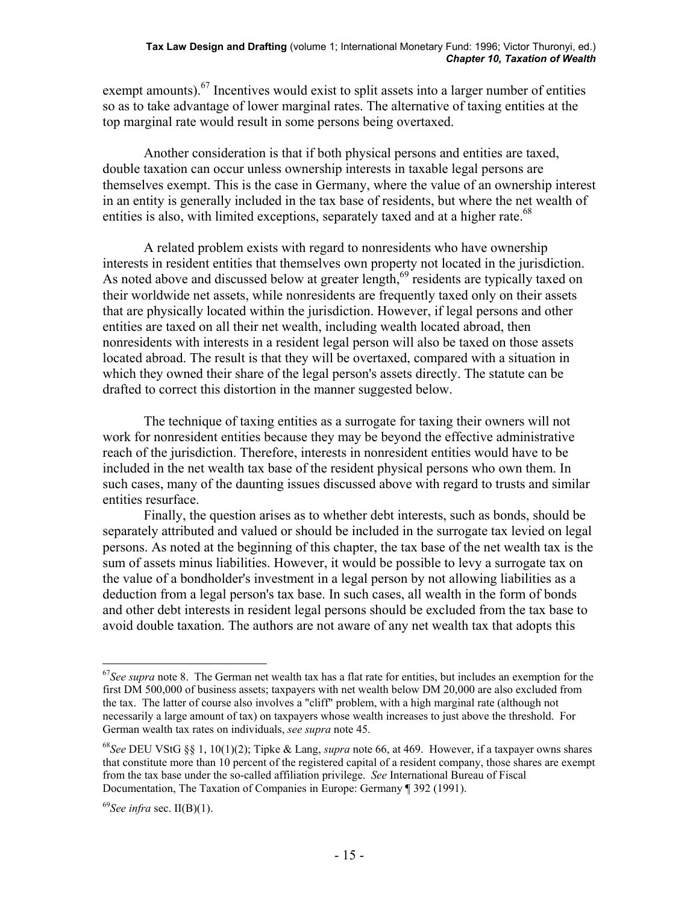exempt amounts).<sup>67</sup> Incentives would exist to split assets into a larger number of entities so as to take advantage of lower marginal rates. The alternative of taxing entities at the top marginal rate would result in some persons being overtaxed.

 Another consideration is that if both physical persons and entities are taxed, double taxation can occur unless ownership interests in taxable legal persons are themselves exempt. This is the case in Germany, where the value of an ownership interest in an entity is generally included in the tax base of residents, but where the net wealth of entities is also, with limited exceptions, separately taxed and at a higher rate.<sup>68</sup>

 A related problem exists with regard to nonresidents who have ownership interests in resident entities that themselves own property not located in the jurisdiction. As noted above and discussed below at greater length, $69$  residents are typically taxed on their worldwide net assets, while nonresidents are frequently taxed only on their assets that are physically located within the jurisdiction. However, if legal persons and other entities are taxed on all their net wealth, including wealth located abroad, then nonresidents with interests in a resident legal person will also be taxed on those assets located abroad. The result is that they will be overtaxed, compared with a situation in which they owned their share of the legal person's assets directly. The statute can be drafted to correct this distortion in the manner suggested below.

 The technique of taxing entities as a surrogate for taxing their owners will not work for nonresident entities because they may be beyond the effective administrative reach of the jurisdiction. Therefore, interests in nonresident entities would have to be included in the net wealth tax base of the resident physical persons who own them. In such cases, many of the daunting issues discussed above with regard to trusts and similar entities resurface.

 Finally, the question arises as to whether debt interests, such as bonds, should be separately attributed and valued or should be included in the surrogate tax levied on legal persons. As noted at the beginning of this chapter, the tax base of the net wealth tax is the sum of assets minus liabilities. However, it would be possible to levy a surrogate tax on the value of a bondholder's investment in a legal person by not allowing liabilities as a deduction from a legal person's tax base. In such cases, all wealth in the form of bonds and other debt interests in resident legal persons should be excluded from the tax base to avoid double taxation. The authors are not aware of any net wealth tax that adopts this

<sup>67</sup>*See supra* note 8. The German net wealth tax has a flat rate for entities, but includes an exemption for the first DM 500,000 of business assets; taxpayers with net wealth below DM 20,000 are also excluded from the tax. The latter of course also involves a "cliff" problem, with a high marginal rate (although not necessarily a large amount of tax) on taxpayers whose wealth increases to just above the threshold. For German wealth tax rates on individuals, *see supra* note 45.

<sup>68</sup>*See* DEU VStG §§ 1, 10(1)(2); Tipke & Lang, *supra* note 66, at 469. However, if a taxpayer owns shares that constitute more than 10 percent of the registered capital of a resident company, those shares are exempt from the tax base under the so-called affiliation privilege. *See* International Bureau of Fiscal Documentation, The Taxation of Companies in Europe: Germany ¶ 392 (1991).

<sup>69</sup>*See infra* sec. II(B)(1).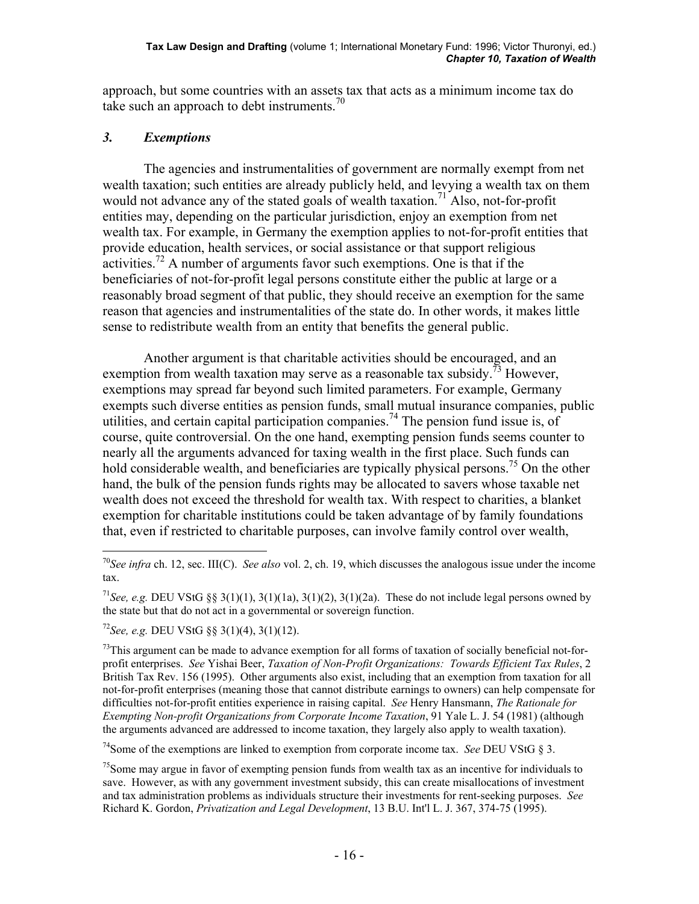approach, but some countries with an assets tax that acts as a minimum income tax do take such an approach to debt instruments.<sup>70</sup>

## *3. Exemptions*

 The agencies and instrumentalities of government are normally exempt from net wealth taxation; such entities are already publicly held, and levying a wealth tax on them would not advance any of the stated goals of wealth taxation.<sup>71</sup> Also, not-for-profit entities may, depending on the particular jurisdiction, enjoy an exemption from net wealth tax. For example, in Germany the exemption applies to not-for-profit entities that provide education, health services, or social assistance or that support religious activities.<sup>72</sup> A number of arguments favor such exemptions. One is that if the beneficiaries of not-for-profit legal persons constitute either the public at large or a reasonably broad segment of that public, they should receive an exemption for the same reason that agencies and instrumentalities of the state do. In other words, it makes little sense to redistribute wealth from an entity that benefits the general public.

 Another argument is that charitable activities should be encouraged, and an exemption from wealth taxation may serve as a reasonable tax subsidy.<sup>73</sup> However, exemptions may spread far beyond such limited parameters. For example, Germany exempts such diverse entities as pension funds, small mutual insurance companies, public utilities, and certain capital participation companies.<sup>74</sup> The pension fund issue is, of course, quite controversial. On the one hand, exempting pension funds seems counter to nearly all the arguments advanced for taxing wealth in the first place. Such funds can hold considerable wealth, and beneficiaries are typically physical persons.<sup>75</sup> On the other hand, the bulk of the pension funds rights may be allocated to savers whose taxable net wealth does not exceed the threshold for wealth tax. With respect to charities, a blanket exemption for charitable institutions could be taken advantage of by family foundations that, even if restricted to charitable purposes, can involve family control over wealth,

<sup>72</sup>*See, e.g.* DEU VStG §§ 3(1)(4), 3(1)(12).

 $^{73}$ This argument can be made to advance exemption for all forms of taxation of socially beneficial not-forprofit enterprises. *See* Yishai Beer, *Taxation of Non-Profit Organizations: Towards Efficient Tax Rules*, 2 British Tax Rev. 156 (1995). Other arguments also exist, including that an exemption from taxation for all not-for-profit enterprises (meaning those that cannot distribute earnings to owners) can help compensate for difficulties not-for-profit entities experience in raising capital. *See* Henry Hansmann, *The Rationale for Exempting Non-profit Organizations from Corporate Income Taxation*, 91 Yale L. J. 54 (1981) (although the arguments advanced are addressed to income taxation, they largely also apply to wealth taxation).

74Some of the exemptions are linked to exemption from corporate income tax. *See* DEU VStG § 3.

<sup>75</sup>Some may argue in favor of exempting pension funds from wealth tax as an incentive for individuals to save. However, as with any government investment subsidy, this can create misallocations of investment and tax administration problems as individuals structure their investments for rent-seeking purposes. *See* Richard K. Gordon, *Privatization and Legal Development*, 13 B.U. Int'l L. J. 367, 374-75 (1995).

 $\overline{a}$ <sup>70</sup>*See infra* ch. 12, sec. III(C). *See also* vol. 2, ch. 19, which discusses the analogous issue under the income tax.

<sup>&</sup>lt;sup>71</sup>See, e.g. DEU VStG §§ 3(1)(1), 3(1)(1a), 3(1)(2), 3(1)(2a). These do not include legal persons owned by the state but that do not act in a governmental or sovereign function.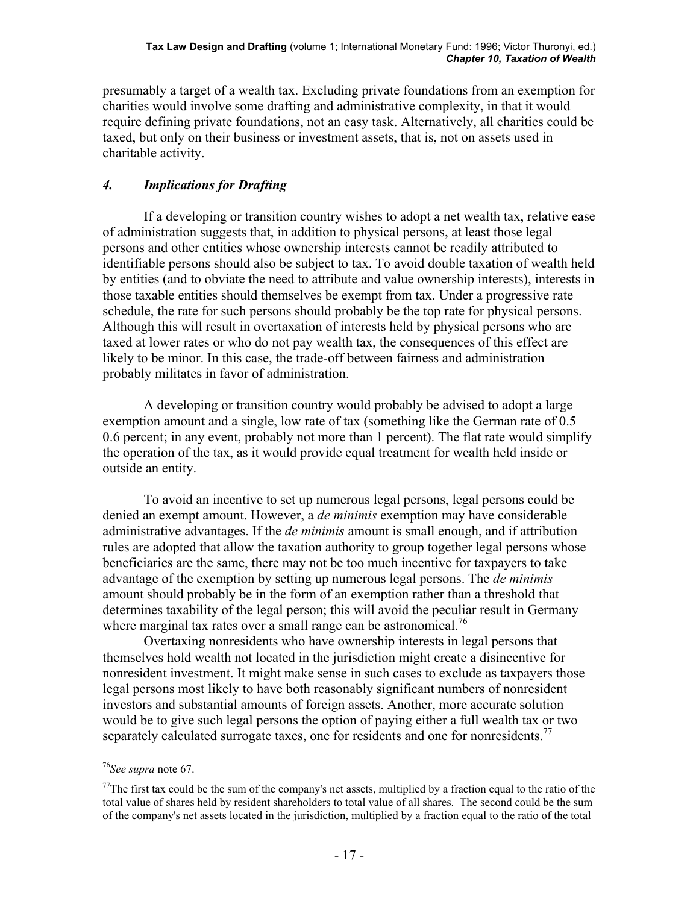presumably a target of a wealth tax. Excluding private foundations from an exemption for charities would involve some drafting and administrative complexity, in that it would require defining private foundations, not an easy task. Alternatively, all charities could be taxed, but only on their business or investment assets, that is, not on assets used in charitable activity.

# *4. Implications for Drafting*

 If a developing or transition country wishes to adopt a net wealth tax, relative ease of administration suggests that, in addition to physical persons, at least those legal persons and other entities whose ownership interests cannot be readily attributed to identifiable persons should also be subject to tax. To avoid double taxation of wealth held by entities (and to obviate the need to attribute and value ownership interests), interests in those taxable entities should themselves be exempt from tax. Under a progressive rate schedule, the rate for such persons should probably be the top rate for physical persons. Although this will result in overtaxation of interests held by physical persons who are taxed at lower rates or who do not pay wealth tax, the consequences of this effect are likely to be minor. In this case, the trade-off between fairness and administration probably militates in favor of administration.

 A developing or transition country would probably be advised to adopt a large exemption amount and a single, low rate of tax (something like the German rate of 0.5– 0.6 percent; in any event, probably not more than 1 percent). The flat rate would simplify the operation of the tax, as it would provide equal treatment for wealth held inside or outside an entity.

 To avoid an incentive to set up numerous legal persons, legal persons could be denied an exempt amount. However, a *de minimis* exemption may have considerable administrative advantages. If the *de minimis* amount is small enough, and if attribution rules are adopted that allow the taxation authority to group together legal persons whose beneficiaries are the same, there may not be too much incentive for taxpayers to take advantage of the exemption by setting up numerous legal persons. The *de minimis* amount should probably be in the form of an exemption rather than a threshold that determines taxability of the legal person; this will avoid the peculiar result in Germany where marginal tax rates over a small range can be astronomical.<sup>76</sup>

 Overtaxing nonresidents who have ownership interests in legal persons that themselves hold wealth not located in the jurisdiction might create a disincentive for nonresident investment. It might make sense in such cases to exclude as taxpayers those legal persons most likely to have both reasonably significant numbers of nonresident investors and substantial amounts of foreign assets. Another, more accurate solution would be to give such legal persons the option of paying either a full wealth tax or two separately calculated surrogate taxes, one for residents and one for nonresidents.<sup>77</sup>

<u>.</u>

<sup>76</sup>*See supra* note 67.

<sup>&</sup>lt;sup>77</sup>The first tax could be the sum of the company's net assets, multiplied by a fraction equal to the ratio of the total value of shares held by resident shareholders to total value of all shares. The second could be the sum of the company's net assets located in the jurisdiction, multiplied by a fraction equal to the ratio of the total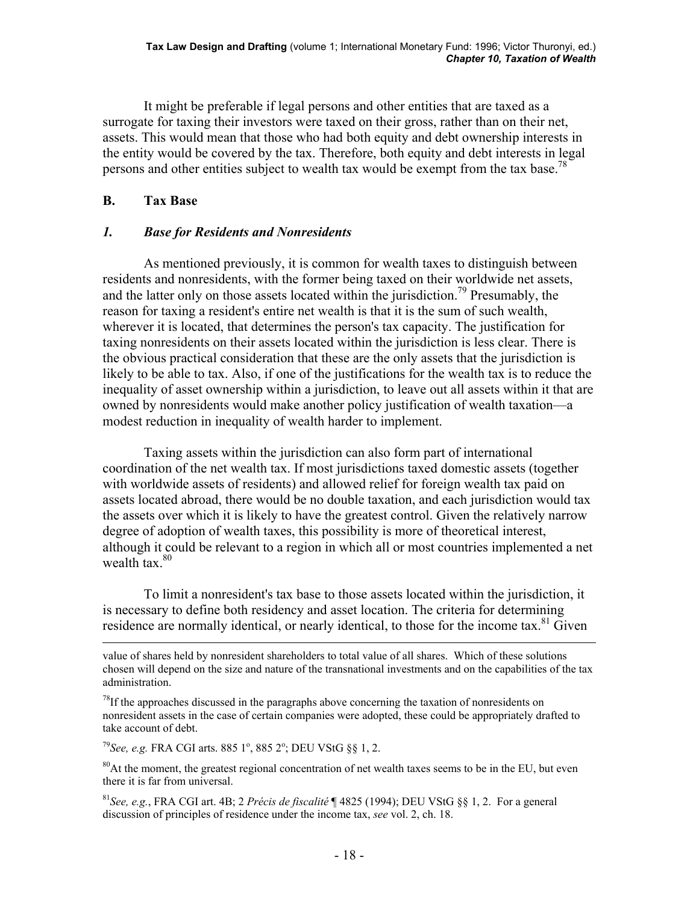It might be preferable if legal persons and other entities that are taxed as a surrogate for taxing their investors were taxed on their gross, rather than on their net, assets. This would mean that those who had both equity and debt ownership interests in the entity would be covered by the tax. Therefore, both equity and debt interests in legal persons and other entities subject to wealth tax would be exempt from the tax base.<sup>78</sup>

## **B. Tax Base**

### *1. Base for Residents and Nonresidents*

 As mentioned previously, it is common for wealth taxes to distinguish between residents and nonresidents, with the former being taxed on their worldwide net assets, and the latter only on those assets located within the jurisdiction.<sup>79</sup> Presumably, the reason for taxing a resident's entire net wealth is that it is the sum of such wealth, wherever it is located, that determines the person's tax capacity. The justification for taxing nonresidents on their assets located within the jurisdiction is less clear. There is the obvious practical consideration that these are the only assets that the jurisdiction is likely to be able to tax. Also, if one of the justifications for the wealth tax is to reduce the inequality of asset ownership within a jurisdiction, to leave out all assets within it that are owned by nonresidents would make another policy justification of wealth taxation—a modest reduction in inequality of wealth harder to implement.

 Taxing assets within the jurisdiction can also form part of international coordination of the net wealth tax. If most jurisdictions taxed domestic assets (together with worldwide assets of residents) and allowed relief for foreign wealth tax paid on assets located abroad, there would be no double taxation, and each jurisdiction would tax the assets over which it is likely to have the greatest control. Given the relatively narrow degree of adoption of wealth taxes, this possibility is more of theoretical interest, although it could be relevant to a region in which all or most countries implemented a net wealth tax $80$ 

 To limit a nonresident's tax base to those assets located within the jurisdiction, it is necessary to define both residency and asset location. The criteria for determining residence are normally identical, or nearly identical, to those for the income tax.<sup>81</sup> Given

 $^{78}$ If the approaches discussed in the paragraphs above concerning the taxation of nonresidents on nonresident assets in the case of certain companies were adopted, these could be appropriately drafted to take account of debt.

<sup>79</sup>See, e.g. FRA CGI arts. 885 1<sup>°</sup>, 885 2<sup>°</sup>; DEU VStG §§ 1, 2.

<sup>80</sup>At the moment, the greatest regional concentration of net wealth taxes seems to be in the EU, but even there it is far from universal.

<sup>81</sup>*See, e.g.*, FRA CGI art. 4B; 2 *Précis de fiscalité* ¶ 4825 (1994); DEU VStG §§ 1, 2. For a general discussion of principles of residence under the income tax, *see* vol. 2, ch. 18.

value of shares held by nonresident shareholders to total value of all shares. Which of these solutions chosen will depend on the size and nature of the transnational investments and on the capabilities of the tax administration.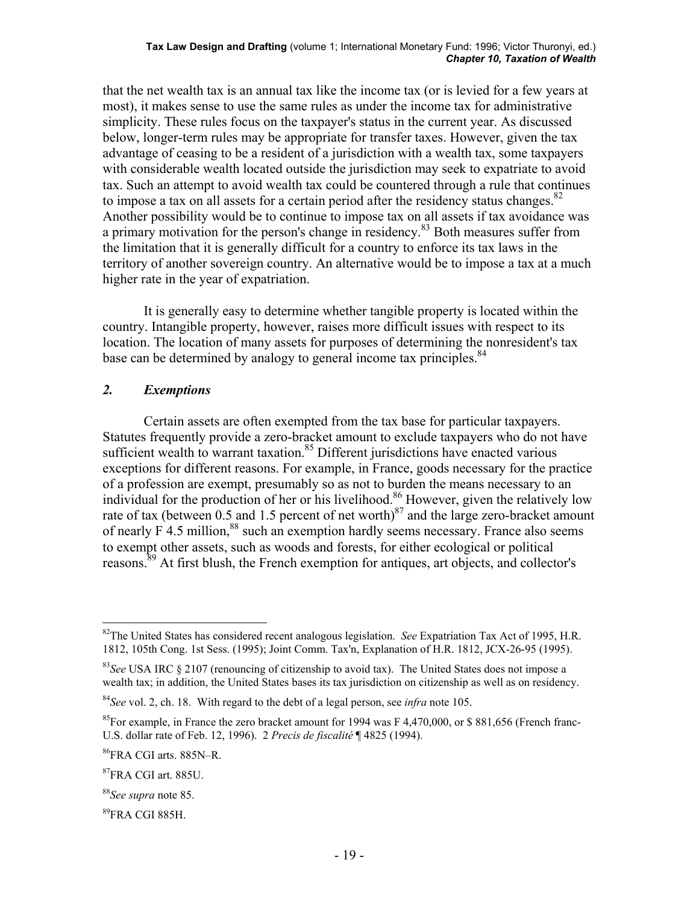that the net wealth tax is an annual tax like the income tax (or is levied for a few years at most), it makes sense to use the same rules as under the income tax for administrative simplicity. These rules focus on the taxpayer's status in the current year. As discussed below, longer-term rules may be appropriate for transfer taxes. However, given the tax advantage of ceasing to be a resident of a jurisdiction with a wealth tax, some taxpayers with considerable wealth located outside the jurisdiction may seek to expatriate to avoid tax. Such an attempt to avoid wealth tax could be countered through a rule that continues to impose a tax on all assets for a certain period after the residency status changes. $82$ Another possibility would be to continue to impose tax on all assets if tax avoidance was a primary motivation for the person's change in residency.83 Both measures suffer from the limitation that it is generally difficult for a country to enforce its tax laws in the territory of another sovereign country. An alternative would be to impose a tax at a much higher rate in the year of expatriation.

 It is generally easy to determine whether tangible property is located within the country. Intangible property, however, raises more difficult issues with respect to its location. The location of many assets for purposes of determining the nonresident's tax base can be determined by analogy to general income tax principles.<sup>84</sup>

#### *2. Exemptions*

 Certain assets are often exempted from the tax base for particular taxpayers. Statutes frequently provide a zero-bracket amount to exclude taxpayers who do not have sufficient wealth to warrant taxation. $85$  Different jurisdictions have enacted various exceptions for different reasons. For example, in France, goods necessary for the practice of a profession are exempt, presumably so as not to burden the means necessary to an individual for the production of her or his livelihood.<sup>86</sup> However, given the relatively low rate of tax (between 0.5 and 1.5 percent of net worth) $^{87}$  and the large zero-bracket amount of nearly  $\overline{F}$  4.5 million,  $88$  such an exemption hardly seems necessary. France also seems to exempt other assets, such as woods and forests, for either ecological or political reasons.<sup>89</sup> At first blush, the French exemption for antiques, art objects, and collector's

1

<sup>82</sup>The United States has considered recent analogous legislation. *See* Expatriation Tax Act of 1995, H.R. 1812, 105th Cong. 1st Sess. (1995); Joint Comm. Tax'n, Explanation of H.R. 1812, JCX-26-95 (1995).

<sup>&</sup>lt;sup>83</sup>See USA IRC § 2107 (renouncing of citizenship to avoid tax). The United States does not impose a wealth tax; in addition, the United States bases its tax jurisdiction on citizenship as well as on residency.

<sup>84</sup>*See* vol. 2, ch. 18. With regard to the debt of a legal person, see *infra* note 105.

<sup>&</sup>lt;sup>85</sup>For example, in France the zero bracket amount for 1994 was F 4,470,000, or \$ 881,656 (French franc-U.S. dollar rate of Feb. 12, 1996). 2 *Precis de fiscalité* ¶ 4825 (1994).

<sup>86</sup>FRA CGI arts. 885N–R.

<sup>87</sup>FRA CGI art. 885U.

<sup>88</sup>*See supra* note 85.

<sup>89</sup>FRA CGI 885H.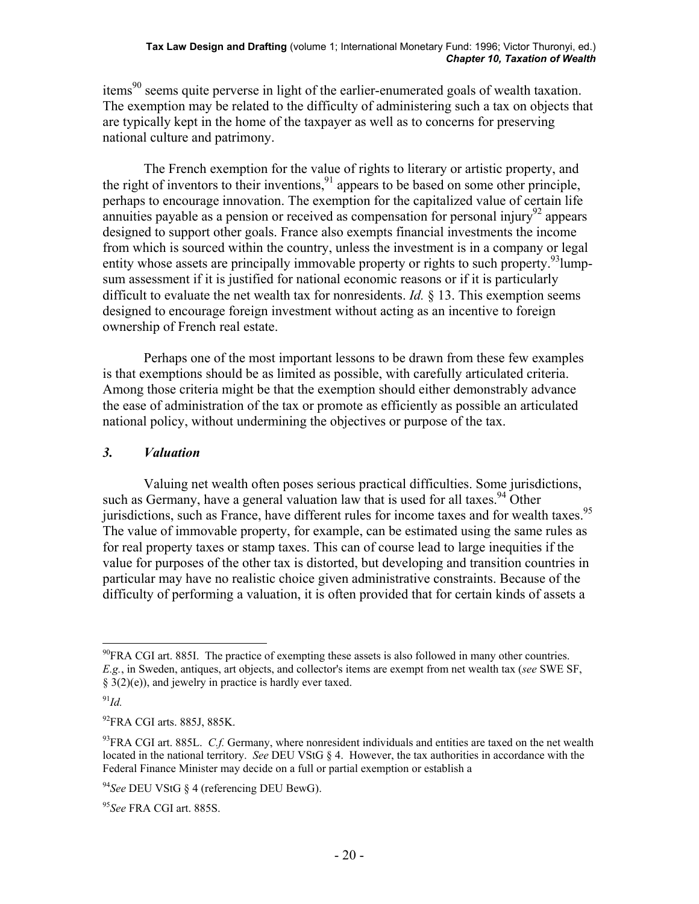items<sup>90</sup> seems quite perverse in light of the earlier-enumerated goals of wealth taxation. The exemption may be related to the difficulty of administering such a tax on objects that are typically kept in the home of the taxpayer as well as to concerns for preserving national culture and patrimony.

 The French exemption for the value of rights to literary or artistic property, and the right of inventors to their inventions,  $91$  appears to be based on some other principle, perhaps to encourage innovation. The exemption for the capitalized value of certain life annuities payable as a pension or received as compensation for personal injury<sup>92</sup> appears designed to support other goals. France also exempts financial investments the income from which is sourced within the country, unless the investment is in a company or legal entity whose assets are principally immovable property or rights to such property.<sup>93</sup>lumpsum assessment if it is justified for national economic reasons or if it is particularly difficult to evaluate the net wealth tax for nonresidents. *Id.* § 13. This exemption seems designed to encourage foreign investment without acting as an incentive to foreign ownership of French real estate.

 Perhaps one of the most important lessons to be drawn from these few examples is that exemptions should be as limited as possible, with carefully articulated criteria. Among those criteria might be that the exemption should either demonstrably advance the ease of administration of the tax or promote as efficiently as possible an articulated national policy, without undermining the objectives or purpose of the tax.

### *3. Valuation*

 Valuing net wealth often poses serious practical difficulties. Some jurisdictions, such as Germany, have a general valuation law that is used for all taxes. <sup>94</sup> Other jurisdictions, such as France, have different rules for income taxes and for wealth taxes.<sup>95</sup> The value of immovable property, for example, can be estimated using the same rules as for real property taxes or stamp taxes. This can of course lead to large inequities if the value for purposes of the other tax is distorted, but developing and transition countries in particular may have no realistic choice given administrative constraints. Because of the difficulty of performing a valuation, it is often provided that for certain kinds of assets a

1

 $^{90}$ FRA CGI art. 885I. The practice of exempting these assets is also followed in many other countries. *E.g.*, in Sweden, antiques, art objects, and collector's items are exempt from net wealth tax (*see* SWE SF, § 3(2)(e)), and jewelry in practice is hardly ever taxed.

<sup>91</sup>*Id.*

 $^{92}$ FRA CGI arts. 885J, 885K.

<sup>&</sup>lt;sup>93</sup>FRA CGI art. 885L. *C.f.* Germany, where nonresident individuals and entities are taxed on the net wealth located in the national territory. *See* DEU VStG § 4. However, the tax authorities in accordance with the Federal Finance Minister may decide on a full or partial exemption or establish a

<sup>94</sup>*See* DEU VStG § 4 (referencing DEU BewG).

<sup>95</sup>*See* FRA CGI art. 885S.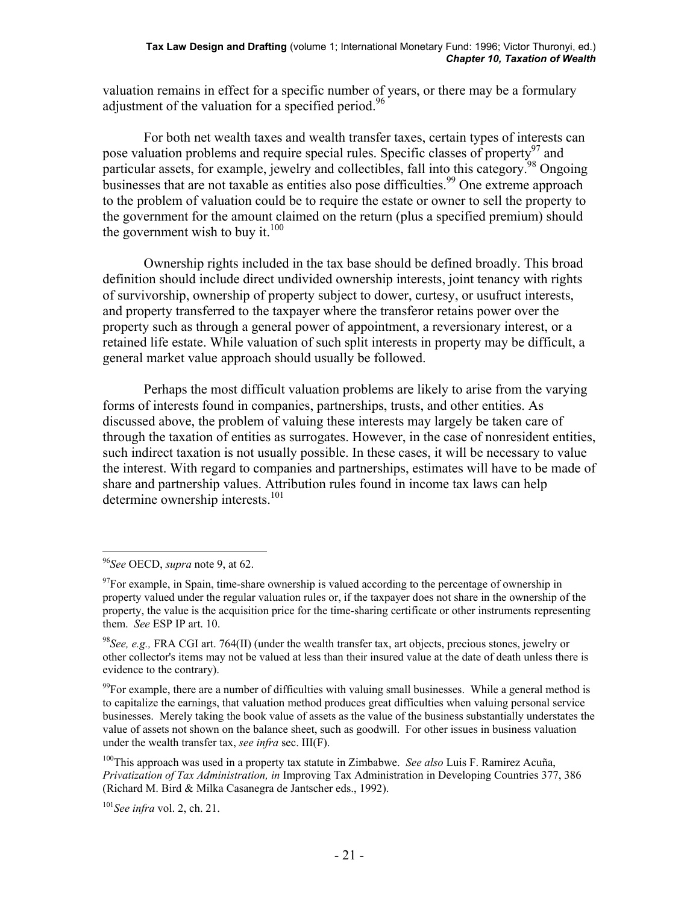valuation remains in effect for a specific number of years, or there may be a formulary adjustment of the valuation for a specified period.<sup>96</sup>

 For both net wealth taxes and wealth transfer taxes, certain types of interests can pose valuation problems and require special rules. Specific classes of property<sup>97</sup> and particular assets, for example, jewelry and collectibles, fall into this category.<sup>98</sup> Ongoing businesses that are not taxable as entities also pose difficulties.<sup>99</sup> One extreme approach to the problem of valuation could be to require the estate or owner to sell the property to the government for the amount claimed on the return (plus a specified premium) should the government wish to buy it.<sup>100</sup>

 Ownership rights included in the tax base should be defined broadly. This broad definition should include direct undivided ownership interests, joint tenancy with rights of survivorship, ownership of property subject to dower, curtesy, or usufruct interests, and property transferred to the taxpayer where the transferor retains power over the property such as through a general power of appointment, a reversionary interest, or a retained life estate. While valuation of such split interests in property may be difficult, a general market value approach should usually be followed.

 Perhaps the most difficult valuation problems are likely to arise from the varying forms of interests found in companies, partnerships, trusts, and other entities. As discussed above, the problem of valuing these interests may largely be taken care of through the taxation of entities as surrogates. However, in the case of nonresident entities, such indirect taxation is not usually possible. In these cases, it will be necessary to value the interest. With regard to companies and partnerships, estimates will have to be made of share and partnership values. Attribution rules found in income tax laws can help determine ownership interests.<sup>101</sup>

<sup>96</sup>*See* OECD, *supra* note 9, at 62.

 $97$ For example, in Spain, time-share ownership is valued according to the percentage of ownership in property valued under the regular valuation rules or, if the taxpayer does not share in the ownership of the property, the value is the acquisition price for the time-sharing certificate or other instruments representing them. *See* ESP IP art. 10.

<sup>98</sup>*See, e.g.,* FRA CGI art. 764(II) (under the wealth transfer tax, art objects, precious stones, jewelry or other collector's items may not be valued at less than their insured value at the date of death unless there is evidence to the contrary).

<sup>&</sup>lt;sup>99</sup>For example, there are a number of difficulties with valuing small businesses. While a general method is to capitalize the earnings, that valuation method produces great difficulties when valuing personal service businesses. Merely taking the book value of assets as the value of the business substantially understates the value of assets not shown on the balance sheet, such as goodwill. For other issues in business valuation under the wealth transfer tax, *see infra* sec. III(F).

<sup>100</sup>This approach was used in a property tax statute in Zimbabwe. *See also* Luis F. Ramirez Acuña, *Privatization of Tax Administration, in* Improving Tax Administration in Developing Countries 377, 386 (Richard M. Bird & Milka Casanegra de Jantscher eds., 1992).

<sup>101</sup>*See infra* vol. 2, ch. 21.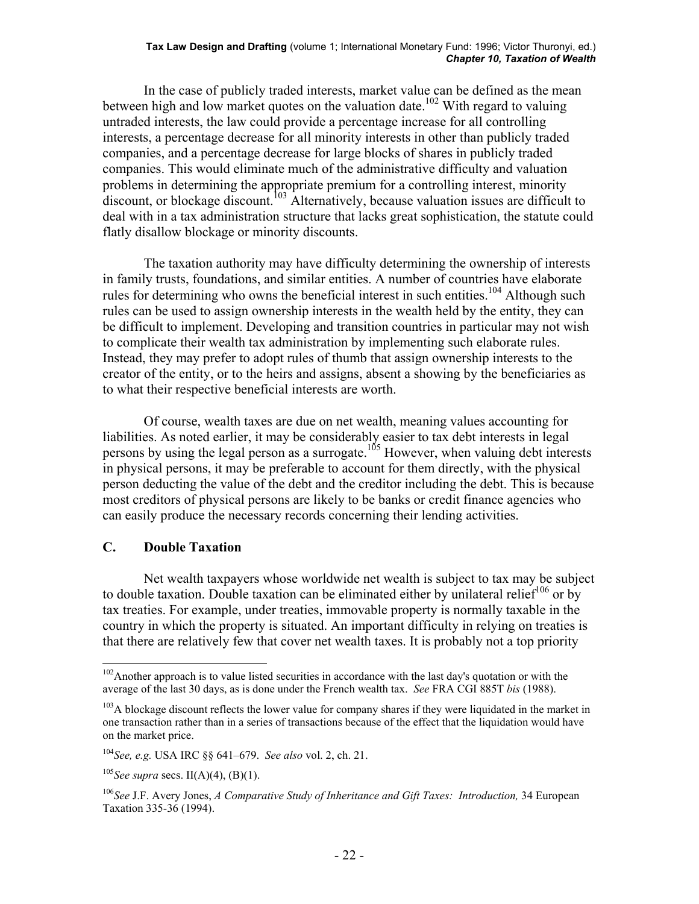#### **Tax Law Design and Drafting** (volume 1; International Monetary Fund: 1996; Victor Thuronyi, ed.) *Chapter 10, Taxation of Wealth*

 In the case of publicly traded interests, market value can be defined as the mean between high and low market quotes on the valuation date.<sup>102</sup> With regard to valuing untraded interests, the law could provide a percentage increase for all controlling interests, a percentage decrease for all minority interests in other than publicly traded companies, and a percentage decrease for large blocks of shares in publicly traded companies. This would eliminate much of the administrative difficulty and valuation problems in determining the appropriate premium for a controlling interest, minority  $\frac{1}{2}$  discount, or blockage discount.<sup>103</sup> Alternatively, because valuation issues are difficult to deal with in a tax administration structure that lacks great sophistication, the statute could flatly disallow blockage or minority discounts.

 The taxation authority may have difficulty determining the ownership of interests in family trusts, foundations, and similar entities. A number of countries have elaborate rules for determining who owns the beneficial interest in such entities.<sup>104</sup> Although such rules can be used to assign ownership interests in the wealth held by the entity, they can be difficult to implement. Developing and transition countries in particular may not wish to complicate their wealth tax administration by implementing such elaborate rules. Instead, they may prefer to adopt rules of thumb that assign ownership interests to the creator of the entity, or to the heirs and assigns, absent a showing by the beneficiaries as to what their respective beneficial interests are worth.

 Of course, wealth taxes are due on net wealth, meaning values accounting for liabilities. As noted earlier, it may be considerably easier to tax debt interests in legal persons by using the legal person as a surrogate.<sup>105</sup> However, when valuing debt interests in physical persons, it may be preferable to account for them directly, with the physical person deducting the value of the debt and the creditor including the debt. This is because most creditors of physical persons are likely to be banks or credit finance agencies who can easily produce the necessary records concerning their lending activities.

#### **C. Double Taxation**

 $\overline{a}$ 

 Net wealth taxpayers whose worldwide net wealth is subject to tax may be subject to double taxation. Double taxation can be eliminated either by unilateral relief<sup>106</sup> or by tax treaties. For example, under treaties, immovable property is normally taxable in the country in which the property is situated. An important difficulty in relying on treaties is that there are relatively few that cover net wealth taxes. It is probably not a top priority

 $102$ Another approach is to value listed securities in accordance with the last day's quotation or with the average of the last 30 days, as is done under the French wealth tax. *See* FRA CGI 885T *bis* (1988).

<sup>&</sup>lt;sup>103</sup>A blockage discount reflects the lower value for company shares if they were liquidated in the market in one transaction rather than in a series of transactions because of the effect that the liquidation would have on the market price.

<sup>104</sup>*See, e.g.* USA IRC §§ 641–679. *See also* vol. 2, ch. 21.

<sup>105</sup>*See supra* secs. II(A)(4), (B)(1).

<sup>&</sup>lt;sup>106</sup>See J.F. Avery Jones, *A Comparative Study of Inheritance and Gift Taxes: Introduction*, 34 European Taxation 335-36 (1994).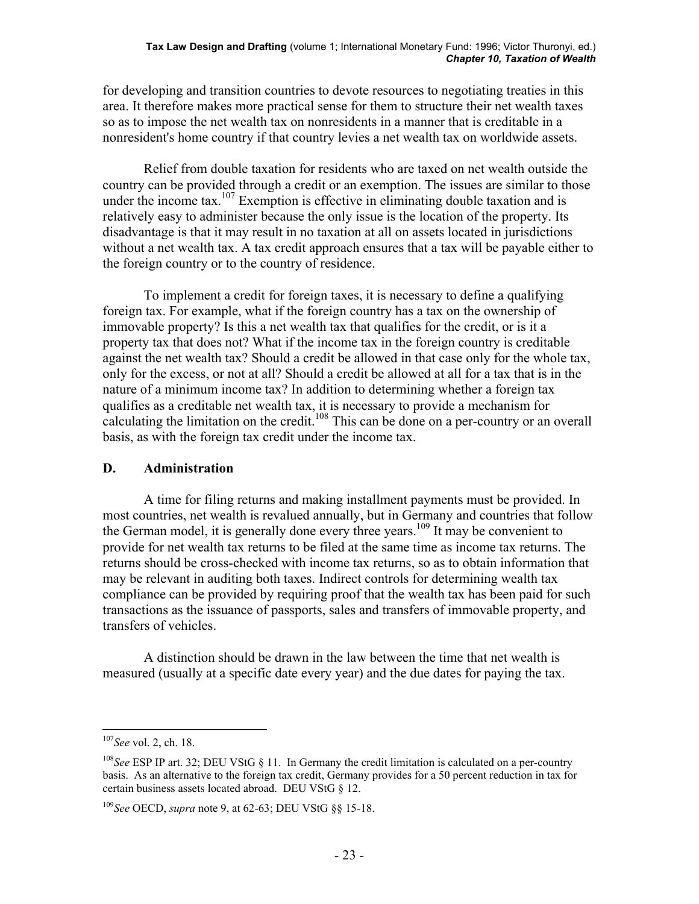for developing and transition countries to devote resources to negotiating treaties in this area. It therefore makes more practical sense for them to structure their net wealth taxes so as to impose the net wealth tax on nonresidents in a manner that is creditable in a nonresident's home country if that country levies a net wealth tax on worldwide assets.

 Relief from double taxation for residents who are taxed on net wealth outside the country can be provided through a credit or an exemption. The issues are similar to those under the income tax.<sup>107</sup> Exemption is effective in eliminating double taxation and is relatively easy to administer because the only issue is the location of the property. Its disadvantage is that it may result in no taxation at all on assets located in jurisdictions without a net wealth tax. A tax credit approach ensures that a tax will be payable either to the foreign country or to the country of residence.

 To implement a credit for foreign taxes, it is necessary to define a qualifying foreign tax. For example, what if the foreign country has a tax on the ownership of immovable property? Is this a net wealth tax that qualifies for the credit, or is it a property tax that does not? What if the income tax in the foreign country is creditable against the net wealth tax? Should a credit be allowed in that case only for the whole tax, only for the excess, or not at all? Should a credit be allowed at all for a tax that is in the nature of a minimum income tax? In addition to determining whether a foreign tax qualifies as a creditable net wealth tax, it is necessary to provide a mechanism for calculating the limitation on the credit.<sup>108</sup> This can be done on a per-country or an overall basis, as with the foreign tax credit under the income tax.

### **D. Administration**

 A time for filing returns and making installment payments must be provided. In most countries, net wealth is revalued annually, but in Germany and countries that follow the German model, it is generally done every three years.<sup>109</sup> It may be convenient to provide for net wealth tax returns to be filed at the same time as income tax returns. The returns should be cross-checked with income tax returns, so as to obtain information that may be relevant in auditing both taxes. Indirect controls for determining wealth tax compliance can be provided by requiring proof that the wealth tax has been paid for such transactions as the issuance of passports, sales and transfers of immovable property, and transfers of vehicles.

 A distinction should be drawn in the law between the time that net wealth is measured (usually at a specific date every year) and the due dates for paying the tax.

<sup>107</sup>*See* vol. 2, ch. 18.

<sup>108</sup>*See* ESP IP art. 32; DEU VStG § 11. In Germany the credit limitation is calculated on a per-country basis. As an alternative to the foreign tax credit, Germany provides for a 50 percent reduction in tax for certain business assets located abroad. DEU VStG § 12.

<sup>109</sup>*See* OECD, *supra* note 9, at 62-63; DEU VStG §§ 15-18.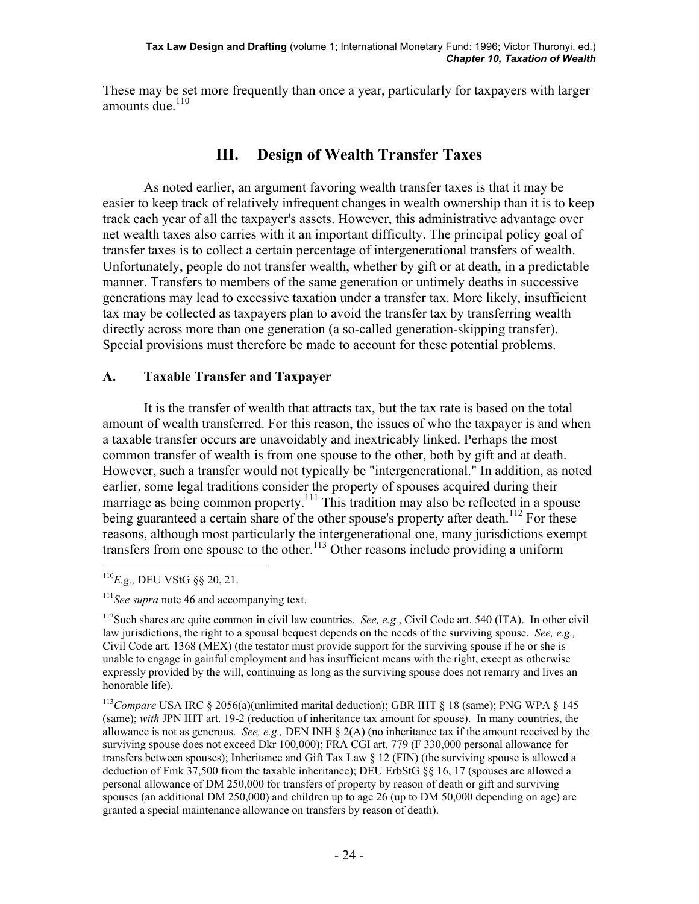These may be set more frequently than once a year, particularly for taxpayers with larger amounts due.<sup>110</sup>

# **III. Design of Wealth Transfer Taxes**

 As noted earlier, an argument favoring wealth transfer taxes is that it may be easier to keep track of relatively infrequent changes in wealth ownership than it is to keep track each year of all the taxpayer's assets. However, this administrative advantage over net wealth taxes also carries with it an important difficulty. The principal policy goal of transfer taxes is to collect a certain percentage of intergenerational transfers of wealth. Unfortunately, people do not transfer wealth, whether by gift or at death, in a predictable manner. Transfers to members of the same generation or untimely deaths in successive generations may lead to excessive taxation under a transfer tax. More likely, insufficient tax may be collected as taxpayers plan to avoid the transfer tax by transferring wealth directly across more than one generation (a so-called generation-skipping transfer). Special provisions must therefore be made to account for these potential problems.

# **A. Taxable Transfer and Taxpayer**

 It is the transfer of wealth that attracts tax, but the tax rate is based on the total amount of wealth transferred. For this reason, the issues of who the taxpayer is and when a taxable transfer occurs are unavoidably and inextricably linked. Perhaps the most common transfer of wealth is from one spouse to the other, both by gift and at death. However, such a transfer would not typically be "intergenerational." In addition, as noted earlier, some legal traditions consider the property of spouses acquired during their marriage as being common property.<sup>111</sup> This tradition may also be reflected in a spouse being guaranteed a certain share of the other spouse's property after death.<sup>112</sup> For these reasons, although most particularly the intergenerational one, many jurisdictions exempt transfers from one spouse to the other.<sup>113</sup> Other reasons include providing a uniform

 $\overline{a}$ <sup>110</sup>*E.g.,* DEU VStG §§ 20, 21.

<sup>&</sup>lt;sup>111</sup> See supra note 46 and accompanying text.

<sup>112</sup>Such shares are quite common in civil law countries. *See, e.g.*, Civil Code art. 540 (ITA). In other civil law jurisdictions, the right to a spousal bequest depends on the needs of the surviving spouse. *See, e.g.,* Civil Code art. 1368 (MEX) (the testator must provide support for the surviving spouse if he or she is unable to engage in gainful employment and has insufficient means with the right, except as otherwise expressly provided by the will, continuing as long as the surviving spouse does not remarry and lives an honorable life).

<sup>&</sup>lt;sup>113</sup>Compare USA IRC § 2056(a)(unlimited marital deduction); GBR IHT § 18 (same); PNG WPA § 145 (same); *with* JPN IHT art. 19-2 (reduction of inheritance tax amount for spouse). In many countries, the allowance is not as generous. *See, e.g.,* DEN INH § 2(A) (no inheritance tax if the amount received by the surviving spouse does not exceed Dkr 100,000); FRA CGI art. 779 (F 330,000 personal allowance for transfers between spouses); Inheritance and Gift Tax Law  $\S$  12 (FIN) (the surviving spouse is allowed a deduction of Fmk 37,500 from the taxable inheritance); DEU ErbStG §§ 16, 17 (spouses are allowed a personal allowance of DM 250,000 for transfers of property by reason of death or gift and surviving spouses (an additional DM 250,000) and children up to age 26 (up to DM 50,000 depending on age) are granted a special maintenance allowance on transfers by reason of death).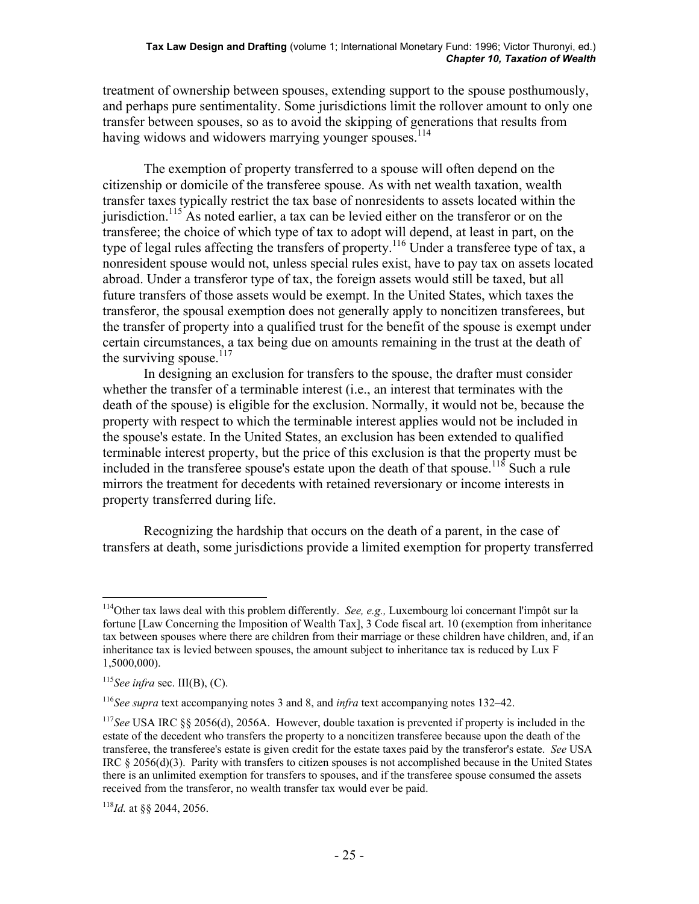treatment of ownership between spouses, extending support to the spouse posthumously, and perhaps pure sentimentality. Some jurisdictions limit the rollover amount to only one transfer between spouses, so as to avoid the skipping of generations that results from having widows and widowers marrying younger spouses.<sup>114</sup>

 The exemption of property transferred to a spouse will often depend on the citizenship or domicile of the transferee spouse. As with net wealth taxation, wealth transfer taxes typically restrict the tax base of nonresidents to assets located within the jurisdiction.<sup>115</sup> As noted earlier, a tax can be levied either on the transferor or on the transferee; the choice of which type of tax to adopt will depend, at least in part, on the type of legal rules affecting the transfers of property.<sup>116</sup> Under a transferee type of tax, a nonresident spouse would not, unless special rules exist, have to pay tax on assets located abroad. Under a transferor type of tax, the foreign assets would still be taxed, but all future transfers of those assets would be exempt. In the United States, which taxes the transferor, the spousal exemption does not generally apply to noncitizen transferees, but the transfer of property into a qualified trust for the benefit of the spouse is exempt under certain circumstances, a tax being due on amounts remaining in the trust at the death of the surviving spouse. $117$ 

 In designing an exclusion for transfers to the spouse, the drafter must consider whether the transfer of a terminable interest (i.e., an interest that terminates with the death of the spouse) is eligible for the exclusion. Normally, it would not be, because the property with respect to which the terminable interest applies would not be included in the spouse's estate. In the United States, an exclusion has been extended to qualified terminable interest property, but the price of this exclusion is that the property must be included in the transferee spouse's estate upon the death of that spouse.<sup>118</sup> Such a rule mirrors the treatment for decedents with retained reversionary or income interests in property transferred during life.

 Recognizing the hardship that occurs on the death of a parent, in the case of transfers at death, some jurisdictions provide a limited exemption for property transferred

 $\overline{a}$ 114Other tax laws deal with this problem differently. *See, e.g.,* Luxembourg loi concernant l'impôt sur la fortune [Law Concerning the Imposition of Wealth Tax], 3 Code fiscal art. 10 (exemption from inheritance tax between spouses where there are children from their marriage or these children have children, and, if an inheritance tax is levied between spouses, the amount subject to inheritance tax is reduced by Lux F 1,5000,000).

 $115$ *See infra* sec. III(B), (C).

<sup>116</sup>*See supra* text accompanying notes 3 and 8, and *infra* text accompanying notes 132–42.

<sup>117</sup>*See* USA IRC §§ 2056(d), 2056A. However, double taxation is prevented if property is included in the estate of the decedent who transfers the property to a noncitizen transferee because upon the death of the transferee, the transferee's estate is given credit for the estate taxes paid by the transferor's estate. *See* USA IRC § 2056(d)(3). Parity with transfers to citizen spouses is not accomplished because in the United States there is an unlimited exemption for transfers to spouses, and if the transferee spouse consumed the assets received from the transferor, no wealth transfer tax would ever be paid.

<sup>118</sup>*Id.* at §§ 2044, 2056.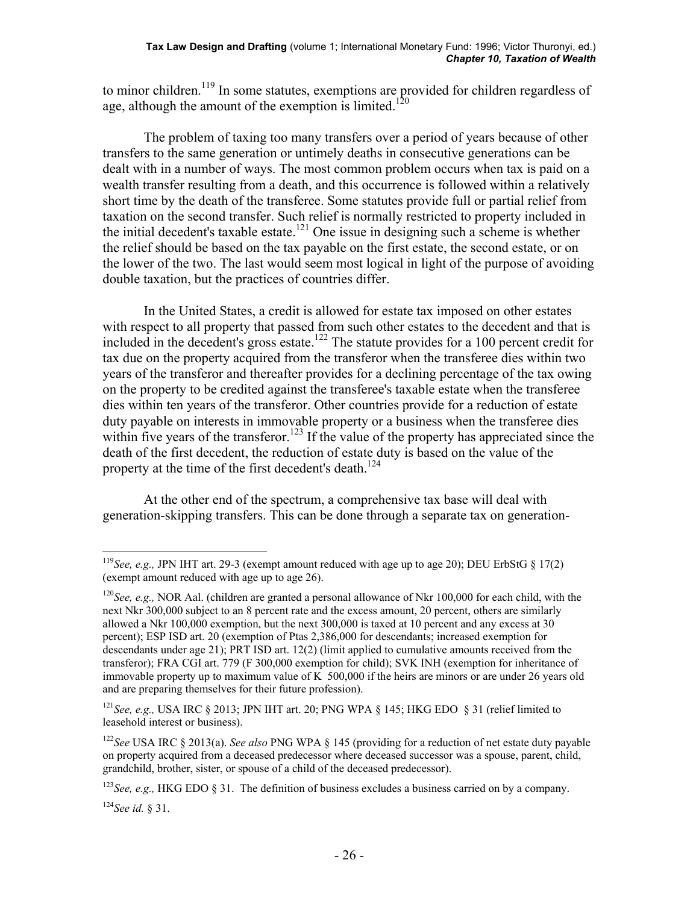to minor children.<sup>119</sup> In some statutes, exemptions are provided for children regardless of age, although the amount of the exemption is limited.<sup>120</sup>

 The problem of taxing too many transfers over a period of years because of other transfers to the same generation or untimely deaths in consecutive generations can be dealt with in a number of ways. The most common problem occurs when tax is paid on a wealth transfer resulting from a death, and this occurrence is followed within a relatively short time by the death of the transferee. Some statutes provide full or partial relief from taxation on the second transfer. Such relief is normally restricted to property included in the initial decedent's taxable estate.<sup>121</sup> One issue in designing such a scheme is whether the relief should be based on the tax payable on the first estate, the second estate, or on the lower of the two. The last would seem most logical in light of the purpose of avoiding double taxation, but the practices of countries differ.

 In the United States, a credit is allowed for estate tax imposed on other estates with respect to all property that passed from such other estates to the decedent and that is included in the decedent's gross estate.<sup>122</sup> The statute provides for a 100 percent credit for tax due on the property acquired from the transferor when the transferee dies within two years of the transferor and thereafter provides for a declining percentage of the tax owing on the property to be credited against the transferee's taxable estate when the transferee dies within ten years of the transferor. Other countries provide for a reduction of estate duty payable on interests in immovable property or a business when the transferee dies within five years of the transferor.<sup>123</sup> If the value of the property has appreciated since the death of the first decedent, the reduction of estate duty is based on the value of the property at the time of the first decedent's death.<sup>124</sup>

 At the other end of the spectrum, a comprehensive tax base will deal with generation-skipping transfers. This can be done through a separate tax on generation-

<sup>&</sup>lt;sup>119</sup>See, e.g., JPN IHT art. 29-3 (exempt amount reduced with age up to age 20); DEU ErbStG  $\S$  17(2) (exempt amount reduced with age up to age 26).

<sup>120</sup>*See, e.g.,* NOR Aal. (children are granted a personal allowance of Nkr 100,000 for each child, with the next Nkr 300,000 subject to an 8 percent rate and the excess amount, 20 percent, others are similarly allowed a Nkr 100,000 exemption, but the next 300,000 is taxed at 10 percent and any excess at 30 percent); ESP ISD art. 20 (exemption of Ptas 2,386,000 for descendants; increased exemption for descendants under age 21); PRT ISD art. 12(2) (limit applied to cumulative amounts received from the transferor); FRA CGI art. 779 (F 300,000 exemption for child); SVK INH (exemption for inheritance of immovable property up to maximum value of K 500,000 if the heirs are minors or are under 26 years old and are preparing themselves for their future profession).

<sup>&</sup>lt;sup>121</sup>*See, e.g.,* USA IRC § 2013; JPN IHT art. 20; PNG WPA § 145; HKG EDO § 31 (relief limited to leasehold interest or business).

<sup>122</sup>*See* USA IRC § 2013(a). *See also* PNG WPA § 145 (providing for a reduction of net estate duty payable on property acquired from a deceased predecessor where deceased successor was a spouse, parent, child, grandchild, brother, sister, or spouse of a child of the deceased predecessor).

<sup>&</sup>lt;sup>123</sup>*See, e.g.,* HKG EDO § 31. The definition of business excludes a business carried on by a company.

<sup>124</sup>*See id.* § 31.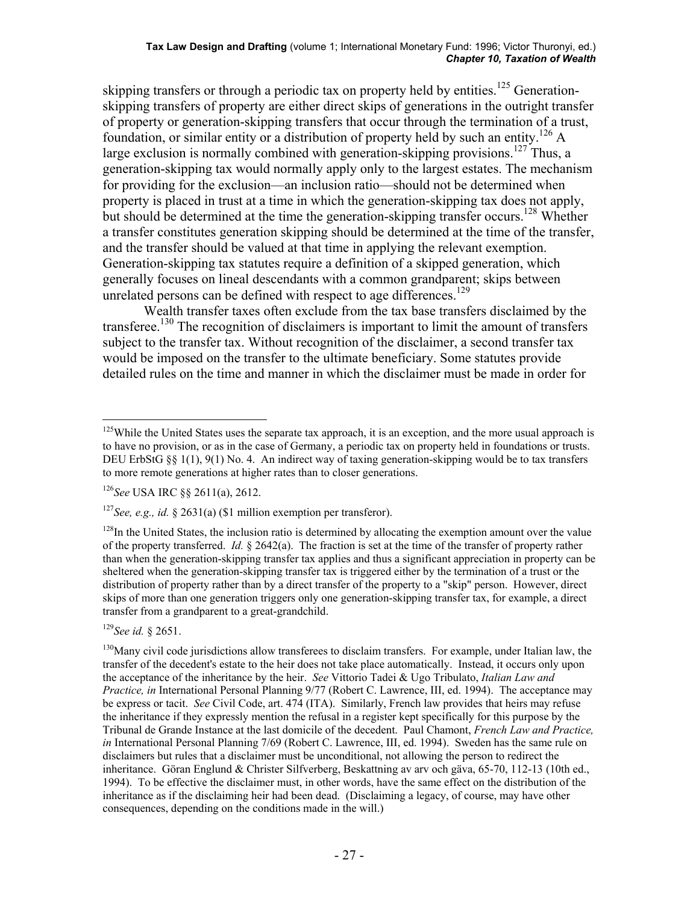skipping transfers or through a periodic tax on property held by entities.<sup>125</sup> Generationskipping transfers of property are either direct skips of generations in the outright transfer of property or generation-skipping transfers that occur through the termination of a trust, foundation, or similar entity or a distribution of property held by such an entity.<sup>126</sup> A large exclusion is normally combined with generation-skipping provisions.<sup>127</sup> Thus, a generation-skipping tax would normally apply only to the largest estates. The mechanism for providing for the exclusion—an inclusion ratio—should not be determined when property is placed in trust at a time in which the generation-skipping tax does not apply, but should be determined at the time the generation-skipping transfer occurs.<sup>128</sup> Whether a transfer constitutes generation skipping should be determined at the time of the transfer, and the transfer should be valued at that time in applying the relevant exemption. Generation-skipping tax statutes require a definition of a skipped generation, which generally focuses on lineal descendants with a common grandparent; skips between unrelated persons can be defined with respect to age differences.<sup>129</sup>

Wealth transfer taxes often exclude from the tax base transfers disclaimed by the transferee.<sup>130</sup> The recognition of disclaimers is important to limit the amount of transfers subject to the transfer tax. Without recognition of the disclaimer, a second transfer tax would be imposed on the transfer to the ultimate beneficiary. Some statutes provide detailed rules on the time and manner in which the disclaimer must be made in order for

<sup>129</sup>*See id.* § 2651.

<sup>1</sup> <sup>125</sup>While the United States uses the separate tax approach, it is an exception, and the more usual approach is to have no provision, or as in the case of Germany, a periodic tax on property held in foundations or trusts. DEU ErbStG §§ 1(1), 9(1) No. 4. An indirect way of taxing generation-skipping would be to tax transfers to more remote generations at higher rates than to closer generations.

<sup>126</sup>*See* USA IRC §§ 2611(a), 2612.

<sup>&</sup>lt;sup>127</sup>*See, e.g., id.* § 2631(a) (\$1 million exemption per transferor).

 $128$ In the United States, the inclusion ratio is determined by allocating the exemption amount over the value of the property transferred. *Id.* § 2642(a). The fraction is set at the time of the transfer of property rather than when the generation-skipping transfer tax applies and thus a significant appreciation in property can be sheltered when the generation-skipping transfer tax is triggered either by the termination of a trust or the distribution of property rather than by a direct transfer of the property to a "skip" person. However, direct skips of more than one generation triggers only one generation-skipping transfer tax, for example, a direct transfer from a grandparent to a great-grandchild.

<sup>&</sup>lt;sup>130</sup>Many civil code jurisdictions allow transferees to disclaim transfers. For example, under Italian law, the transfer of the decedent's estate to the heir does not take place automatically. Instead, it occurs only upon the acceptance of the inheritance by the heir. *See* Vittorio Tadei & Ugo Tribulato, *Italian Law and Practice, in* International Personal Planning 9/77 (Robert C. Lawrence, III, ed. 1994). The acceptance may be express or tacit. *See* Civil Code, art. 474 (ITA). Similarly, French law provides that heirs may refuse the inheritance if they expressly mention the refusal in a register kept specifically for this purpose by the Tribunal de Grande Instance at the last domicile of the decedent. Paul Chamont, *French Law and Practice, in* International Personal Planning 7/69 (Robert C. Lawrence, III, ed. 1994). Sweden has the same rule on disclaimers but rules that a disclaimer must be unconditional, not allowing the person to redirect the inheritance. Göran Englund & Christer Silfverberg, Beskattning av arv och gäva, 65-70, 112-13 (10th ed., 1994). To be effective the disclaimer must, in other words, have the same effect on the distribution of the inheritance as if the disclaiming heir had been dead. (Disclaiming a legacy, of course, may have other consequences, depending on the conditions made in the will.)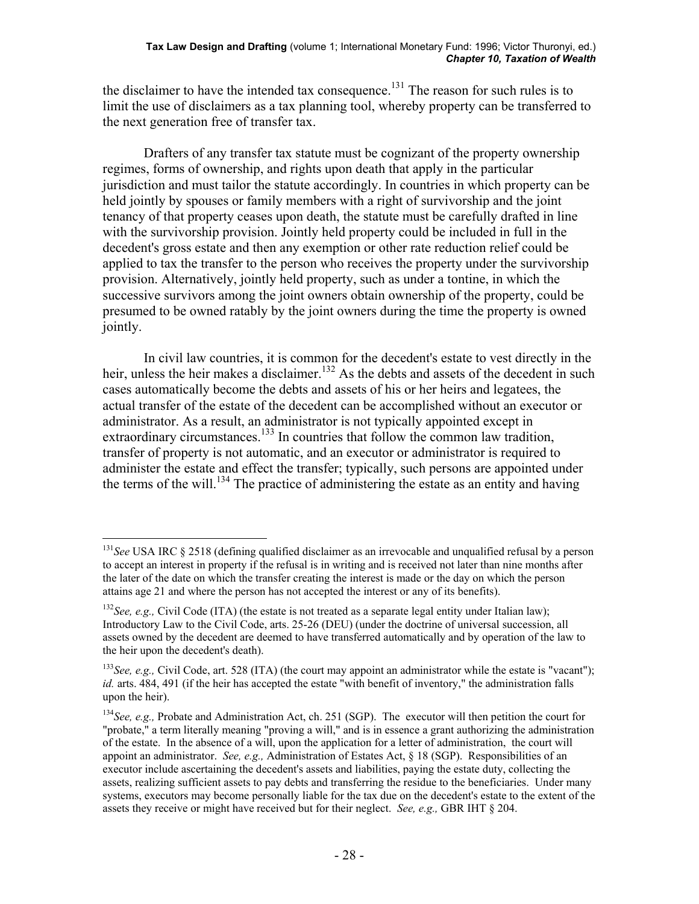the disclaimer to have the intended tax consequence.<sup>131</sup> The reason for such rules is to limit the use of disclaimers as a tax planning tool, whereby property can be transferred to the next generation free of transfer tax.

 Drafters of any transfer tax statute must be cognizant of the property ownership regimes, forms of ownership, and rights upon death that apply in the particular jurisdiction and must tailor the statute accordingly. In countries in which property can be held jointly by spouses or family members with a right of survivorship and the joint tenancy of that property ceases upon death, the statute must be carefully drafted in line with the survivorship provision. Jointly held property could be included in full in the decedent's gross estate and then any exemption or other rate reduction relief could be applied to tax the transfer to the person who receives the property under the survivorship provision. Alternatively, jointly held property, such as under a tontine, in which the successive survivors among the joint owners obtain ownership of the property, could be presumed to be owned ratably by the joint owners during the time the property is owned jointly.

 In civil law countries, it is common for the decedent's estate to vest directly in the heir, unless the heir makes a disclaimer.<sup>132</sup> As the debts and assets of the decedent in such cases automatically become the debts and assets of his or her heirs and legatees, the actual transfer of the estate of the decedent can be accomplished without an executor or administrator. As a result, an administrator is not typically appointed except in extraordinary circumstances.<sup>133</sup> In countries that follow the common law tradition, transfer of property is not automatic, and an executor or administrator is required to administer the estate and effect the transfer; typically, such persons are appointed under the terms of the will.<sup>134</sup> The practice of administering the estate as an entity and having

 $\overline{a}$ <sup>131</sup>See USA IRC § 2518 (defining qualified disclaimer as an irrevocable and unqualified refusal by a person to accept an interest in property if the refusal is in writing and is received not later than nine months after the later of the date on which the transfer creating the interest is made or the day on which the person attains age 21 and where the person has not accepted the interest or any of its benefits).

<sup>&</sup>lt;sup>132</sup>*See, e.g.,* Civil Code (ITA) (the estate is not treated as a separate legal entity under Italian law); Introductory Law to the Civil Code, arts. 25-26 (DEU) (under the doctrine of universal succession, all assets owned by the decedent are deemed to have transferred automatically and by operation of the law to the heir upon the decedent's death).

<sup>&</sup>lt;sup>133</sup>See, e.g., Civil Code, art. 528 (ITA) (the court may appoint an administrator while the estate is "vacant"); *id.* arts. 484, 491 (if the heir has accepted the estate "with benefit of inventory," the administration falls upon the heir).

<sup>134</sup>*See, e.g.,* Probate and Administration Act, ch. 251 (SGP). The executor will then petition the court for "probate," a term literally meaning "proving a will," and is in essence a grant authorizing the administration of the estate. In the absence of a will, upon the application for a letter of administration, the court will appoint an administrator. *See, e.g.,* Administration of Estates Act, § 18 (SGP). Responsibilities of an executor include ascertaining the decedent's assets and liabilities, paying the estate duty, collecting the assets, realizing sufficient assets to pay debts and transferring the residue to the beneficiaries. Under many systems, executors may become personally liable for the tax due on the decedent's estate to the extent of the assets they receive or might have received but for their neglect. *See, e.g.,* GBR IHT § 204.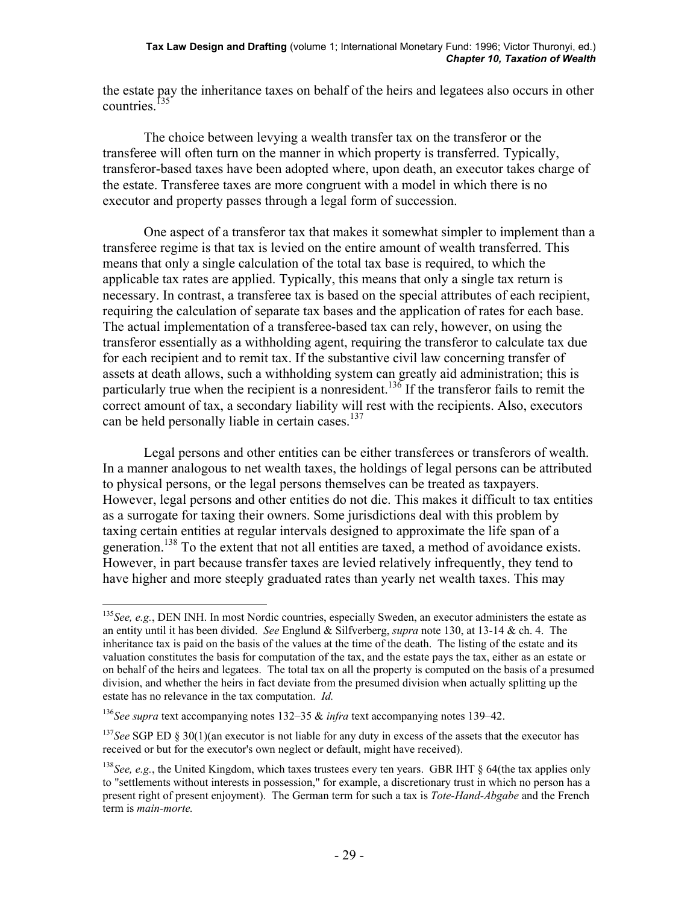the estate pay the inheritance taxes on behalf of the heirs and legatees also occurs in other countries. $135$ 

 The choice between levying a wealth transfer tax on the transferor or the transferee will often turn on the manner in which property is transferred. Typically, transferor-based taxes have been adopted where, upon death, an executor takes charge of the estate. Transferee taxes are more congruent with a model in which there is no executor and property passes through a legal form of succession.

 One aspect of a transferor tax that makes it somewhat simpler to implement than a transferee regime is that tax is levied on the entire amount of wealth transferred. This means that only a single calculation of the total tax base is required, to which the applicable tax rates are applied. Typically, this means that only a single tax return is necessary. In contrast, a transferee tax is based on the special attributes of each recipient, requiring the calculation of separate tax bases and the application of rates for each base. The actual implementation of a transferee-based tax can rely, however, on using the transferor essentially as a withholding agent, requiring the transferor to calculate tax due for each recipient and to remit tax. If the substantive civil law concerning transfer of assets at death allows, such a withholding system can greatly aid administration; this is particularly true when the recipient is a nonresident.<sup>136</sup> If the transferor fails to remit the correct amount of tax, a secondary liability will rest with the recipients. Also, executors can be held personally liable in certain cases.<sup>137</sup>

 Legal persons and other entities can be either transferees or transferors of wealth. In a manner analogous to net wealth taxes, the holdings of legal persons can be attributed to physical persons, or the legal persons themselves can be treated as taxpayers. However, legal persons and other entities do not die. This makes it difficult to tax entities as a surrogate for taxing their owners. Some jurisdictions deal with this problem by taxing certain entities at regular intervals designed to approximate the life span of a generation.<sup>138</sup> To the extent that not all entities are taxed, a method of avoidance exists. However, in part because transfer taxes are levied relatively infrequently, they tend to have higher and more steeply graduated rates than yearly net wealth taxes. This may

1

<sup>&</sup>lt;sup>135</sup>See, e.g., DEN INH. In most Nordic countries, especially Sweden, an executor administers the estate as an entity until it has been divided. *See* Englund & Silfverberg, *supra* note 130, at 13-14 & ch. 4. The inheritance tax is paid on the basis of the values at the time of the death. The listing of the estate and its valuation constitutes the basis for computation of the tax, and the estate pays the tax, either as an estate or on behalf of the heirs and legatees. The total tax on all the property is computed on the basis of a presumed division, and whether the heirs in fact deviate from the presumed division when actually splitting up the estate has no relevance in the tax computation. *Id.*

<sup>136</sup>*See supra* text accompanying notes 132–35 & *infra* text accompanying notes 139–42.

<sup>&</sup>lt;sup>137</sup>See SGP ED § 30(1)(an executor is not liable for any duty in excess of the assets that the executor has received or but for the executor's own neglect or default, might have received).

<sup>&</sup>lt;sup>138</sup>See, e.g., the United Kingdom, which taxes trustees every ten years. GBR IHT § 64(the tax applies only to "settlements without interests in possession," for example, a discretionary trust in which no person has a present right of present enjoyment). The German term for such a tax is *Tote-Hand-Abgabe* and the French term is *main-morte.*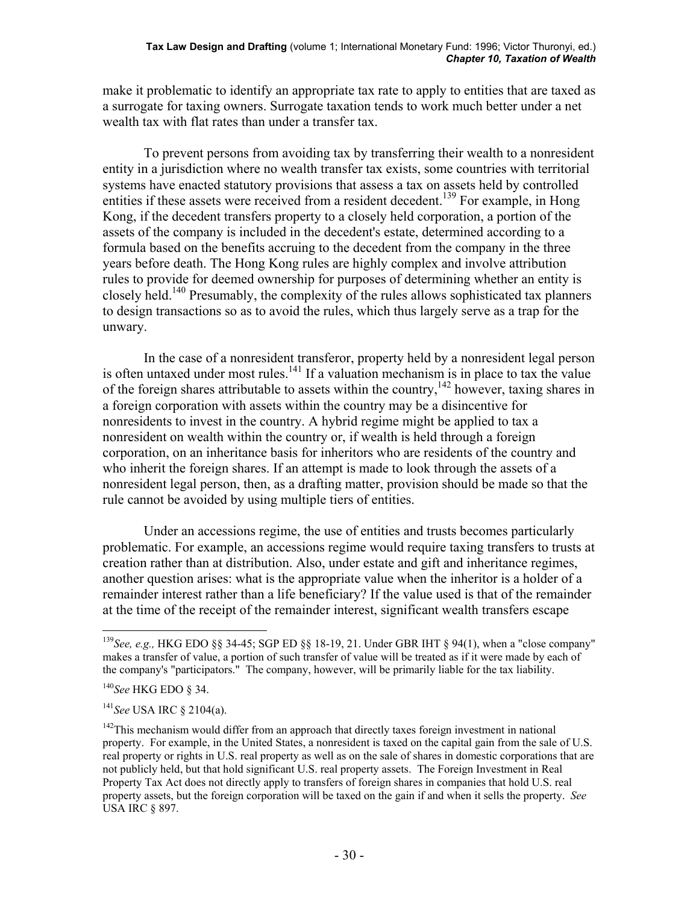make it problematic to identify an appropriate tax rate to apply to entities that are taxed as a surrogate for taxing owners. Surrogate taxation tends to work much better under a net wealth tax with flat rates than under a transfer tax.

 To prevent persons from avoiding tax by transferring their wealth to a nonresident entity in a jurisdiction where no wealth transfer tax exists, some countries with territorial systems have enacted statutory provisions that assess a tax on assets held by controlled entities if these assets were received from a resident decedent.<sup>139</sup> For example, in Hong Kong, if the decedent transfers property to a closely held corporation, a portion of the assets of the company is included in the decedent's estate, determined according to a formula based on the benefits accruing to the decedent from the company in the three years before death. The Hong Kong rules are highly complex and involve attribution rules to provide for deemed ownership for purposes of determining whether an entity is closely held.<sup>140</sup> Presumably, the complexity of the rules allows sophisticated tax planners to design transactions so as to avoid the rules, which thus largely serve as a trap for the unwary.

 In the case of a nonresident transferor, property held by a nonresident legal person is often untaxed under most rules.<sup>141</sup> If a valuation mechanism is in place to tax the value of the foreign shares attributable to assets within the country,<sup>142</sup> however, taxing shares in a foreign corporation with assets within the country may be a disincentive for nonresidents to invest in the country. A hybrid regime might be applied to tax a nonresident on wealth within the country or, if wealth is held through a foreign corporation, on an inheritance basis for inheritors who are residents of the country and who inherit the foreign shares. If an attempt is made to look through the assets of a nonresident legal person, then, as a drafting matter, provision should be made so that the rule cannot be avoided by using multiple tiers of entities.

 Under an accessions regime, the use of entities and trusts becomes particularly problematic. For example, an accessions regime would require taxing transfers to trusts at creation rather than at distribution. Also, under estate and gift and inheritance regimes, another question arises: what is the appropriate value when the inheritor is a holder of a remainder interest rather than a life beneficiary? If the value used is that of the remainder at the time of the receipt of the remainder interest, significant wealth transfers escape

<sup>139</sup>*See, e.g.,* HKG EDO §§ 34-45; SGP ED §§ 18-19, 21. Under GBR IHT § 94(1), when a "close company" makes a transfer of value, a portion of such transfer of value will be treated as if it were made by each of the company's "participators." The company, however, will be primarily liable for the tax liability.

<sup>140</sup>*See* HKG EDO § 34.

<sup>141</sup>*See* USA IRC § 2104(a).

<sup>&</sup>lt;sup>142</sup>This mechanism would differ from an approach that directly taxes foreign investment in national property. For example, in the United States, a nonresident is taxed on the capital gain from the sale of U.S. real property or rights in U.S. real property as well as on the sale of shares in domestic corporations that are not publicly held, but that hold significant U.S. real property assets. The Foreign Investment in Real Property Tax Act does not directly apply to transfers of foreign shares in companies that hold U.S. real property assets, but the foreign corporation will be taxed on the gain if and when it sells the property. *See* USA IRC § 897.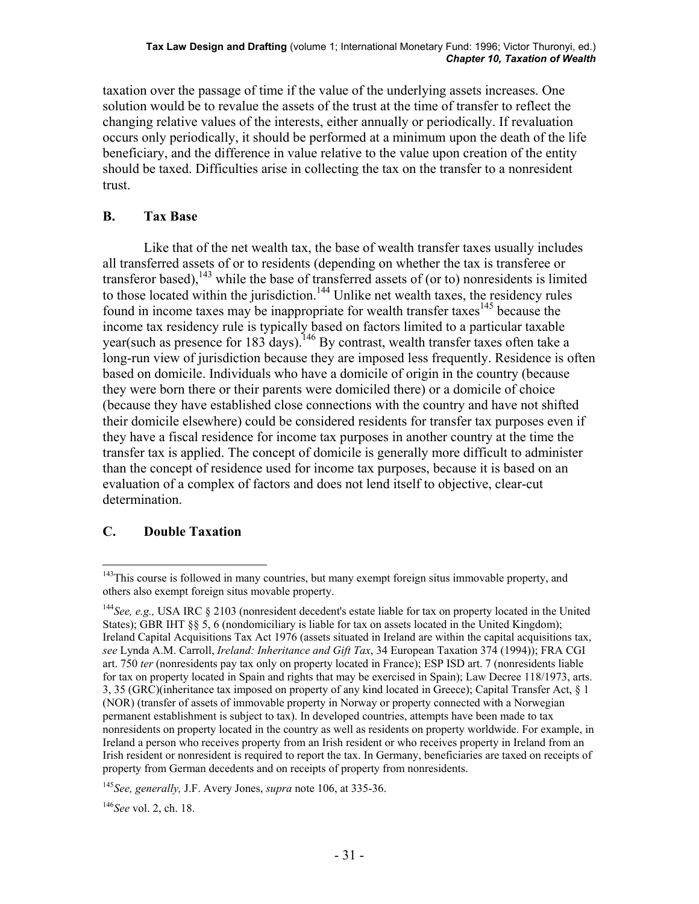taxation over the passage of time if the value of the underlying assets increases. One solution would be to revalue the assets of the trust at the time of transfer to reflect the changing relative values of the interests, either annually or periodically. If revaluation occurs only periodically, it should be performed at a minimum upon the death of the life beneficiary, and the difference in value relative to the value upon creation of the entity should be taxed. Difficulties arise in collecting the tax on the transfer to a nonresident trust.

# **B. Tax Base**

 Like that of the net wealth tax, the base of wealth transfer taxes usually includes all transferred assets of or to residents (depending on whether the tax is transferee or transferor based),<sup>143</sup> while the base of transferred assets of (or to) nonresidents is limited to those located within the jurisdiction.<sup>144</sup> Unlike net wealth taxes, the residency rules found in income taxes may be inappropriate for wealth transfer taxes<sup>145</sup> because the income tax residency rule is typically based on factors limited to a particular taxable year(such as presence for 183 days).<sup>146</sup> By contrast, wealth transfer taxes often take a long-run view of jurisdiction because they are imposed less frequently. Residence is often based on domicile. Individuals who have a domicile of origin in the country (because they were born there or their parents were domiciled there) or a domicile of choice (because they have established close connections with the country and have not shifted their domicile elsewhere) could be considered residents for transfer tax purposes even if they have a fiscal residence for income tax purposes in another country at the time the transfer tax is applied. The concept of domicile is generally more difficult to administer than the concept of residence used for income tax purposes, because it is based on an evaluation of a complex of factors and does not lend itself to objective, clear-cut determination.

### **C. Double Taxation**

 $\overline{a}$  $143$ This course is followed in many countries, but many exempt foreign situs immovable property, and others also exempt foreign situs movable property.

<sup>144</sup>*See, e.g.,* USA IRC § 2103 (nonresident decedent's estate liable for tax on property located in the United States); GBR IHT §§ 5, 6 (nondomiciliary is liable for tax on assets located in the United Kingdom); Ireland Capital Acquisitions Tax Act 1976 (assets situated in Ireland are within the capital acquisitions tax, *see* Lynda A.M. Carroll, *Ireland: Inheritance and Gift Tax*, 34 European Taxation 374 (1994)); FRA CGI art. 750 *ter* (nonresidents pay tax only on property located in France); ESP ISD art. 7 (nonresidents liable for tax on property located in Spain and rights that may be exercised in Spain); Law Decree 118/1973, arts. 3, 35 (GRC)(inheritance tax imposed on property of any kind located in Greece); Capital Transfer Act, § 1 (NOR) (transfer of assets of immovable property in Norway or property connected with a Norwegian permanent establishment is subject to tax). In developed countries, attempts have been made to tax nonresidents on property located in the country as well as residents on property worldwide. For example, in Ireland a person who receives property from an Irish resident or who receives property in Ireland from an Irish resident or nonresident is required to report the tax. In Germany, beneficiaries are taxed on receipts of property from German decedents and on receipts of property from nonresidents.

<sup>145</sup>*See, generally,* J.F. Avery Jones, *supra* note 106, at 335-36.

<sup>146</sup>*See* vol. 2, ch. 18.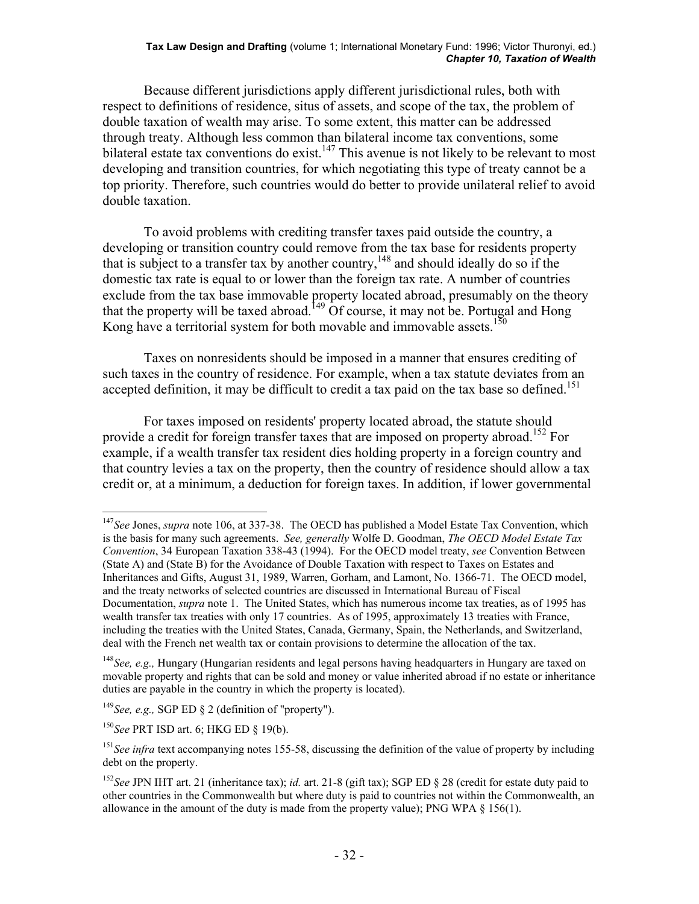#### **Tax Law Design and Drafting** (volume 1; International Monetary Fund: 1996; Victor Thuronyi, ed.) *Chapter 10, Taxation of Wealth*

 Because different jurisdictions apply different jurisdictional rules, both with respect to definitions of residence, situs of assets, and scope of the tax, the problem of double taxation of wealth may arise. To some extent, this matter can be addressed through treaty. Although less common than bilateral income tax conventions, some bilateral estate tax conventions do exist.<sup>147</sup> This avenue is not likely to be relevant to most developing and transition countries, for which negotiating this type of treaty cannot be a top priority. Therefore, such countries would do better to provide unilateral relief to avoid double taxation.

 To avoid problems with crediting transfer taxes paid outside the country, a developing or transition country could remove from the tax base for residents property that is subject to a transfer tax by another country,<sup>148</sup> and should ideally do so if the domestic tax rate is equal to or lower than the foreign tax rate. A number of countries exclude from the tax base immovable property located abroad, presumably on the theory that the property will be taxed abroad.<sup>149</sup> Of course, it may not be. Portugal and Hong Kong have a territorial system for both movable and immovable assets.<sup>150</sup>

 Taxes on nonresidents should be imposed in a manner that ensures crediting of such taxes in the country of residence. For example, when a tax statute deviates from an accepted definition, it may be difficult to credit a tax paid on the tax base so defined.<sup>151</sup>

 For taxes imposed on residents' property located abroad, the statute should provide a credit for foreign transfer taxes that are imposed on property abroad.<sup>152</sup> For example, if a wealth transfer tax resident dies holding property in a foreign country and that country levies a tax on the property, then the country of residence should allow a tax credit or, at a minimum, a deduction for foreign taxes. In addition, if lower governmental

1

<sup>147</sup>*See* Jones, *supra* note 106, at 337-38. The OECD has published a Model Estate Tax Convention, which is the basis for many such agreements. *See, generally* Wolfe D. Goodman, *The OECD Model Estate Tax Convention*, 34 European Taxation 338-43 (1994). For the OECD model treaty, *see* Convention Between (State A) and (State B) for the Avoidance of Double Taxation with respect to Taxes on Estates and Inheritances and Gifts, August 31, 1989, Warren, Gorham, and Lamont, No. 1366-71. The OECD model, and the treaty networks of selected countries are discussed in International Bureau of Fiscal Documentation, *supra* note 1. The United States, which has numerous income tax treaties, as of 1995 has wealth transfer tax treaties with only 17 countries. As of 1995, approximately 13 treaties with France, including the treaties with the United States, Canada, Germany, Spain, the Netherlands, and Switzerland, deal with the French net wealth tax or contain provisions to determine the allocation of the tax.

<sup>148</sup>*See, e.g.,* Hungary (Hungarian residents and legal persons having headquarters in Hungary are taxed on movable property and rights that can be sold and money or value inherited abroad if no estate or inheritance duties are payable in the country in which the property is located).

<sup>149</sup>*See, e.g.,* SGP ED § 2 (definition of "property").

<sup>150</sup>*See* PRT ISD art. 6; HKG ED § 19(b).

<sup>&</sup>lt;sup>151</sup>See infra text accompanying notes 155-58, discussing the definition of the value of property by including debt on the property.

<sup>152</sup>*See* JPN IHT art. 21 (inheritance tax); *id.* art. 21-8 (gift tax); SGP ED § 28 (credit for estate duty paid to other countries in the Commonwealth but where duty is paid to countries not within the Commonwealth, an allowance in the amount of the duty is made from the property value); PNG WPA  $\S$  156(1).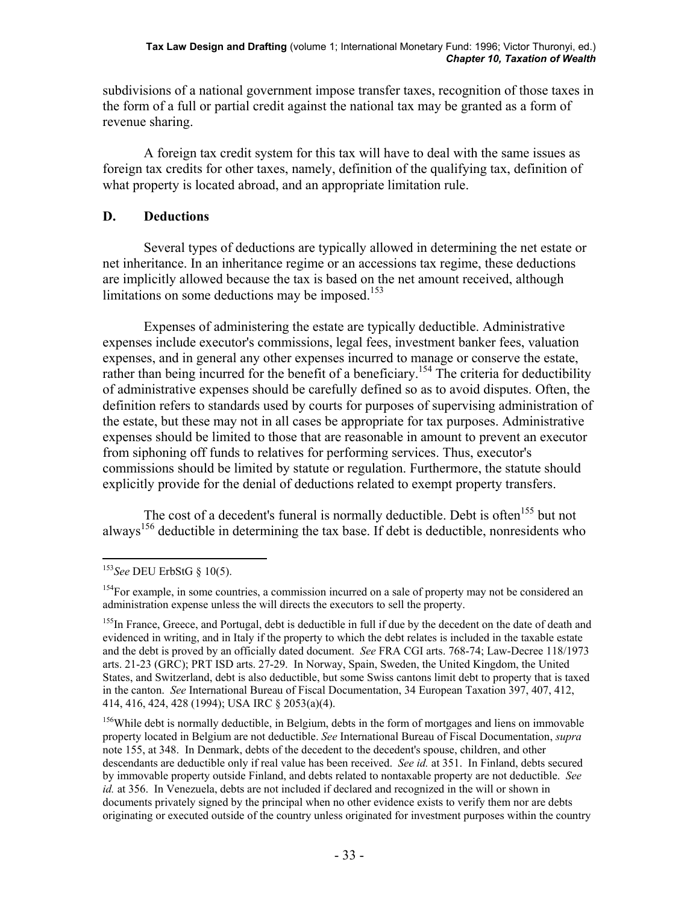subdivisions of a national government impose transfer taxes, recognition of those taxes in the form of a full or partial credit against the national tax may be granted as a form of revenue sharing.

 A foreign tax credit system for this tax will have to deal with the same issues as foreign tax credits for other taxes, namely, definition of the qualifying tax, definition of what property is located abroad, and an appropriate limitation rule.

## **D. Deductions**

 Several types of deductions are typically allowed in determining the net estate or net inheritance. In an inheritance regime or an accessions tax regime, these deductions are implicitly allowed because the tax is based on the net amount received, although limitations on some deductions may be imposed.<sup>153</sup>

 Expenses of administering the estate are typically deductible. Administrative expenses include executor's commissions, legal fees, investment banker fees, valuation expenses, and in general any other expenses incurred to manage or conserve the estate, rather than being incurred for the benefit of a beneficiary.<sup>154</sup> The criteria for deductibility of administrative expenses should be carefully defined so as to avoid disputes. Often, the definition refers to standards used by courts for purposes of supervising administration of the estate, but these may not in all cases be appropriate for tax purposes. Administrative expenses should be limited to those that are reasonable in amount to prevent an executor from siphoning off funds to relatives for performing services. Thus, executor's commissions should be limited by statute or regulation. Furthermore, the statute should explicitly provide for the denial of deductions related to exempt property transfers.

The cost of a decedent's funeral is normally deductible. Debt is often<sup>155</sup> but not always<sup>156</sup> deductible in determining the tax base. If debt is deductible, nonresidents who

 $\overline{a}$ <sup>153</sup>*See* DEU ErbStG § 10(5).

<sup>&</sup>lt;sup>154</sup>For example, in some countries, a commission incurred on a sale of property may not be considered an administration expense unless the will directs the executors to sell the property.

<sup>&</sup>lt;sup>155</sup>In France, Greece, and Portugal, debt is deductible in full if due by the decedent on the date of death and evidenced in writing, and in Italy if the property to which the debt relates is included in the taxable estate and the debt is proved by an officially dated document. *See* FRA CGI arts. 768-74; Law-Decree 118/1973 arts. 21-23 (GRC); PRT ISD arts. 27-29. In Norway, Spain, Sweden, the United Kingdom, the United States, and Switzerland, debt is also deductible, but some Swiss cantons limit debt to property that is taxed in the canton. *See* International Bureau of Fiscal Documentation, 34 European Taxation 397, 407, 412, 414, 416, 424, 428 (1994); USA IRC § 2053(a)(4).

<sup>&</sup>lt;sup>156</sup>While debt is normally deductible, in Belgium, debts in the form of mortgages and liens on immovable property located in Belgium are not deductible. *See* International Bureau of Fiscal Documentation, *supra* note 155, at 348. In Denmark, debts of the decedent to the decedent's spouse, children, and other descendants are deductible only if real value has been received. *See id.* at 351. In Finland, debts secured by immovable property outside Finland, and debts related to nontaxable property are not deductible. *See id.* at 356. In Venezuela, debts are not included if declared and recognized in the will or shown in documents privately signed by the principal when no other evidence exists to verify them nor are debts originating or executed outside of the country unless originated for investment purposes within the country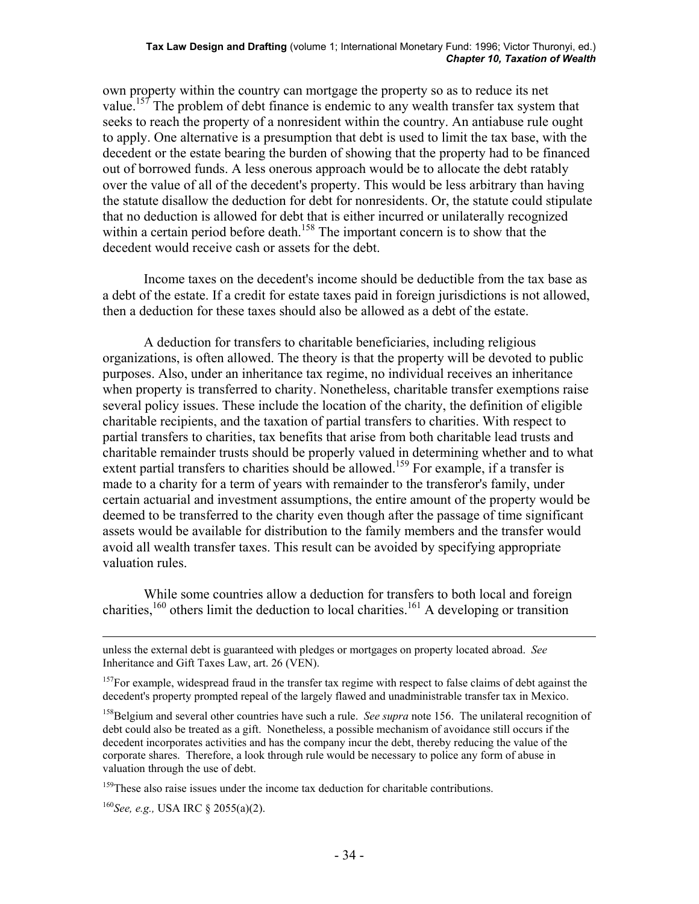own property within the country can mortgage the property so as to reduce its net value.<sup>157</sup> The problem of debt finance is endemic to any wealth transfer tax system that seeks to reach the property of a nonresident within the country. An antiabuse rule ought to apply. One alternative is a presumption that debt is used to limit the tax base, with the decedent or the estate bearing the burden of showing that the property had to be financed out of borrowed funds. A less onerous approach would be to allocate the debt ratably over the value of all of the decedent's property. This would be less arbitrary than having the statute disallow the deduction for debt for nonresidents. Or, the statute could stipulate that no deduction is allowed for debt that is either incurred or unilaterally recognized within a certain period before death.<sup>158</sup> The important concern is to show that the decedent would receive cash or assets for the debt.

 Income taxes on the decedent's income should be deductible from the tax base as a debt of the estate. If a credit for estate taxes paid in foreign jurisdictions is not allowed, then a deduction for these taxes should also be allowed as a debt of the estate.

 A deduction for transfers to charitable beneficiaries, including religious organizations, is often allowed. The theory is that the property will be devoted to public purposes. Also, under an inheritance tax regime, no individual receives an inheritance when property is transferred to charity. Nonetheless, charitable transfer exemptions raise several policy issues. These include the location of the charity, the definition of eligible charitable recipients, and the taxation of partial transfers to charities. With respect to partial transfers to charities, tax benefits that arise from both charitable lead trusts and charitable remainder trusts should be properly valued in determining whether and to what extent partial transfers to charities should be allowed.<sup>159</sup> For example, if a transfer is made to a charity for a term of years with remainder to the transferor's family, under certain actuarial and investment assumptions, the entire amount of the property would be deemed to be transferred to the charity even though after the passage of time significant assets would be available for distribution to the family members and the transfer would avoid all wealth transfer taxes. This result can be avoided by specifying appropriate valuation rules.

 While some countries allow a deduction for transfers to both local and foreign charities,<sup>160</sup> others limit the deduction to local charities.<sup>161</sup> A developing or transition

<sup>159</sup>These also raise issues under the income tax deduction for charitable contributions.

<sup>160</sup>*See, e.g.,* USA IRC § 2055(a)(2).

unless the external debt is guaranteed with pledges or mortgages on property located abroad. *See* Inheritance and Gift Taxes Law, art. 26 (VEN).

<sup>&</sup>lt;sup>157</sup>For example, widespread fraud in the transfer tax regime with respect to false claims of debt against the decedent's property prompted repeal of the largely flawed and unadministrable transfer tax in Mexico.

<sup>&</sup>lt;sup>158</sup>Belgium and several other countries have such a rule. *See supra* note 156. The unilateral recognition of debt could also be treated as a gift. Nonetheless, a possible mechanism of avoidance still occurs if the decedent incorporates activities and has the company incur the debt, thereby reducing the value of the corporate shares. Therefore, a look through rule would be necessary to police any form of abuse in valuation through the use of debt.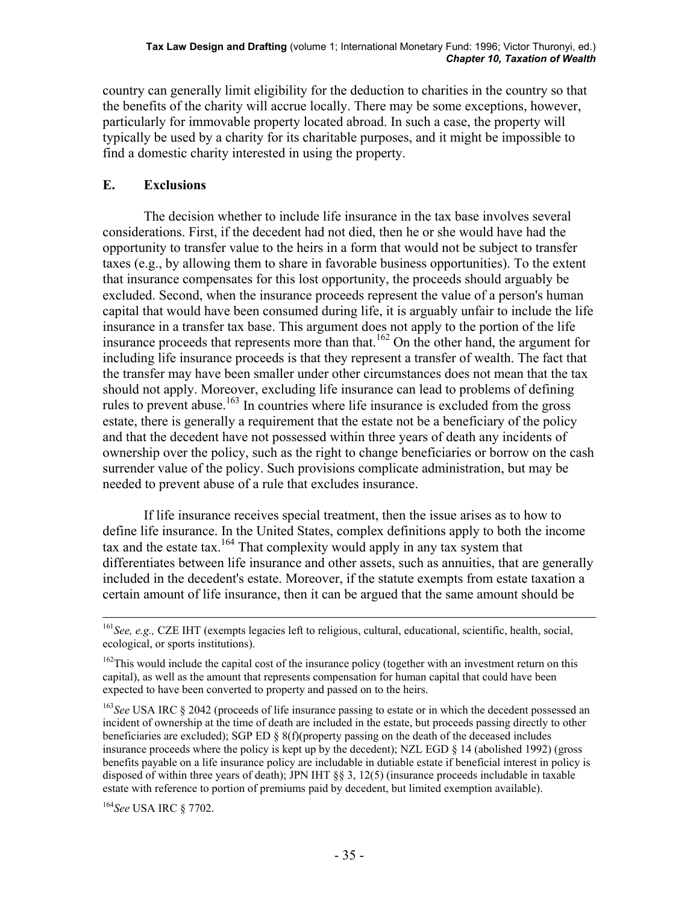country can generally limit eligibility for the deduction to charities in the country so that the benefits of the charity will accrue locally. There may be some exceptions, however, particularly for immovable property located abroad. In such a case, the property will typically be used by a charity for its charitable purposes, and it might be impossible to find a domestic charity interested in using the property.

## **E. Exclusions**

 The decision whether to include life insurance in the tax base involves several considerations. First, if the decedent had not died, then he or she would have had the opportunity to transfer value to the heirs in a form that would not be subject to transfer taxes (e.g., by allowing them to share in favorable business opportunities). To the extent that insurance compensates for this lost opportunity, the proceeds should arguably be excluded. Second, when the insurance proceeds represent the value of a person's human capital that would have been consumed during life, it is arguably unfair to include the life insurance in a transfer tax base. This argument does not apply to the portion of the life insurance proceeds that represents more than that.<sup>162</sup> On the other hand, the argument for including life insurance proceeds is that they represent a transfer of wealth. The fact that the transfer may have been smaller under other circumstances does not mean that the tax should not apply. Moreover, excluding life insurance can lead to problems of defining rules to prevent abuse.<sup>163</sup> In countries where life insurance is excluded from the gross estate, there is generally a requirement that the estate not be a beneficiary of the policy and that the decedent have not possessed within three years of death any incidents of ownership over the policy, such as the right to change beneficiaries or borrow on the cash surrender value of the policy. Such provisions complicate administration, but may be needed to prevent abuse of a rule that excludes insurance.

 If life insurance receives special treatment, then the issue arises as to how to define life insurance. In the United States, complex definitions apply to both the income tax and the estate tax.<sup>164</sup> That complexity would apply in any tax system that differentiates between life insurance and other assets, such as annuities, that are generally included in the decedent's estate. Moreover, if the statute exempts from estate taxation a certain amount of life insurance, then it can be argued that the same amount should be

<sup>164</sup>*See* USA IRC § 7702.

 <sup>161</sup>*See, e.g.,* CZE IHT (exempts legacies left to religious, cultural, educational, scientific, health, social, ecological, or sports institutions).

<sup>&</sup>lt;sup>162</sup>This would include the capital cost of the insurance policy (together with an investment return on this capital), as well as the amount that represents compensation for human capital that could have been expected to have been converted to property and passed on to the heirs.

<sup>&</sup>lt;sup>163</sup>See USA IRC § 2042 (proceeds of life insurance passing to estate or in which the decedent possessed an incident of ownership at the time of death are included in the estate, but proceeds passing directly to other beneficiaries are excluded); SGP ED  $\S 8(f)$ (property passing on the death of the deceased includes insurance proceeds where the policy is kept up by the decedent); NZL EGD § 14 (abolished 1992) (gross benefits payable on a life insurance policy are includable in dutiable estate if beneficial interest in policy is disposed of within three years of death); JPN IHT §§ 3, 12(5) (insurance proceeds includable in taxable estate with reference to portion of premiums paid by decedent, but limited exemption available).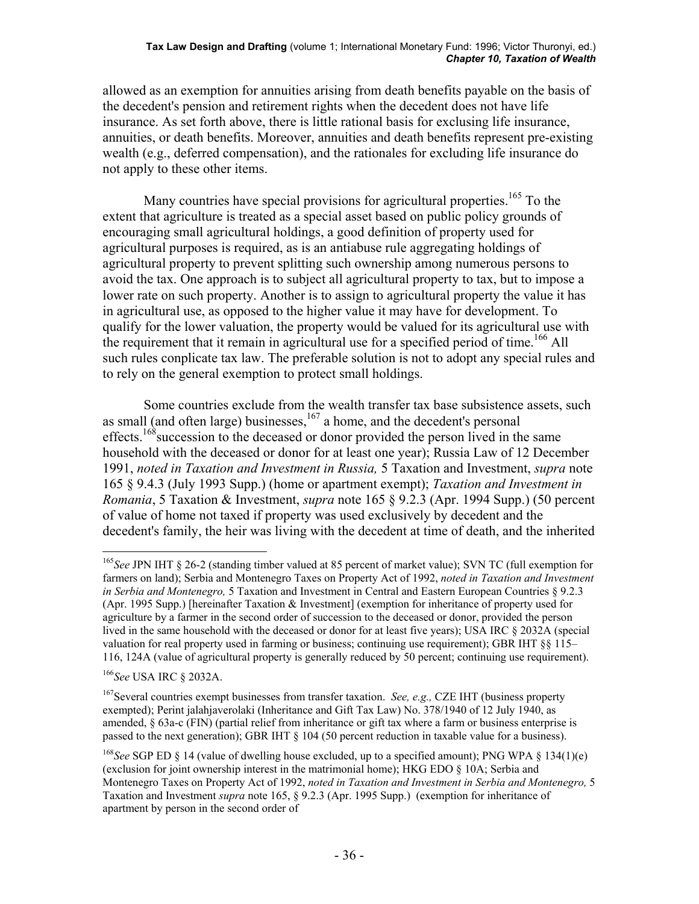allowed as an exemption for annuities arising from death benefits payable on the basis of the decedent's pension and retirement rights when the decedent does not have life insurance. As set forth above, there is little rational basis for exclusing life insurance, annuities, or death benefits. Moreover, annuities and death benefits represent pre-existing wealth (e.g., deferred compensation), and the rationales for excluding life insurance do not apply to these other items.

Many countries have special provisions for agricultural properties.<sup>165</sup> To the extent that agriculture is treated as a special asset based on public policy grounds of encouraging small agricultural holdings, a good definition of property used for agricultural purposes is required, as is an antiabuse rule aggregating holdings of agricultural property to prevent splitting such ownership among numerous persons to avoid the tax. One approach is to subject all agricultural property to tax, but to impose a lower rate on such property. Another is to assign to agricultural property the value it has in agricultural use, as opposed to the higher value it may have for development. To qualify for the lower valuation, the property would be valued for its agricultural use with the requirement that it remain in agricultural use for a specified period of time.<sup>166</sup> All such rules conplicate tax law. The preferable solution is not to adopt any special rules and to rely on the general exemption to protect small holdings.

 Some countries exclude from the wealth transfer tax base subsistence assets, such as small (and often large) businesses,<sup>167</sup> a home, and the decedent's personal effects.<sup>168</sup> succession to the deceased or donor provided the person lived in the same household with the deceased or donor for at least one year); Russia Law of 12 December 1991, *noted in Taxation and Investment in Russia,* 5 Taxation and Investment, *supra* note 165 § 9.4.3 (July 1993 Supp.) (home or apartment exempt); *Taxation and Investment in Romania*, 5 Taxation & Investment, *supra* note 165 § 9.2.3 (Apr. 1994 Supp.) (50 percent of value of home not taxed if property was used exclusively by decedent and the decedent's family, the heir was living with the decedent at time of death, and the inherited

<sup>166</sup>*See* USA IRC § 2032A.

<sup>165</sup>*See* JPN IHT § 26-2 (standing timber valued at 85 percent of market value); SVN TC (full exemption for farmers on land); Serbia and Montenegro Taxes on Property Act of 1992, *noted in Taxation and Investment in Serbia and Montenegro,* 5 Taxation and Investment in Central and Eastern European Countries § 9.2.3 (Apr. 1995 Supp.) [hereinafter Taxation & Investment] (exemption for inheritance of property used for agriculture by a farmer in the second order of succession to the deceased or donor, provided the person lived in the same household with the deceased or donor for at least five years); USA IRC § 2032A (special valuation for real property used in farming or business; continuing use requirement); GBR IHT §§ 115– 116, 124A (value of agricultural property is generally reduced by 50 percent; continuing use requirement).

<sup>167</sup>Several countries exempt businesses from transfer taxation. *See, e.g.,* CZE IHT (business property exempted); Perint jalahjaverolaki (Inheritance and Gift Tax Law) No. 378/1940 of 12 July 1940, as amended, § 63a-c (FIN) (partial relief from inheritance or gift tax where a farm or business enterprise is passed to the next generation); GBR IHT § 104 (50 percent reduction in taxable value for a business).

<sup>168</sup>*See* SGP ED § 14 (value of dwelling house excluded, up to a specified amount); PNG WPA § 134(1)(e) (exclusion for joint ownership interest in the matrimonial home); HKG EDO § 10A; Serbia and Montenegro Taxes on Property Act of 1992, *noted in Taxation and Investment in Serbia and Montenegro,* 5 Taxation and Investment *supra* note 165, § 9.2.3 (Apr. 1995 Supp.) (exemption for inheritance of apartment by person in the second order of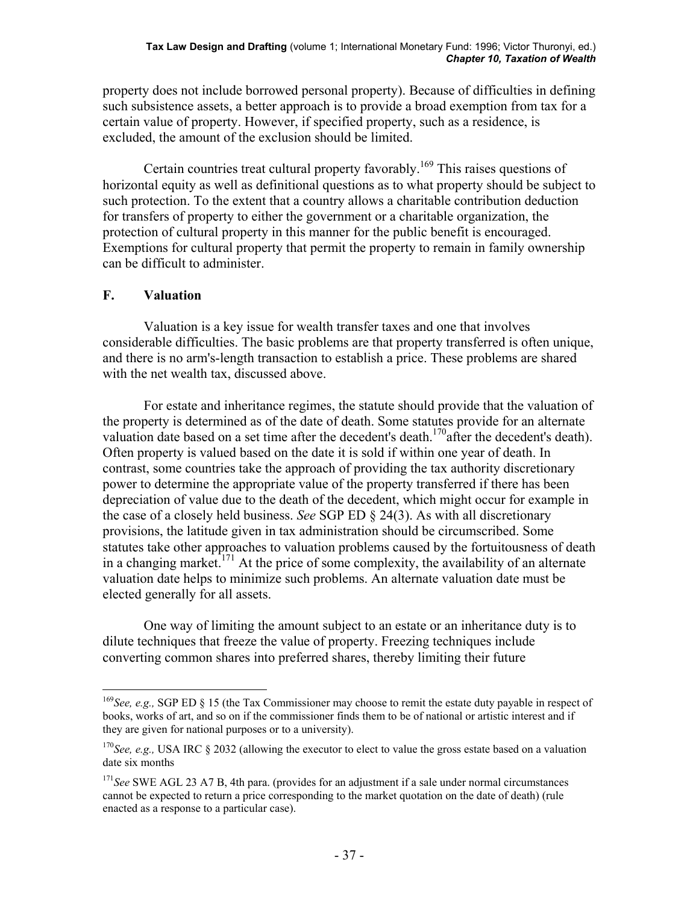property does not include borrowed personal property). Because of difficulties in defining such subsistence assets, a better approach is to provide a broad exemption from tax for a certain value of property. However, if specified property, such as a residence, is excluded, the amount of the exclusion should be limited.

Certain countries treat cultural property favorably.<sup>169</sup> This raises questions of horizontal equity as well as definitional questions as to what property should be subject to such protection. To the extent that a country allows a charitable contribution deduction for transfers of property to either the government or a charitable organization, the protection of cultural property in this manner for the public benefit is encouraged. Exemptions for cultural property that permit the property to remain in family ownership can be difficult to administer.

# **F. Valuation**

 $\overline{a}$ 

 Valuation is a key issue for wealth transfer taxes and one that involves considerable difficulties. The basic problems are that property transferred is often unique, and there is no arm's-length transaction to establish a price. These problems are shared with the net wealth tax, discussed above.

 For estate and inheritance regimes, the statute should provide that the valuation of the property is determined as of the date of death. Some statutes provide for an alternate valuation date based on a set time after the decedent's death.<sup>170</sup>after the decedent's death). Often property is valued based on the date it is sold if within one year of death. In contrast, some countries take the approach of providing the tax authority discretionary power to determine the appropriate value of the property transferred if there has been depreciation of value due to the death of the decedent, which might occur for example in the case of a closely held business. *See* SGP ED § 24(3). As with all discretionary provisions, the latitude given in tax administration should be circumscribed. Some statutes take other approaches to valuation problems caused by the fortuitousness of death in a changing market.<sup>171</sup> At the price of some complexity, the availability of an alternate valuation date helps to minimize such problems. An alternate valuation date must be elected generally for all assets.

 One way of limiting the amount subject to an estate or an inheritance duty is to dilute techniques that freeze the value of property. Freezing techniques include converting common shares into preferred shares, thereby limiting their future

<sup>&</sup>lt;sup>169</sup>*See, e.g.,* SGP ED § 15 (the Tax Commissioner may choose to remit the estate duty payable in respect of books, works of art, and so on if the commissioner finds them to be of national or artistic interest and if they are given for national purposes or to a university).

<sup>&</sup>lt;sup>170</sup>See, e.g., USA IRC § 2032 (allowing the executor to elect to value the gross estate based on a valuation date six months

<sup>&</sup>lt;sup>171</sup>*See* SWE AGL 23 A7 B, 4th para. (provides for an adjustment if a sale under normal circumstances cannot be expected to return a price corresponding to the market quotation on the date of death) (rule enacted as a response to a particular case).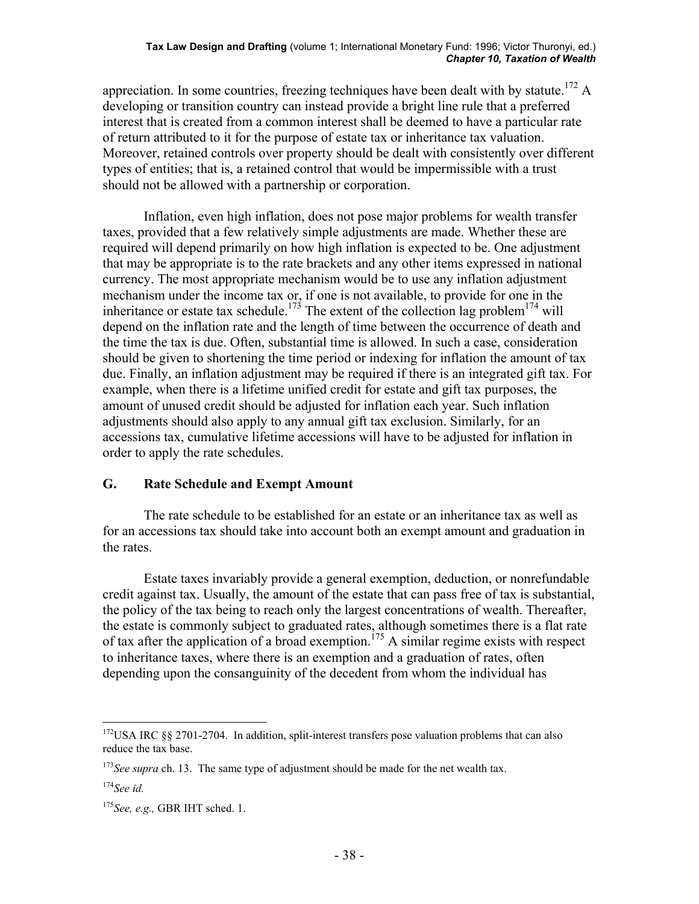appreciation. In some countries, freezing techniques have been dealt with by statute.<sup>172</sup> A developing or transition country can instead provide a bright line rule that a preferred interest that is created from a common interest shall be deemed to have a particular rate of return attributed to it for the purpose of estate tax or inheritance tax valuation. Moreover, retained controls over property should be dealt with consistently over different types of entities; that is, a retained control that would be impermissible with a trust should not be allowed with a partnership or corporation.

 Inflation, even high inflation, does not pose major problems for wealth transfer taxes, provided that a few relatively simple adjustments are made. Whether these are required will depend primarily on how high inflation is expected to be. One adjustment that may be appropriate is to the rate brackets and any other items expressed in national currency. The most appropriate mechanism would be to use any inflation adjustment mechanism under the income tax or, if one is not available, to provide for one in the inheritance or estate tax schedule.<sup>173</sup> The extent of the collection lag problem<sup>174</sup> will depend on the inflation rate and the length of time between the occurrence of death and the time the tax is due. Often, substantial time is allowed. In such a case, consideration should be given to shortening the time period or indexing for inflation the amount of tax due. Finally, an inflation adjustment may be required if there is an integrated gift tax. For example, when there is a lifetime unified credit for estate and gift tax purposes, the amount of unused credit should be adjusted for inflation each year. Such inflation adjustments should also apply to any annual gift tax exclusion. Similarly, for an accessions tax, cumulative lifetime accessions will have to be adjusted for inflation in order to apply the rate schedules.

### **G. Rate Schedule and Exempt Amount**

 The rate schedule to be established for an estate or an inheritance tax as well as for an accessions tax should take into account both an exempt amount and graduation in the rates.

 Estate taxes invariably provide a general exemption, deduction, or nonrefundable credit against tax. Usually, the amount of the estate that can pass free of tax is substantial, the policy of the tax being to reach only the largest concentrations of wealth. Thereafter, the estate is commonly subject to graduated rates, although sometimes there is a flat rate of tax after the application of a broad exemption.<sup>175</sup> A similar regime exists with respect to inheritance taxes, where there is an exemption and a graduation of rates, often depending upon the consanguinity of the decedent from whom the individual has

 $\overline{a}$  $172$ USA IRC §§ 2701-2704. In addition, split-interest transfers pose valuation problems that can also reduce the tax base.

<sup>&</sup>lt;sup>173</sup>See supra ch. 13. The same type of adjustment should be made for the net wealth tax.

<sup>174</sup>*See id.*

<sup>175</sup>*See, e.g.,* GBR IHT sched. 1.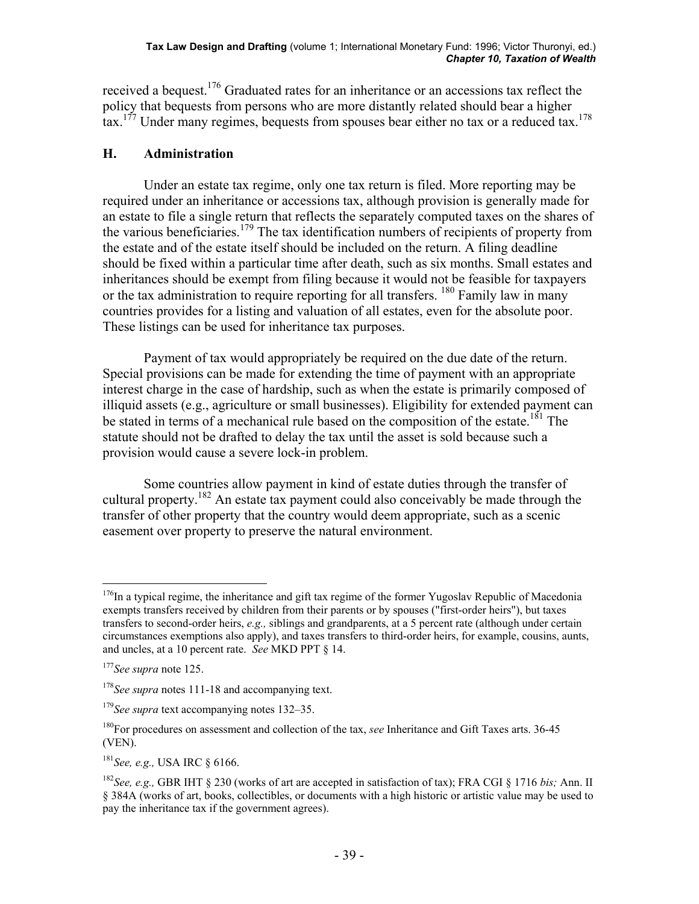received a bequest.176 Graduated rates for an inheritance or an accessions tax reflect the policy that bequests from persons who are more distantly related should bear a higher tax.<sup>177</sup> Under many regimes, bequests from spouses bear either no tax or a reduced tax.<sup>178</sup>

# **H. Administration**

 Under an estate tax regime, only one tax return is filed. More reporting may be required under an inheritance or accessions tax, although provision is generally made for an estate to file a single return that reflects the separately computed taxes on the shares of the various beneficiaries.<sup>179</sup> The tax identification numbers of recipients of property from the estate and of the estate itself should be included on the return. A filing deadline should be fixed within a particular time after death, such as six months. Small estates and inheritances should be exempt from filing because it would not be feasible for taxpayers or the tax administration to require reporting for all transfers. <sup>180</sup> Family law in many countries provides for a listing and valuation of all estates, even for the absolute poor. These listings can be used for inheritance tax purposes.

 Payment of tax would appropriately be required on the due date of the return. Special provisions can be made for extending the time of payment with an appropriate interest charge in the case of hardship, such as when the estate is primarily composed of illiquid assets (e.g., agriculture or small businesses). Eligibility for extended payment can be stated in terms of a mechanical rule based on the composition of the estate.<sup>181</sup> The statute should not be drafted to delay the tax until the asset is sold because such a provision would cause a severe lock-in problem.

 Some countries allow payment in kind of estate duties through the transfer of cultural property.<sup>182</sup> An estate tax payment could also conceivably be made through the transfer of other property that the country would deem appropriate, such as a scenic easement over property to preserve the natural environment.

<sup>&</sup>lt;sup>176</sup>In a typical regime, the inheritance and gift tax regime of the former Yugoslav Republic of Macedonia exempts transfers received by children from their parents or by spouses ("first-order heirs"), but taxes transfers to second-order heirs, *e.g.,* siblings and grandparents, at a 5 percent rate (although under certain circumstances exemptions also apply), and taxes transfers to third-order heirs, for example, cousins, aunts, and uncles, at a 10 percent rate. *See* MKD PPT § 14.

<sup>177</sup>*See supra* note 125.

<sup>&</sup>lt;sup>178</sup>See supra notes 111-18 and accompanying text.

<sup>179</sup>*See supra* text accompanying notes 132–35.

<sup>180</sup>For procedures on assessment and collection of the tax, *see* Inheritance and Gift Taxes arts. 36-45 (VEN).

<sup>181</sup>*See, e.g.,* USA IRC § 6166.

<sup>182</sup>*See, e.g.,* GBR IHT § 230 (works of art are accepted in satisfaction of tax); FRA CGI § 1716 *bis;* Ann. II § 384A (works of art, books, collectibles, or documents with a high historic or artistic value may be used to pay the inheritance tax if the government agrees).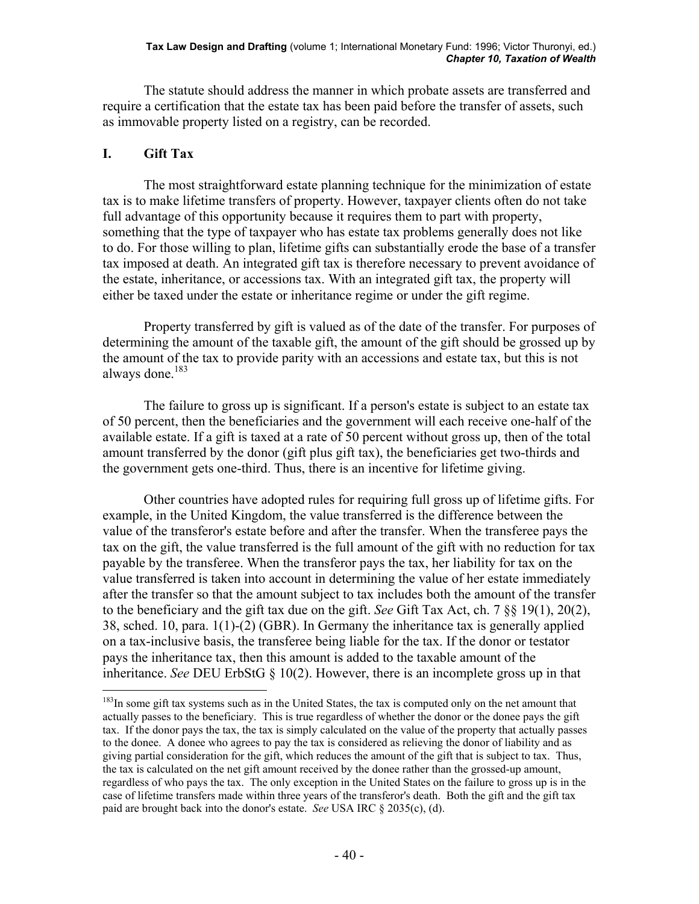The statute should address the manner in which probate assets are transferred and require a certification that the estate tax has been paid before the transfer of assets, such as immovable property listed on a registry, can be recorded.

# **I. Gift Tax**

 $\overline{a}$ 

 The most straightforward estate planning technique for the minimization of estate tax is to make lifetime transfers of property. However, taxpayer clients often do not take full advantage of this opportunity because it requires them to part with property, something that the type of taxpayer who has estate tax problems generally does not like to do. For those willing to plan, lifetime gifts can substantially erode the base of a transfer tax imposed at death. An integrated gift tax is therefore necessary to prevent avoidance of the estate, inheritance, or accessions tax. With an integrated gift tax, the property will either be taxed under the estate or inheritance regime or under the gift regime.

 Property transferred by gift is valued as of the date of the transfer. For purposes of determining the amount of the taxable gift, the amount of the gift should be grossed up by the amount of the tax to provide parity with an accessions and estate tax, but this is not always done.<sup>183</sup>

 The failure to gross up is significant. If a person's estate is subject to an estate tax of 50 percent, then the beneficiaries and the government will each receive one-half of the available estate. If a gift is taxed at a rate of 50 percent without gross up, then of the total amount transferred by the donor (gift plus gift tax), the beneficiaries get two-thirds and the government gets one-third. Thus, there is an incentive for lifetime giving.

 Other countries have adopted rules for requiring full gross up of lifetime gifts. For example, in the United Kingdom, the value transferred is the difference between the value of the transferor's estate before and after the transfer. When the transferee pays the tax on the gift, the value transferred is the full amount of the gift with no reduction for tax payable by the transferee. When the transferor pays the tax, her liability for tax on the value transferred is taken into account in determining the value of her estate immediately after the transfer so that the amount subject to tax includes both the amount of the transfer to the beneficiary and the gift tax due on the gift. *See* Gift Tax Act, ch. 7 §§ 19(1), 20(2), 38, sched. 10, para. 1(1)-(2) (GBR). In Germany the inheritance tax is generally applied on a tax-inclusive basis, the transferee being liable for the tax. If the donor or testator pays the inheritance tax, then this amount is added to the taxable amount of the inheritance. *See* DEU ErbStG § 10(2). However, there is an incomplete gross up in that

<sup>&</sup>lt;sup>183</sup>In some gift tax systems such as in the United States, the tax is computed only on the net amount that actually passes to the beneficiary. This is true regardless of whether the donor or the donee pays the gift tax. If the donor pays the tax, the tax is simply calculated on the value of the property that actually passes to the donee. A donee who agrees to pay the tax is considered as relieving the donor of liability and as giving partial consideration for the gift, which reduces the amount of the gift that is subject to tax. Thus, the tax is calculated on the net gift amount received by the donee rather than the grossed-up amount, regardless of who pays the tax. The only exception in the United States on the failure to gross up is in the case of lifetime transfers made within three years of the transferor's death. Both the gift and the gift tax paid are brought back into the donor's estate. *See* USA IRC § 2035(c), (d).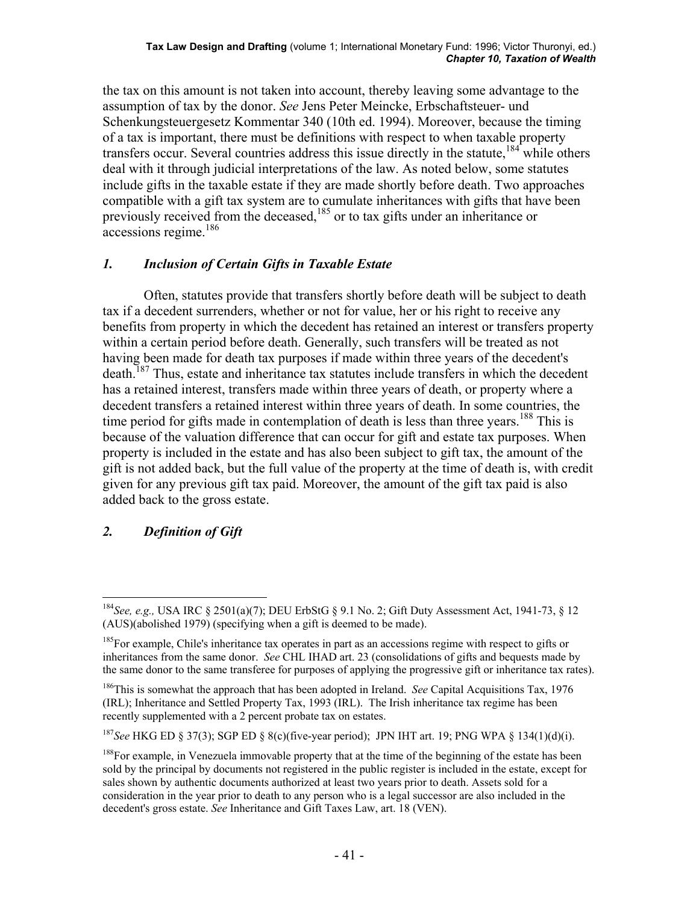the tax on this amount is not taken into account, thereby leaving some advantage to the assumption of tax by the donor. *See* Jens Peter Meincke, Erbschaftsteuer- und Schenkungsteuergesetz Kommentar 340 (10th ed. 1994). Moreover, because the timing of a tax is important, there must be definitions with respect to when taxable property transfers occur. Several countries address this issue directly in the statute.<sup>184</sup> while others deal with it through judicial interpretations of the law. As noted below, some statutes include gifts in the taxable estate if they are made shortly before death. Two approaches compatible with a gift tax system are to cumulate inheritances with gifts that have been previously received from the deceased,<sup>185</sup> or to tax gifts under an inheritance or accessions regime.186

# *1. Inclusion of Certain Gifts in Taxable Estate*

 Often, statutes provide that transfers shortly before death will be subject to death tax if a decedent surrenders, whether or not for value, her or his right to receive any benefits from property in which the decedent has retained an interest or transfers property within a certain period before death. Generally, such transfers will be treated as not having been made for death tax purposes if made within three years of the decedent's death.<sup>187</sup> Thus, estate and inheritance tax statutes include transfers in which the decedent has a retained interest, transfers made within three years of death, or property where a decedent transfers a retained interest within three years of death. In some countries, the time period for gifts made in contemplation of death is less than three years.<sup>188</sup> This is because of the valuation difference that can occur for gift and estate tax purposes. When property is included in the estate and has also been subject to gift tax, the amount of the gift is not added back, but the full value of the property at the time of death is, with credit given for any previous gift tax paid. Moreover, the amount of the gift tax paid is also added back to the gross estate.

# *2. Definition of Gift*

<sup>184</sup>*See, e.g.,* USA IRC § 2501(a)(7); DEU ErbStG § 9.1 No. 2; Gift Duty Assessment Act, 1941-73, § 12 (AUS)(abolished 1979) (specifying when a gift is deemed to be made).

 $185$  For example, Chile's inheritance tax operates in part as an accessions regime with respect to gifts or inheritances from the same donor. *See* CHL IHAD art. 23 (consolidations of gifts and bequests made by the same donor to the same transferee for purposes of applying the progressive gift or inheritance tax rates).

<sup>186</sup>This is somewhat the approach that has been adopted in Ireland. *See* Capital Acquisitions Tax, 1976 (IRL); Inheritance and Settled Property Tax, 1993 (IRL). The Irish inheritance tax regime has been recently supplemented with a 2 percent probate tax on estates.

<sup>187</sup>*See* HKG ED § 37(3); SGP ED § 8(c)(five-year period); JPN IHT art. 19; PNG WPA § 134(1)(d)(i).

<sup>&</sup>lt;sup>188</sup>For example, in Venezuela immovable property that at the time of the beginning of the estate has been sold by the principal by documents not registered in the public register is included in the estate, except for sales shown by authentic documents authorized at least two years prior to death. Assets sold for a consideration in the year prior to death to any person who is a legal successor are also included in the decedent's gross estate. *See* Inheritance and Gift Taxes Law, art. 18 (VEN).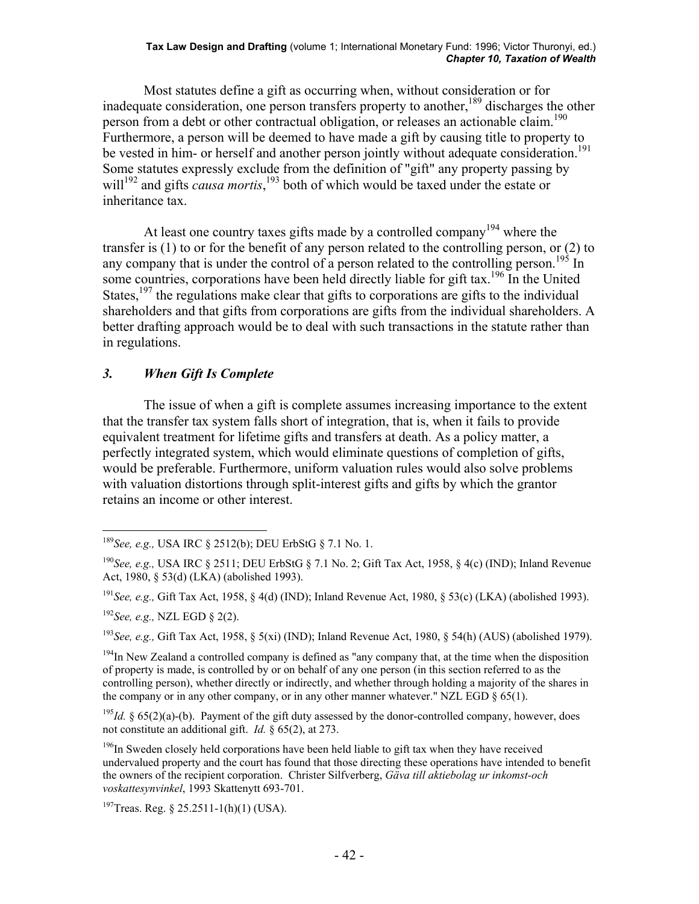#### **Tax Law Design and Drafting** (volume 1; International Monetary Fund: 1996; Victor Thuronyi, ed.) *Chapter 10, Taxation of Wealth*

 Most statutes define a gift as occurring when, without consideration or for inadequate consideration, one person transfers property to another,  $^{189}$  discharges the other person from a debt or other contractual obligation, or releases an actionable claim.<sup>190</sup> Furthermore, a person will be deemed to have made a gift by causing title to property to be vested in him- or herself and another person jointly without adequate consideration.<sup>191</sup> Some statutes expressly exclude from the definition of "gift" any property passing by will<sup>192</sup> and gifts *causa mortis*,<sup>193</sup> both of which would be taxed under the estate or inheritance tax.

At least one country taxes gifts made by a controlled company<sup>194</sup> where the transfer is (1) to or for the benefit of any person related to the controlling person, or (2) to any company that is under the control of a person related to the controlling person.<sup>195</sup> In some countries, corporations have been held directly liable for gift tax.<sup>196</sup> In the United States,<sup>197</sup> the regulations make clear that gifts to corporations are gifts to the individual shareholders and that gifts from corporations are gifts from the individual shareholders. A better drafting approach would be to deal with such transactions in the statute rather than in regulations.

### *3. When Gift Is Complete*

 The issue of when a gift is complete assumes increasing importance to the extent that the transfer tax system falls short of integration, that is, when it fails to provide equivalent treatment for lifetime gifts and transfers at death. As a policy matter, a perfectly integrated system, which would eliminate questions of completion of gifts, would be preferable. Furthermore, uniform valuation rules would also solve problems with valuation distortions through split-interest gifts and gifts by which the grantor retains an income or other interest.

 $\overline{a}$ 

<sup>193</sup>*See, e.g.,* Gift Tax Act, 1958, § 5(xi) (IND); Inland Revenue Act, 1980, § 54(h) (AUS) (abolished 1979).

 $194$ In New Zealand a controlled company is defined as "any company that, at the time when the disposition of property is made, is controlled by or on behalf of any one person (in this section referred to as the controlling person), whether directly or indirectly, and whether through holding a majority of the shares in the company or in any other company, or in any other manner whatever." NZL EGD § 65(1).

 $195$ *Id.* § 65(2)(a)-(b). Payment of the gift duty assessed by the donor-controlled company, however, does not constitute an additional gift. *Id.* § 65(2), at 273.

 $196$ In Sweden closely held corporations have been held liable to gift tax when they have received undervalued property and the court has found that those directing these operations have intended to benefit the owners of the recipient corporation. Christer Silfverberg, *Gäva till aktiebolag ur inkomst-och voskattesynvinkel*, 1993 Skattenytt 693-701.

<sup>197</sup>Treas. Reg. § 25.2511-1(h)(1) (USA).

<sup>189</sup>*See, e.g.,* USA IRC § 2512(b); DEU ErbStG § 7.1 No. 1.

<sup>190</sup>*See, e.g.,* USA IRC § 2511; DEU ErbStG § 7.1 No. 2; Gift Tax Act, 1958, § 4(c) (IND); Inland Revenue Act, 1980, § 53(d) (LKA) (abolished 1993).

<sup>191</sup>*See, e.g.,* Gift Tax Act, 1958, § 4(d) (IND); Inland Revenue Act, 1980, § 53(c) (LKA) (abolished 1993).

<sup>192</sup>*See, e.g.,* NZL EGD § 2(2).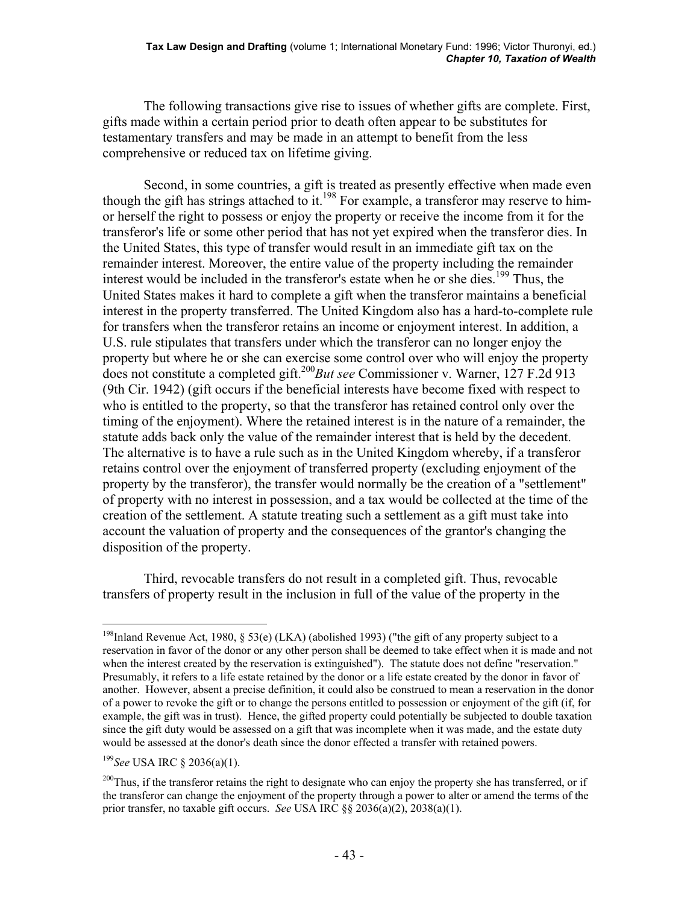The following transactions give rise to issues of whether gifts are complete. First, gifts made within a certain period prior to death often appear to be substitutes for testamentary transfers and may be made in an attempt to benefit from the less comprehensive or reduced tax on lifetime giving.

 Second, in some countries, a gift is treated as presently effective when made even though the gift has strings attached to it.<sup>198</sup> For example, a transferor may reserve to himor herself the right to possess or enjoy the property or receive the income from it for the transferor's life or some other period that has not yet expired when the transferor dies. In the United States, this type of transfer would result in an immediate gift tax on the remainder interest. Moreover, the entire value of the property including the remainder interest would be included in the transferor's estate when he or she dies.<sup>199</sup> Thus, the United States makes it hard to complete a gift when the transferor maintains a beneficial interest in the property transferred. The United Kingdom also has a hard-to-complete rule for transfers when the transferor retains an income or enjoyment interest. In addition, a U.S. rule stipulates that transfers under which the transferor can no longer enjoy the property but where he or she can exercise some control over who will enjoy the property does not constitute a completed gift.200*But see* Commissioner v. Warner, 127 F.2d 913 (9th Cir. 1942) (gift occurs if the beneficial interests have become fixed with respect to who is entitled to the property, so that the transferor has retained control only over the timing of the enjoyment). Where the retained interest is in the nature of a remainder, the statute adds back only the value of the remainder interest that is held by the decedent. The alternative is to have a rule such as in the United Kingdom whereby, if a transferor retains control over the enjoyment of transferred property (excluding enjoyment of the property by the transferor), the transfer would normally be the creation of a "settlement" of property with no interest in possession, and a tax would be collected at the time of the creation of the settlement. A statute treating such a settlement as a gift must take into account the valuation of property and the consequences of the grantor's changing the disposition of the property.

 Third, revocable transfers do not result in a completed gift. Thus, revocable transfers of property result in the inclusion in full of the value of the property in the

<sup>199</sup>*See* USA IRC § 2036(a)(1).

<sup>&</sup>lt;sup>198</sup>Inland Revenue Act, 1980, § 53(e) (LKA) (abolished 1993) ("the gift of any property subject to a reservation in favor of the donor or any other person shall be deemed to take effect when it is made and not when the interest created by the reservation is extinguished"). The statute does not define "reservation." Presumably, it refers to a life estate retained by the donor or a life estate created by the donor in favor of another. However, absent a precise definition, it could also be construed to mean a reservation in the donor of a power to revoke the gift or to change the persons entitled to possession or enjoyment of the gift (if, for example, the gift was in trust). Hence, the gifted property could potentially be subjected to double taxation since the gift duty would be assessed on a gift that was incomplete when it was made, and the estate duty would be assessed at the donor's death since the donor effected a transfer with retained powers.

 $^{200}$ Thus, if the transferor retains the right to designate who can enjoy the property she has transferred, or if the transferor can change the enjoyment of the property through a power to alter or amend the terms of the prior transfer, no taxable gift occurs. *See* USA IRC §§ 2036(a)(2), 2038(a)(1).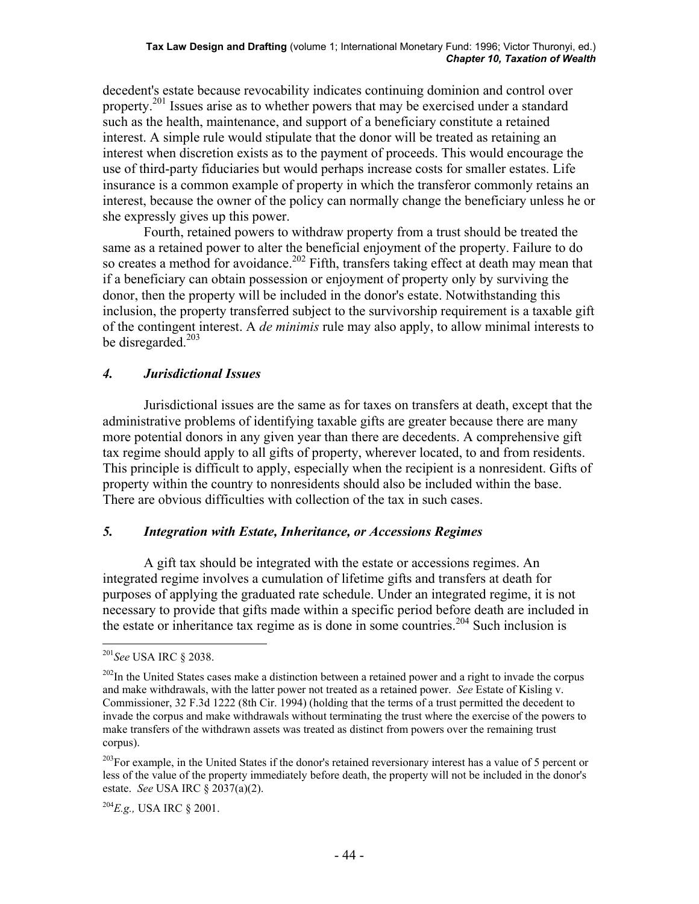decedent's estate because revocability indicates continuing dominion and control over property.<sup>201</sup> Issues arise as to whether powers that may be exercised under a standard such as the health, maintenance, and support of a beneficiary constitute a retained interest. A simple rule would stipulate that the donor will be treated as retaining an interest when discretion exists as to the payment of proceeds. This would encourage the use of third-party fiduciaries but would perhaps increase costs for smaller estates. Life insurance is a common example of property in which the transferor commonly retains an interest, because the owner of the policy can normally change the beneficiary unless he or she expressly gives up this power.

 Fourth, retained powers to withdraw property from a trust should be treated the same as a retained power to alter the beneficial enjoyment of the property. Failure to do so creates a method for avoidance.<sup>202</sup> Fifth, transfers taking effect at death may mean that if a beneficiary can obtain possession or enjoyment of property only by surviving the donor, then the property will be included in the donor's estate. Notwithstanding this inclusion, the property transferred subject to the survivorship requirement is a taxable gift of the contingent interest. A *de minimis* rule may also apply, to allow minimal interests to be disregarded.<sup>203</sup>

# *4. Jurisdictional Issues*

 Jurisdictional issues are the same as for taxes on transfers at death, except that the administrative problems of identifying taxable gifts are greater because there are many more potential donors in any given year than there are decedents. A comprehensive gift tax regime should apply to all gifts of property, wherever located, to and from residents. This principle is difficult to apply, especially when the recipient is a nonresident. Gifts of property within the country to nonresidents should also be included within the base. There are obvious difficulties with collection of the tax in such cases.

### *5. Integration with Estate, Inheritance, or Accessions Regimes*

 A gift tax should be integrated with the estate or accessions regimes. An integrated regime involves a cumulation of lifetime gifts and transfers at death for purposes of applying the graduated rate schedule. Under an integrated regime, it is not necessary to provide that gifts made within a specific period before death are included in the estate or inheritance tax regime as is done in some countries.<sup>204</sup> Such inclusion is

1

<sup>201</sup>*See* USA IRC § 2038.

<sup>&</sup>lt;sup>202</sup>In the United States cases make a distinction between a retained power and a right to invade the corpus and make withdrawals, with the latter power not treated as a retained power. *See* Estate of Kisling v. Commissioner, 32 F.3d 1222 (8th Cir. 1994) (holding that the terms of a trust permitted the decedent to invade the corpus and make withdrawals without terminating the trust where the exercise of the powers to make transfers of the withdrawn assets was treated as distinct from powers over the remaining trust corpus).

<sup>&</sup>lt;sup>203</sup>For example, in the United States if the donor's retained reversionary interest has a value of 5 percent or less of the value of the property immediately before death, the property will not be included in the donor's estate. *See* USA IRC § 2037(a)(2).

<sup>204</sup>*E.g.,* USA IRC § 2001.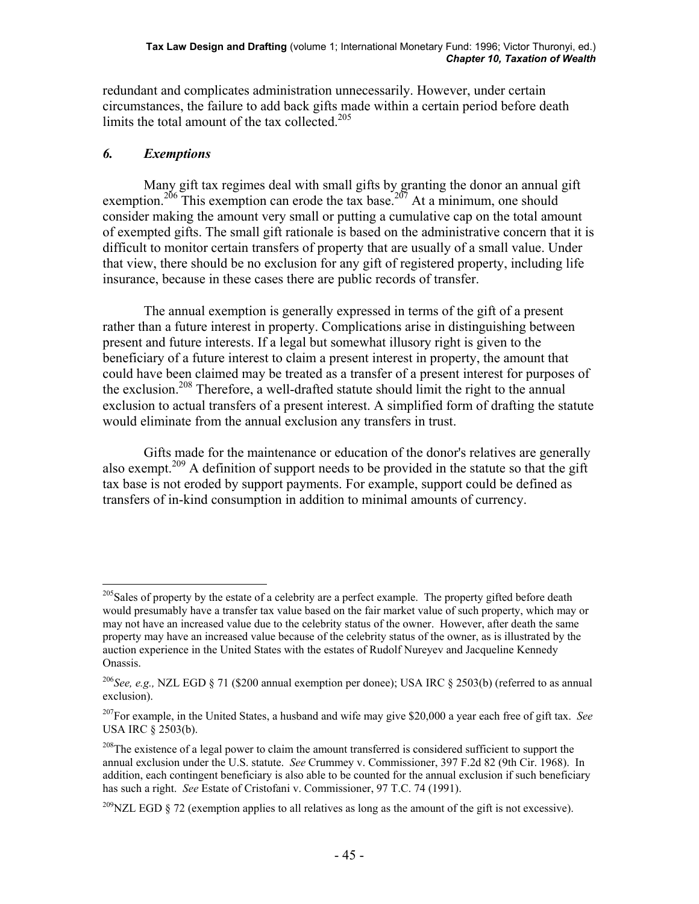redundant and complicates administration unnecessarily. However, under certain circumstances, the failure to add back gifts made within a certain period before death limits the total amount of the tax collected.<sup>205</sup>

# *6. Exemptions*

 Many gift tax regimes deal with small gifts by granting the donor an annual gift exemption.<sup>206</sup> This exemption can erode the tax base.<sup>207</sup> At a minimum, one should consider making the amount very small or putting a cumulative cap on the total amount of exempted gifts. The small gift rationale is based on the administrative concern that it is difficult to monitor certain transfers of property that are usually of a small value. Under that view, there should be no exclusion for any gift of registered property, including life insurance, because in these cases there are public records of transfer.

 The annual exemption is generally expressed in terms of the gift of a present rather than a future interest in property. Complications arise in distinguishing between present and future interests. If a legal but somewhat illusory right is given to the beneficiary of a future interest to claim a present interest in property, the amount that could have been claimed may be treated as a transfer of a present interest for purposes of the exclusion.208 Therefore, a well-drafted statute should limit the right to the annual exclusion to actual transfers of a present interest. A simplified form of drafting the statute would eliminate from the annual exclusion any transfers in trust.

 Gifts made for the maintenance or education of the donor's relatives are generally also exempt.<sup>209</sup> A definition of support needs to be provided in the statute so that the gift tax base is not eroded by support payments. For example, support could be defined as transfers of in-kind consumption in addition to minimal amounts of currency.

<sup>1</sup> <sup>205</sup>Sales of property by the estate of a celebrity are a perfect example. The property gifted before death would presumably have a transfer tax value based on the fair market value of such property, which may or may not have an increased value due to the celebrity status of the owner. However, after death the same property may have an increased value because of the celebrity status of the owner, as is illustrated by the auction experience in the United States with the estates of Rudolf Nureyev and Jacqueline Kennedy Onassis.

<sup>206</sup>*See, e.g.,* NZL EGD § 71 (\$200 annual exemption per donee); USA IRC § 2503(b) (referred to as annual exclusion).

<sup>207</sup>For example, in the United States, a husband and wife may give \$20,000 a year each free of gift tax. *See* USA IRC § 2503(b).

<sup>&</sup>lt;sup>208</sup>The existence of a legal power to claim the amount transferred is considered sufficient to support the annual exclusion under the U.S. statute. *See* Crummey v. Commissioner, 397 F.2d 82 (9th Cir. 1968). In addition, each contingent beneficiary is also able to be counted for the annual exclusion if such beneficiary has such a right. *See* Estate of Cristofani v. Commissioner, 97 T.C. 74 (1991).

 $^{209}$ NZL EGD § 72 (exemption applies to all relatives as long as the amount of the gift is not excessive).